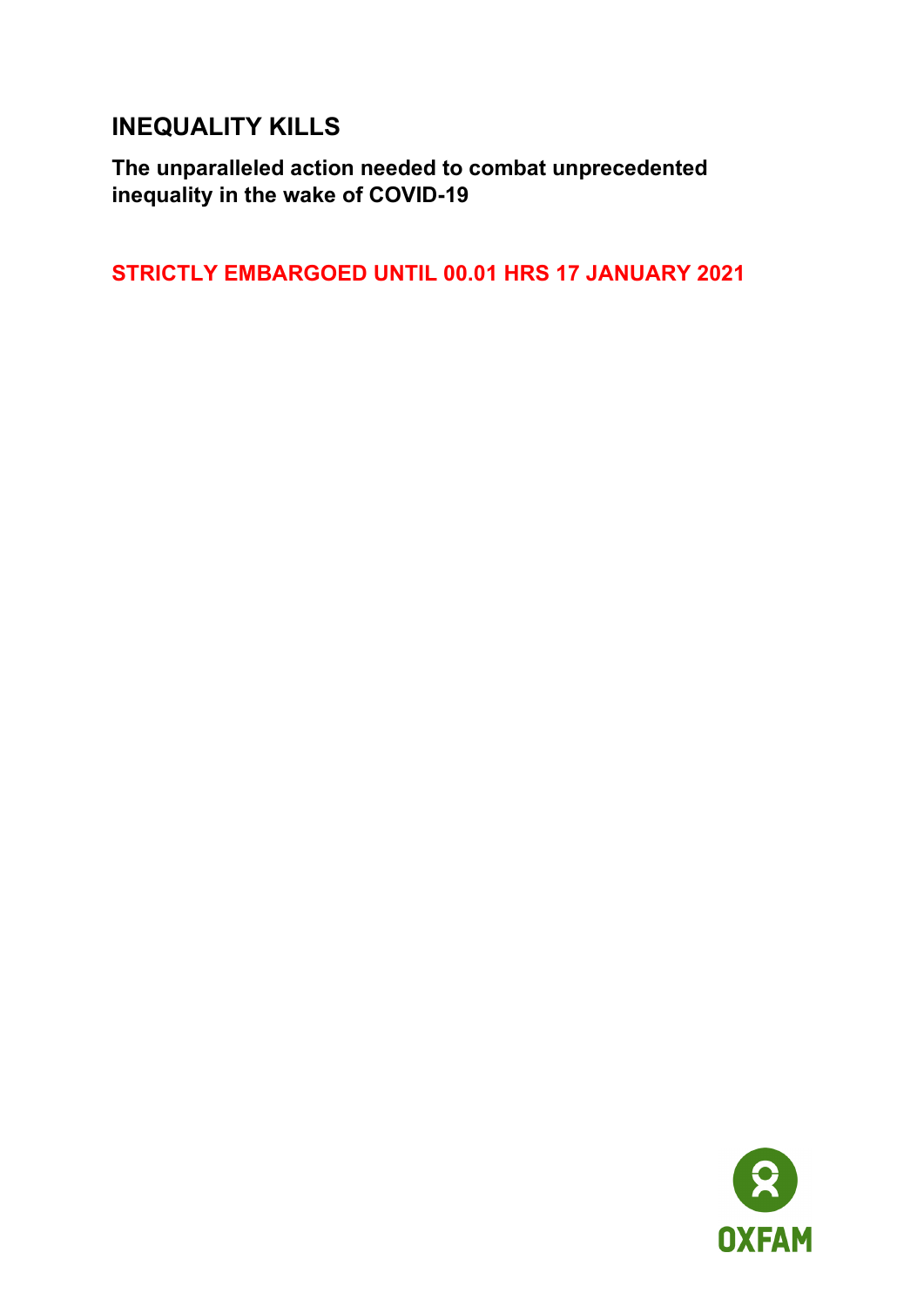# **INEQUALITY KILLS**

**The unparalleled action needed to combat unprecedented inequality in the wake of COVID-19**

**STRICTLY EMBARGOED UNTIL 00.01 HRS 17 JANUARY 2021**

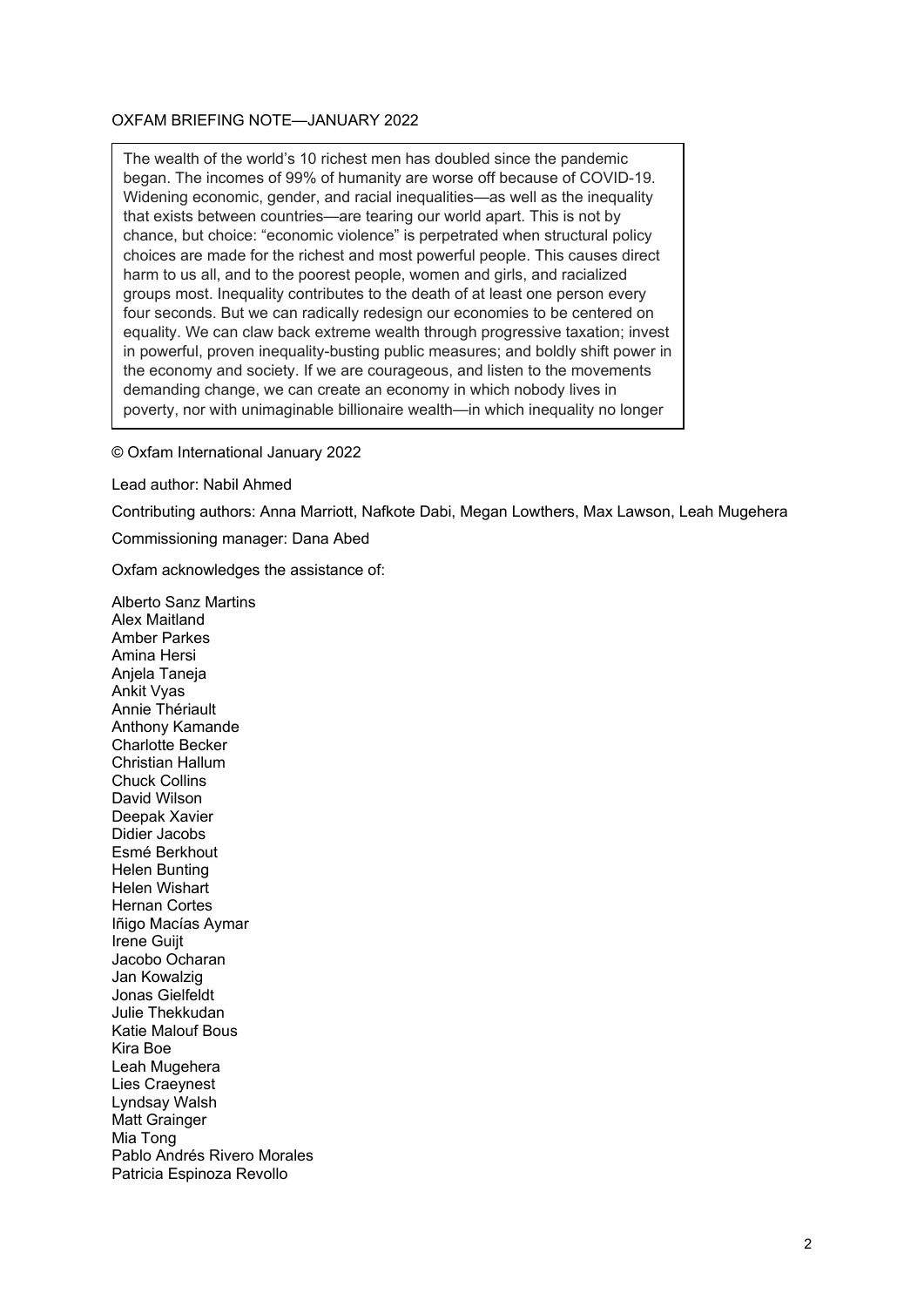#### OXFAM BRIEFING NOTE—JANUARY 2022

The wealth of the world's 10 richest men has doubled since the pandemic began. The incomes of 99% of humanity are worse off because of COVID-19. Widening economic, gender, and racial inequalities—as well as the inequality that exists between countries—are tearing our world apart. This is not by chance, but choice: "economic violence" is perpetrated when structural policy choices are made for the richest and most powerful people. This causes direct harm to us all, and to the poorest people, women and girls, and racialized groups most. Inequality contributes to the death of at least one person every four seconds. But we can radically redesign our economies to be centered on equality. We can claw back extreme wealth through progressive taxation; invest in powerful, proven inequality-busting public measures; and boldly shift power in the economy and society. If we are courageous, and listen to the movements demanding change, we can create an economy in which nobody lives in poverty, nor with unimaginable billionaire wealth—in which inequality no longer

© Oxfam International January 2022

Lead author: Nabil Ahmed

Contributing authors: Anna Marriott, Nafkote Dabi, Megan Lowthers, Max Lawson, Leah Mugehera

Commissioning manager: Dana Abed

Oxfam acknowledges the assistance of:

Alberto Sanz Martins Alex Maitland Amber Parkes Amina Hersi Anjela Taneja Ankit Vyas Annie Thériault Anthony Kamande Charlotte Becker Christian Hallum Chuck Collins David Wilson Deepak Xavier Didier Jacobs Esmé Berkhout Helen Bunting Helen Wishart Hernan Cortes Iñigo Macías Aymar Irene Guijt Jacobo Ocharan Jan Kowalzig Jonas Gielfeldt Julie Thekkudan Katie Malouf Bous Kira Boe Leah Mugehera Lies Craeynest Lyndsay Walsh Matt Grainger Mia Tong Pablo Andrés Rivero Morales Patricia Espinoza Revollo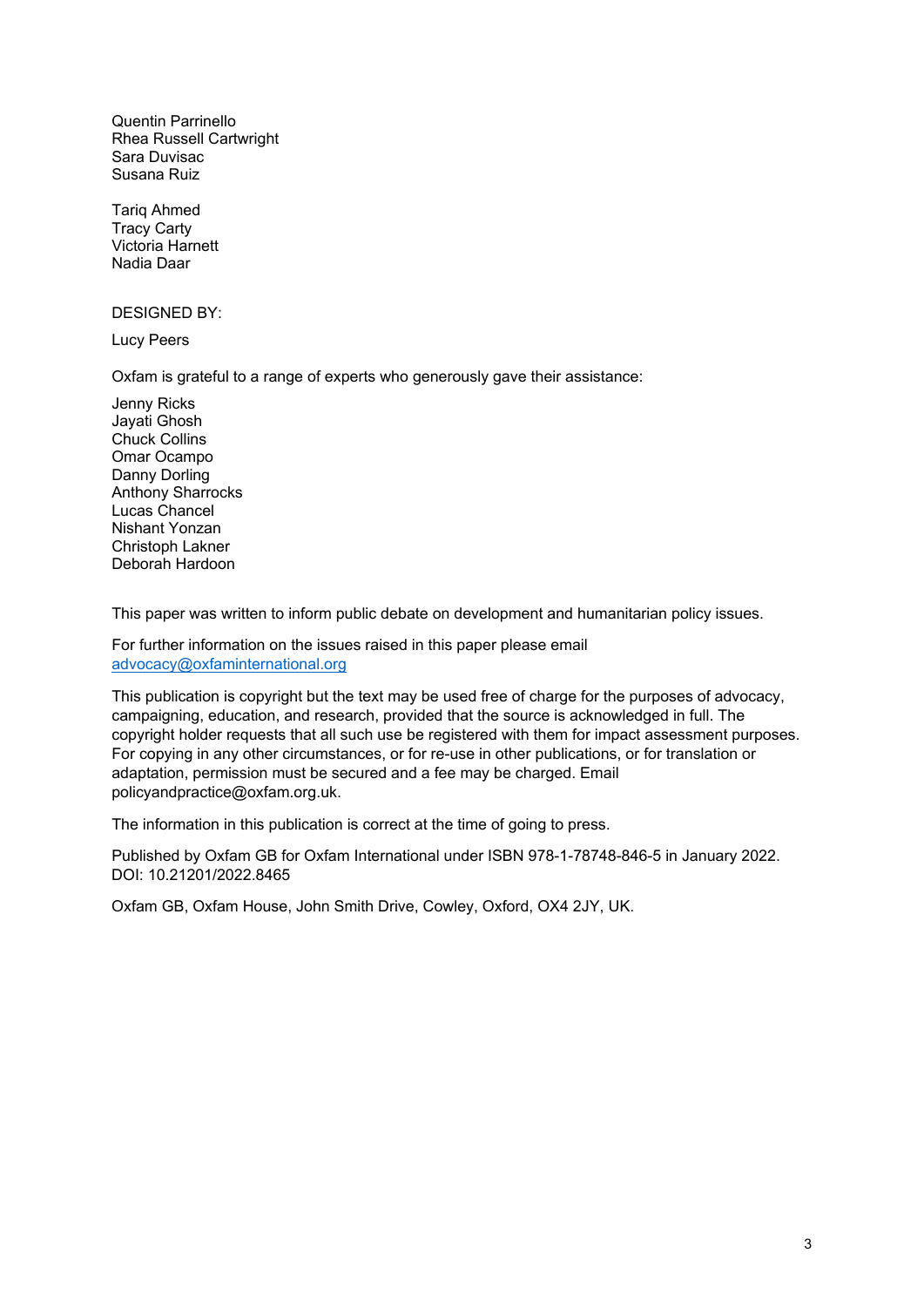Quentin Parrinello Rhea Russell Cartwright Sara Duvisac Susana Ruiz

Tariq Ahmed Tracy Carty Victoria Harnett Nadia Daar

DESIGNED BY:

Lucy Peers

Oxfam is grateful to a range of experts who generously gave their assistance:

Jenny Ricks Jayati Ghosh Chuck Collins Omar Ocampo Danny Dorling Anthony Sharrocks Lucas Chancel Nishant Yonzan Christoph Lakner Deborah Hardoon

This paper was written to inform public debate on development and humanitarian policy issues.

For further information on the issues raised in this paper please email [advocacy@oxfaminternational.org](mailto:advocacy@oxfaminternational.org)

This publication is copyright but the text may be used free of charge for the purposes of advocacy, campaigning, education, and research, provided that the source is acknowledged in full. The copyright holder requests that all such use be registered with them for impact assessment purposes. For copying in any other circumstances, or for re-use in other publications, or for translation or adaptation, permission must be secured and a fee may be charged. Email policyandpractice@oxfam.org.uk.

The information in this publication is correct at the time of going to press.

Published by Oxfam GB for Oxfam International under ISBN 978-1-78748-846-5 in January 2022. DOI: 10.21201/2022.8465

Oxfam GB, Oxfam House, John Smith Drive, Cowley, Oxford, OX4 2JY, UK.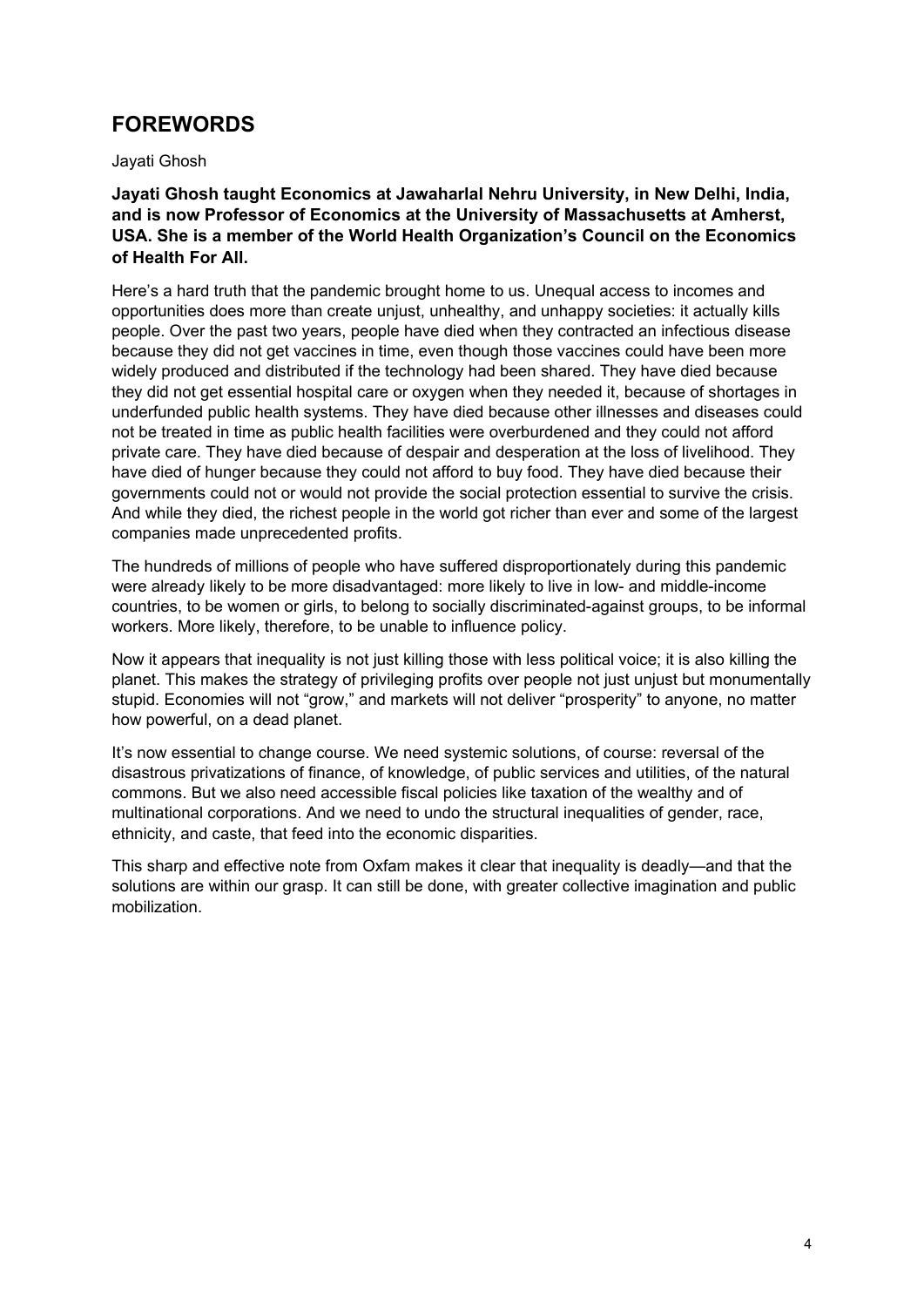## **FOREWORDS**

Jayati Ghosh

**Jayati Ghosh taught Economics at Jawaharlal Nehru University, in New Delhi, India, and is now Professor of Economics at the University of Massachusetts at Amherst, USA. She is a member of the World Health Organization's Council on the Economics of Health For All.**

Here's a hard truth that the pandemic brought home to us. Unequal access to incomes and opportunities does more than create unjust, unhealthy, and unhappy societies: it actually kills people. Over the past two years, people have died when they contracted an infectious disease because they did not get vaccines in time, even though those vaccines could have been more widely produced and distributed if the technology had been shared. They have died because they did not get essential hospital care or oxygen when they needed it, because of shortages in underfunded public health systems. They have died because other illnesses and diseases could not be treated in time as public health facilities were overburdened and they could not afford private care. They have died because of despair and desperation at the loss of livelihood. They have died of hunger because they could not afford to buy food. They have died because their governments could not or would not provide the social protection essential to survive the crisis. And while they died, the richest people in the world got richer than ever and some of the largest companies made unprecedented profits.

The hundreds of millions of people who have suffered disproportionately during this pandemic were already likely to be more disadvantaged: more likely to live in low- and middle-income countries, to be women or girls, to belong to socially discriminated-against groups, to be informal workers. More likely, therefore, to be unable to influence policy.

Now it appears that inequality is not just killing those with less political voice; it is also killing the planet. This makes the strategy of privileging profits over people not just unjust but monumentally stupid. Economies will not "grow," and markets will not deliver "prosperity" to anyone, no matter how powerful, on a dead planet.

It's now essential to change course. We need systemic solutions, of course: reversal of the disastrous privatizations of finance, of knowledge, of public services and utilities, of the natural commons. But we also need accessible fiscal policies like taxation of the wealthy and of multinational corporations. And we need to undo the structural inequalities of gender, race, ethnicity, and caste, that feed into the economic disparities.

This sharp and effective note from Oxfam makes it clear that inequality is deadly—and that the solutions are within our grasp. It can still be done, with greater collective imagination and public mobilization.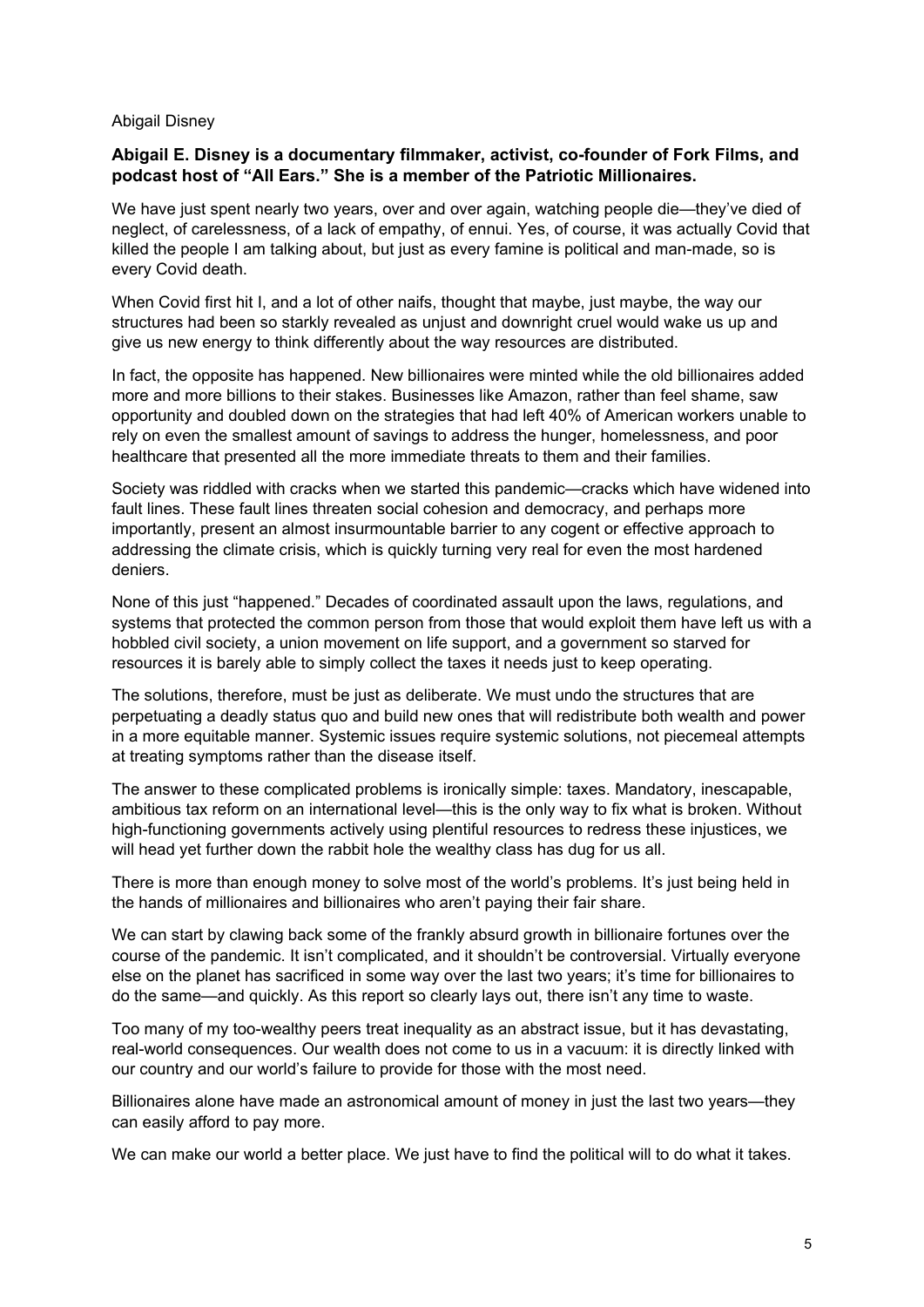#### Abigail Disney

#### **Abigail E. Disney is a documentary filmmaker, activist, co-founder of Fork Films, and podcast host of "All Ears." She is a member of the Patriotic Millionaires.**

We have just spent nearly two years, over and over again, watching people die—they've died of neglect, of carelessness, of a lack of empathy, of ennui. Yes, of course, it was actually Covid that killed the people I am talking about, but just as every famine is political and man-made, so is every Covid death.

When Covid first hit I, and a lot of other naifs, thought that maybe, just maybe, the way our structures had been so starkly revealed as unjust and downright cruel would wake us up and give us new energy to think differently about the way resources are distributed.

In fact, the opposite has happened. New billionaires were minted while the old billionaires added more and more billions to their stakes. Businesses like Amazon, rather than feel shame, saw opportunity and doubled down on the strategies that had left 40% of American workers unable to rely on even the smallest amount of savings to address the hunger, homelessness, and poor healthcare that presented all the more immediate threats to them and their families.

Society was riddled with cracks when we started this pandemic—cracks which have widened into fault lines. These fault lines threaten social cohesion and democracy, and perhaps more importantly, present an almost insurmountable barrier to any cogent or effective approach to addressing the climate crisis, which is quickly turning very real for even the most hardened deniers.

None of this just "happened." Decades of coordinated assault upon the laws, regulations, and systems that protected the common person from those that would exploit them have left us with a hobbled civil society, a union movement on life support, and a government so starved for resources it is barely able to simply collect the taxes it needs just to keep operating.

The solutions, therefore, must be just as deliberate. We must undo the structures that are perpetuating a deadly status quo and build new ones that will redistribute both wealth and power in a more equitable manner. Systemic issues require systemic solutions, not piecemeal attempts at treating symptoms rather than the disease itself.

The answer to these complicated problems is ironically simple: taxes. Mandatory, inescapable, ambitious tax reform on an international level—this is the only way to fix what is broken. Without high-functioning governments actively using plentiful resources to redress these injustices, we will head yet further down the rabbit hole the wealthy class has dug for us all.

There is more than enough money to solve most of the world's problems. It's just being held in the hands of millionaires and billionaires who aren't paying their fair share.

We can start by clawing back some of the frankly absurd growth in billionaire fortunes over the course of the pandemic. It isn't complicated, and it shouldn't be controversial. Virtually everyone else on the planet has sacrificed in some way over the last two years; it's time for billionaires to do the same—and quickly. As this report so clearly lays out, there isn't any time to waste.

Too many of my too-wealthy peers treat inequality as an abstract issue, but it has devastating, real-world consequences. Our wealth does not come to us in a vacuum: it is directly linked with our country and our world's failure to provide for those with the most need.

Billionaires alone have made an astronomical amount of money in just the last two years—they can easily afford to pay more.

We can make our world a better place. We just have to find the political will to do what it takes.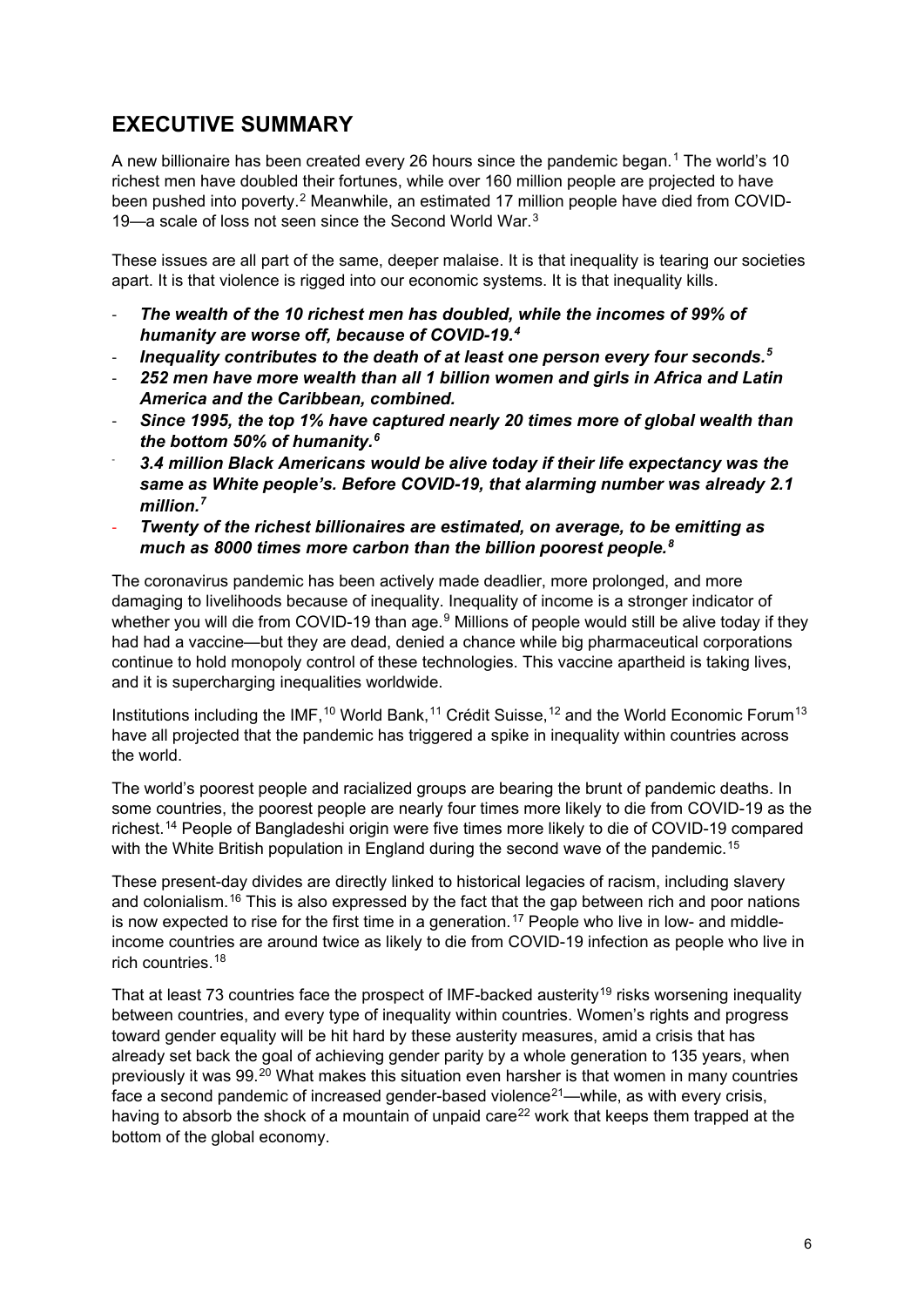# **EXECUTIVE SUMMARY**

A new billionaire has been created every 26 hours since the pandemic began.<sup>[1](#page-34-0)</sup> The world's 10 richest men have doubled their fortunes, while over 160 million people are projected to have been pushed into poverty.<sup>[2](#page-34-1)</sup> Meanwhile, an estimated 17 million people have died from COVID-19—a scale of loss not seen since the Second World War.[3](#page-34-2)

These issues are all part of the same, deeper malaise. It is that inequality is tearing our societies apart. It is that violence is rigged into our economic systems. It is that inequality kills.

- *The wealth of the 10 richest men has doubled, while the incomes of 99% of humanity are worse off, because of COVID-19.[4](#page-34-3)*
- *Inequality contributes to the death of at least one person every four seconds.[5](#page-34-4)*
- *252 men have more wealth than all 1 billion women and girls in Africa and Latin America and the Caribbean, combined.*
- *Since 1995, the top 1% have captured nearly 20 times more of global wealth than the bottom 50% of humanity.[6](#page-34-5)*
- *3.4 million Black Americans would be alive today if their life expectancy was the same as White people's. Before COVID-19, that alarming number was already 2.1 million.[7](#page-34-6)*
- *Twenty of the richest billionaires are estimated, on average, to be emitting as much as 8000 times more carbon than the billion poorest people.[8](#page-34-7)*

The coronavirus pandemic has been actively made deadlier, more prolonged, and more damaging to livelihoods because of inequality. Inequality of income is a stronger indicator of whether you will die from COVID-1[9](#page-34-8) than age.<sup>9</sup> Millions of people would still be alive today if they had had a vaccine—but they are dead, denied a chance while big pharmaceutical corporations continue to hold monopoly control of these technologies. This vaccine apartheid is taking lives, and it is supercharging inequalities worldwide.

Institutions including the IMF,<sup>[10](#page-34-9)</sup> World Bank,<sup>[11](#page-34-10)</sup> Crédit Suisse,<sup>[12](#page-34-11)</sup> and the World Economic Forum<sup>[13](#page-34-12)</sup> have all projected that the pandemic has triggered a spike in inequality within countries across the world.

The world's poorest people and racialized groups are bearing the brunt of pandemic deaths. In some countries, the poorest people are nearly four times more likely to die from COVID-19 as the richest.[14](#page-34-13) People of Bangladeshi origin were five times more likely to die of COVID-19 compared with the White British population in England during the second wave of the pandemic.<sup>[15](#page-34-14)</sup>

These present-day divides are directly linked to historical legacies of racism, including slavery and colonialism.<sup>[16](#page-34-15)</sup> This is also expressed by the fact that the gap between rich and poor nations is now expected to rise for the first time in a generation.<sup>[17](#page-34-16)</sup> People who live in low- and middleincome countries are around twice as likely to die from COVID-19 infection as people who live in rich countries.<sup>[18](#page-34-17)</sup>

That at least 73 countries face the prospect of IMF-backed austerity<sup>[19](#page-34-18)</sup> risks worsening inequality between countries, and every type of inequality within countries. Women's rights and progress toward gender equality will be hit hard by these austerity measures, amid a crisis that has already set back the goal of achieving gender parity by a whole generation to 135 years, when previously it was 99.[20](#page-34-19) What makes this situation even harsher is that women in many countries face a second pandemic of increased gender-based violence<sup>[21](#page-35-0)</sup>—while, as with every crisis, having to absorb the shock of a mountain of unpaid care<sup>[22](#page-35-1)</sup> work that keeps them trapped at the bottom of the global economy.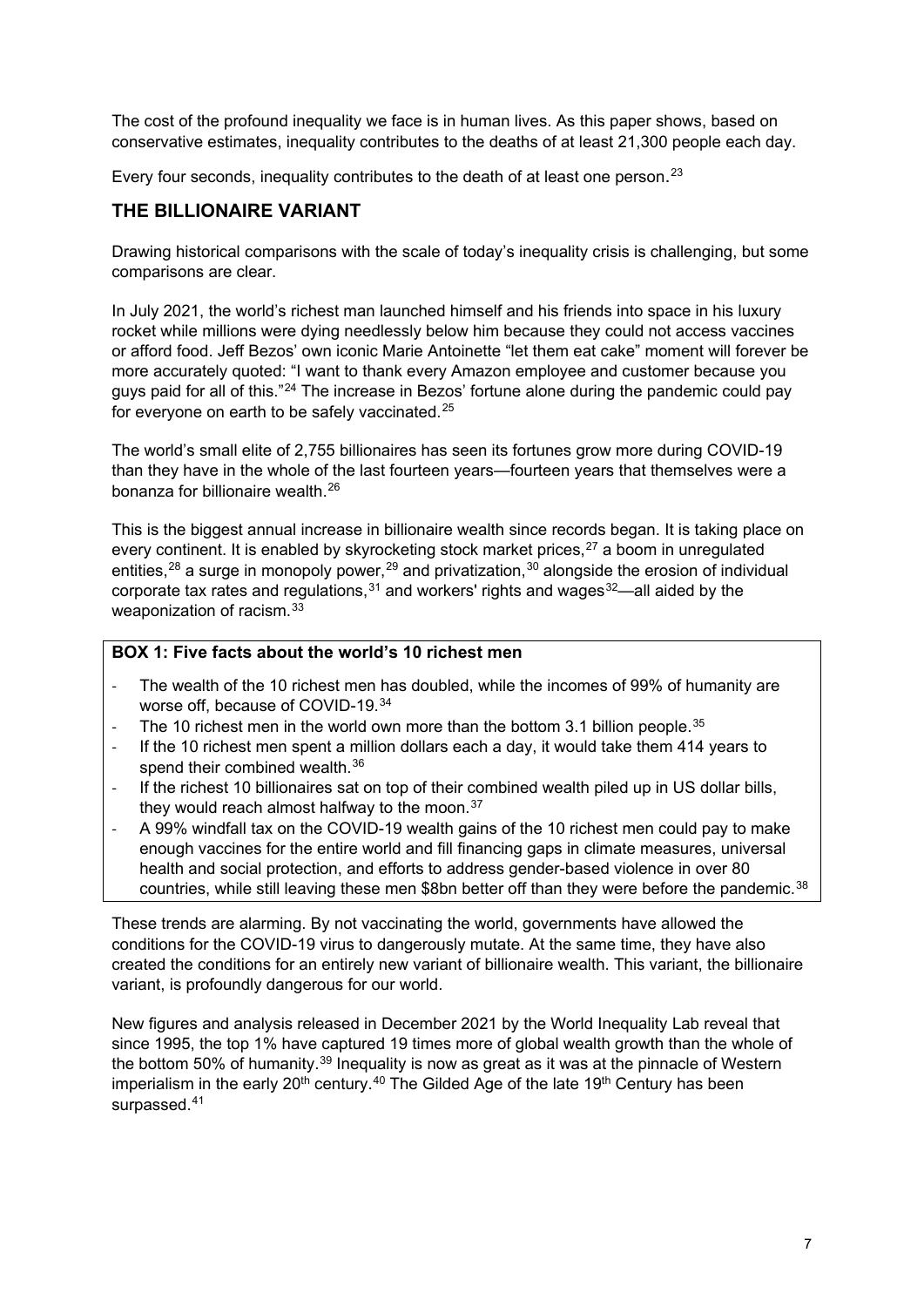The cost of the profound inequality we face is in human lives. As this paper shows, based on conservative estimates, inequality contributes to the deaths of at least 21,300 people each day.

Every four seconds, inequality contributes to the death of at least one person.<sup>[23](#page-35-2)</sup>

## **THE BILLIONAIRE VARIANT**

Drawing historical comparisons with the scale of today's inequality crisis is challenging, but some comparisons are clear.

In July 2021, the world's richest man launched himself and his friends into space in his luxury rocket while millions were dying needlessly below him because they could not access vaccines or afford food. Jeff Bezos' own iconic Marie Antoinette "let them eat cake" moment will forever be more accurately quoted: "I want to thank every Amazon employee and customer because you guys paid for all of this."[24](#page-35-3) The increase in Bezos' fortune alone during the pandemic could pay for everyone on earth to be safely vaccinated.<sup>[25](#page-35-4)</sup>

The world's small elite of 2,755 billionaires has seen its fortunes grow more during COVID-19 than they have in the whole of the last fourteen years—fourteen years that themselves were a bonanza for billionaire wealth.[26](#page-35-5)

This is the biggest annual increase in billionaire wealth since records began. It is taking place on every continent. It is enabled by skyrocketing stock market prices,<sup>[27](#page-35-6)</sup> a boom in unregulated entities,<sup>[28](#page-35-7)</sup> a surge in monopoly power,<sup>[29](#page-35-8)</sup> and privatization,<sup>[30](#page-35-9)</sup> alongside the erosion of individual corporate tax rates and regulations,  $31$  and workers' rights and wages  $32$ —all aided by the weaponization of racism.[33](#page-35-12)

#### **BOX 1: Five facts about the world's 10 richest men**

- The wealth of the 10 richest men has doubled, while the incomes of 99% of humanity are worse off, because of COVID-19.[34](#page-35-13)
- The 10 richest men in the world own more than the bottom 3.1 billion people.<sup>[35](#page-35-14)</sup>
- If the 10 richest men spent a million dollars each a day, it would take them 414 years to spend their combined wealth.<sup>[36](#page-35-15)</sup>
- If the richest 10 billionaires sat on top of their combined wealth piled up in US dollar bills, they would reach almost halfway to the moon. $37$
- A 99% windfall tax on the COVID-19 wealth gains of the 10 richest men could pay to make enough vaccines for the entire world and fill financing gaps in climate measures, universal health and social protection, and efforts to address gender-based violence in over 80 countries, while still leaving these men \$8bn better off than they were before the pandemic.<sup>[38](#page-35-17)</sup>

These trends are alarming. By not vaccinating the world, governments have allowed the conditions for the COVID-19 virus to dangerously mutate. At the same time, they have also created the conditions for an entirely new variant of billionaire wealth. This variant, the billionaire variant, is profoundly dangerous for our world.

New figures and analysis released in December 2021 by the World Inequality Lab reveal that since 1995, the top 1% have captured 19 times more of global wealth growth than the whole of the bottom 50% of humanity.<sup>[39](#page-35-18)</sup> Inequality is now as great as it was at the pinnacle of Western imperialism in the early 20<sup>th</sup> century.<sup>[40](#page-35-19)</sup> The Gilded Age of the late 19<sup>th</sup> Century has been surpassed.<sup>[41](#page-35-20)</sup>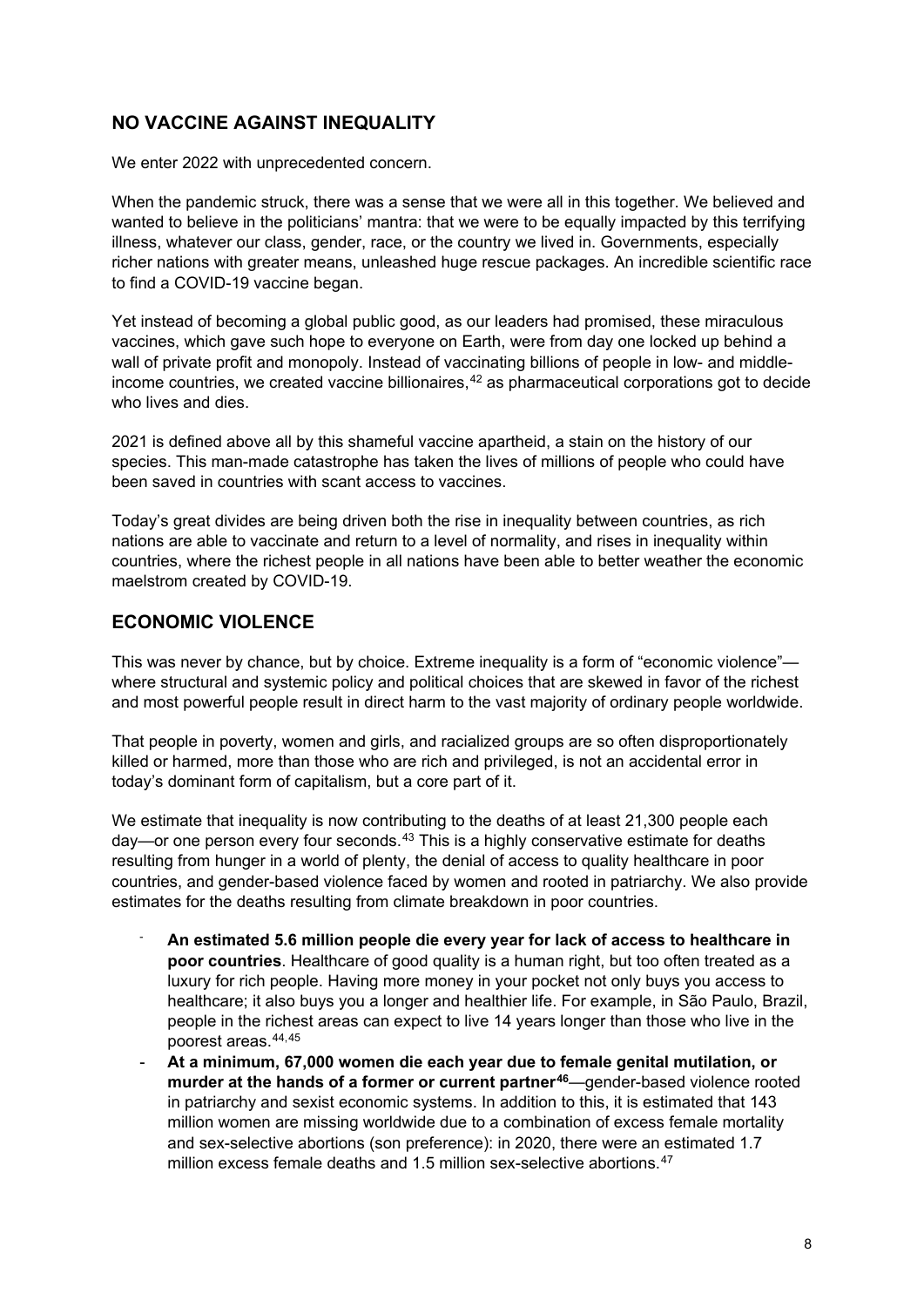## **NO VACCINE AGAINST INEQUALITY**

We enter 2022 with unprecedented concern.

When the pandemic struck, there was a sense that we were all in this together. We believed and wanted to believe in the politicians' mantra: that we were to be equally impacted by this terrifying illness, whatever our class, gender, race, or the country we lived in. Governments, especially richer nations with greater means, unleashed huge rescue packages. An incredible scientific race to find a COVID-19 vaccine began.

Yet instead of becoming a global public good, as our leaders had promised, these miraculous vaccines, which gave such hope to everyone on Earth, were from day one locked up behind a wall of private profit and monopoly. Instead of vaccinating billions of people in low- and middle-income countries, we created vaccine billionaires,<sup>[42](#page-35-21)</sup> as pharmaceutical corporations got to decide who lives and dies.

2021 is defined above all by this shameful vaccine apartheid, a stain on the history of our species. This man-made catastrophe has taken the lives of millions of people who could have been saved in countries with scant access to vaccines.

Today's great divides are being driven both the rise in inequality between countries, as rich nations are able to vaccinate and return to a level of normality, and rises in inequality within countries, where the richest people in all nations have been able to better weather the economic maelstrom created by COVID-19.

## **ECONOMIC VIOLENCE**

This was never by chance, but by choice. Extreme inequality is a form of "economic violence" where structural and systemic policy and political choices that are skewed in favor of the richest and most powerful people result in direct harm to the vast majority of ordinary people worldwide.

That people in poverty, women and girls, and racialized groups are so often disproportionately killed or harmed, more than those who are rich and privileged, is not an accidental error in today's dominant form of capitalism, but a core part of it.

We estimate that inequality is now contributing to the deaths of at least 21,300 people each  $day$ —or one person every four seconds.<sup>[43](#page-35-22)</sup> This is a highly conservative estimate for deaths resulting from hunger in a world of plenty, the denial of access to quality healthcare in poor countries, and gender-based violence faced by women and rooted in patriarchy. We also provide estimates for the deaths resulting from climate breakdown in poor countries.

- **An estimated 5.6 million people die every year for lack of access to healthcare in poor countries**. Healthcare of good quality is a human right, but too often treated as a luxury for rich people. Having more money in your pocket not only buys you access to healthcare; it also buys you a longer and healthier life. For example, in São Paulo, Brazil, people in the richest areas can expect to live 14 years longer than those who live in the poorest areas.[44](#page-35-23),[45](#page-36-0)
- **At a minimum, 67,000 women die each year due to female genital mutilation, or murder at the hands of a former or current partner[46](#page-36-1)**—gender-based violence rooted in patriarchy and sexist economic systems. In addition to this, it is estimated that 143 million women are missing worldwide due to a combination of excess female mortality and sex-selective abortions (son preference): in 2020, there were an estimated 1.7 million excess female deaths and 1.5 million sex-selective abortions.<sup>[47](#page-36-2)</sup>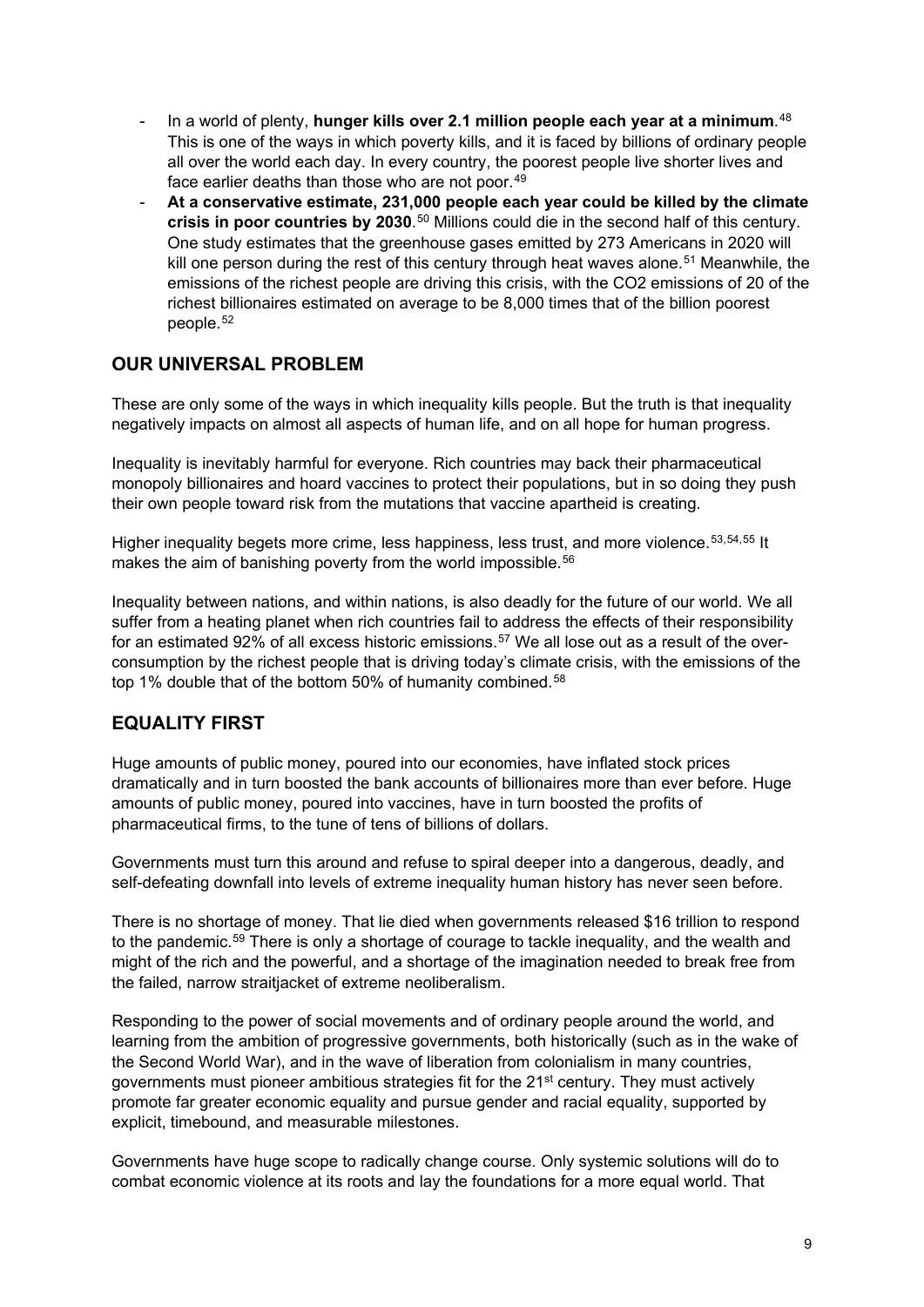- In a world of plenty, **hunger kills over 2.1 million people each year at a minimum**. [48](#page-36-3) This is one of the ways in which poverty kills, and it is faced by billions of ordinary people all over the world each day. In every country, the poorest people live shorter lives and face earlier deaths than those who are not poor.<sup>[49](#page-36-4)</sup>
- **At a conservative estimate, 231,000 people each year could be killed by the climate crisis in poor countries by 2030**.[50](#page-36-5) Millions could die in the second half of this century. One study estimates that the greenhouse gases emitted by 273 Americans in 2020 will kill one person during the rest of this century through heat waves alone.<sup>[51](#page-36-6)</sup> Meanwhile, the emissions of the richest people are driving this crisis, with the CO2 emissions of 20 of the richest billionaires estimated on average to be 8,000 times that of the billion poorest people.[52](#page-36-7)

## **OUR UNIVERSAL PROBLEM**

These are only some of the ways in which inequality kills people. But the truth is that inequality negatively impacts on almost all aspects of human life, and on all hope for human progress.

Inequality is inevitably harmful for everyone. Rich countries may back their pharmaceutical monopoly billionaires and hoard vaccines to protect their populations, but in so doing they push their own people toward risk from the mutations that vaccine apartheid is creating.

Higher inequality begets more crime, less happiness, less trust, and more violence.<sup>[53](#page-36-8),[54](#page-36-9),[55](#page-36-10)</sup> It makes the aim of banishing poverty from the world impossible.<sup>[56](#page-36-11)</sup>

Inequality between nations, and within nations, is also deadly for the future of our world. We all suffer from a heating planet when rich countries fail to address the effects of their responsibility for an estimated 92% of all excess historic emissions.[57](#page-36-12) We all lose out as a result of the overconsumption by the richest people that is driving today's climate crisis, with the emissions of the top 1% double that of the bottom 50% of humanity combined.<sup>[58](#page-36-13)</sup>

## **EQUALITY FIRST**

Huge amounts of public money, poured into our economies, have inflated stock prices dramatically and in turn boosted the bank accounts of billionaires more than ever before. Huge amounts of public money, poured into vaccines, have in turn boosted the profits of pharmaceutical firms, to the tune of tens of billions of dollars.

Governments must turn this around and refuse to spiral deeper into a dangerous, deadly, and self-defeating downfall into levels of extreme inequality human history has never seen before.

There is no shortage of money. That lie died when governments released \$16 trillion to respond to the pandemic.<sup>[59](#page-36-14)</sup> There is only a shortage of courage to tackle inequality, and the wealth and might of the rich and the powerful, and a shortage of the imagination needed to break free from the failed, narrow straitjacket of extreme neoliberalism.

Responding to the power of social movements and of ordinary people around the world, and learning from the ambition of progressive governments, both historically (such as in the wake of the Second World War), and in the wave of liberation from colonialism in many countries, governments must pioneer ambitious strategies fit for the 21<sup>st</sup> century. They must actively promote far greater economic equality and pursue gender and racial equality, supported by explicit, timebound, and measurable milestones.

Governments have huge scope to radically change course. Only systemic solutions will do to combat economic violence at its roots and lay the foundations for a more equal world. That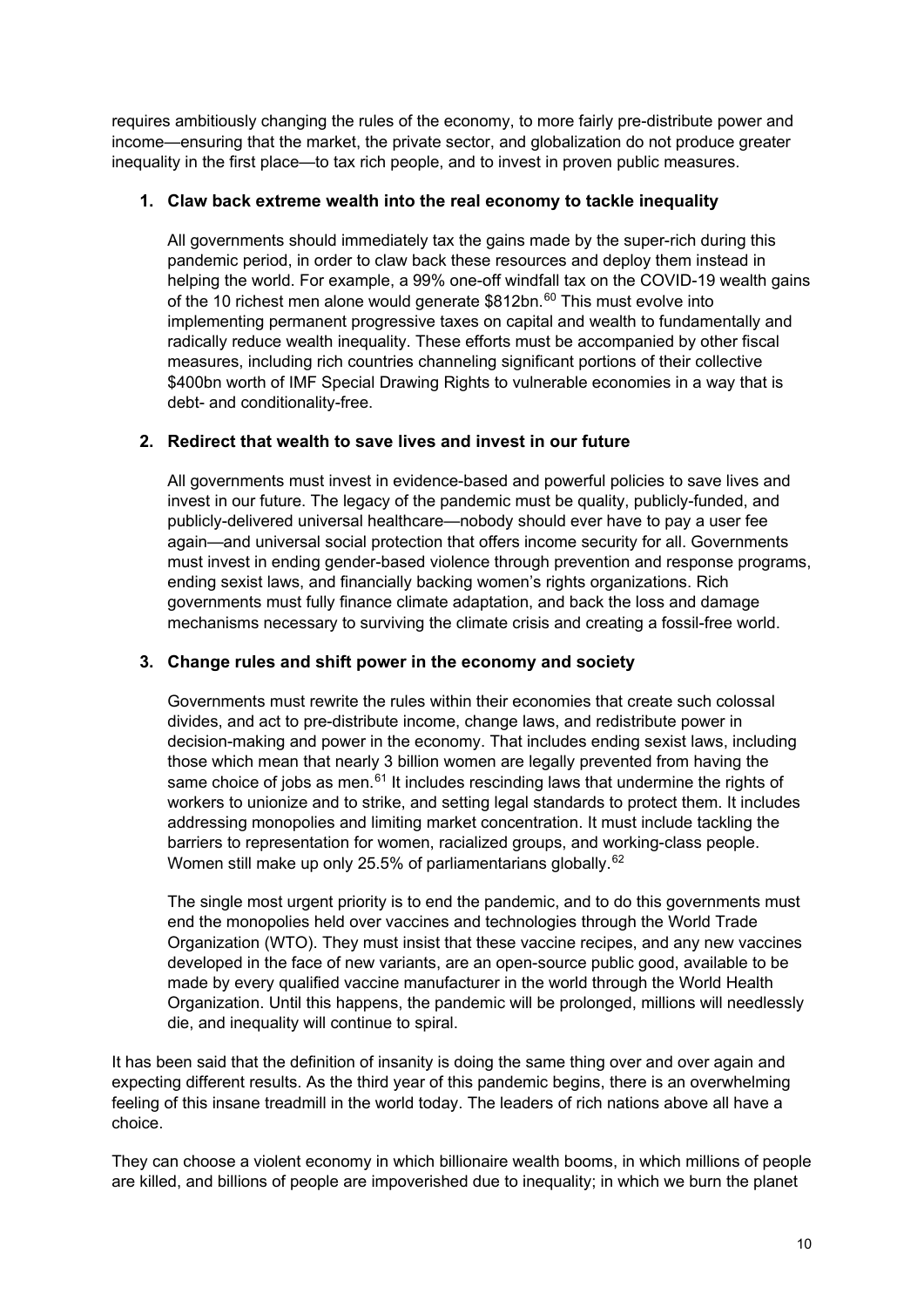requires ambitiously changing the rules of the economy, to more fairly pre-distribute power and income—ensuring that the market, the private sector, and globalization do not produce greater inequality in the first place—to tax rich people, and to invest in proven public measures.

#### **1. Claw back extreme wealth into the real economy to tackle inequality**

All governments should immediately tax the gains made by the super-rich during this pandemic period, in order to claw back these resources and deploy them instead in helping the world. For example, a 99% one-off windfall tax on the COVID-19 wealth gains of the 10 richest men alone would generate \$812bn.<sup>[60](#page-36-15)</sup> This must evolve into implementing permanent progressive taxes on capital and wealth to fundamentally and radically reduce wealth inequality. These efforts must be accompanied by other fiscal measures, including rich countries channeling significant portions of their collective \$400bn worth of IMF Special Drawing Rights to vulnerable economies in a way that is debt- and conditionality-free.

### **2. Redirect that wealth to save lives and invest in our future**

All governments must invest in evidence-based and powerful policies to save lives and invest in our future. The legacy of the pandemic must be quality, publicly-funded, and publicly-delivered universal healthcare—nobody should ever have to pay a user fee again—and universal social protection that offers income security for all. Governments must invest in ending gender-based violence through prevention and response programs, ending sexist laws, and financially backing women's rights organizations. Rich governments must fully finance climate adaptation, and back the loss and damage mechanisms necessary to surviving the climate crisis and creating a fossil-free world.

### **3. Change rules and shift power in the economy and society**

Governments must rewrite the rules within their economies that create such colossal divides, and act to pre-distribute income, change laws, and redistribute power in decision-making and power in the economy. That includes ending sexist laws, including those which mean that nearly 3 billion women are legally prevented from having the same choice of jobs as men. $61$  It includes rescinding laws that undermine the rights of workers to unionize and to strike, and setting legal standards to protect them. It includes addressing monopolies and limiting market concentration. It must include tackling the barriers to representation for women, racialized groups, and working-class people. Women still make up only 25.5% of parliamentarians globally.<sup>[62](#page-36-17)</sup>

The single most urgent priority is to end the pandemic, and to do this governments must end the monopolies held over vaccines and technologies through the World Trade Organization (WTO). They must insist that these vaccine recipes, and any new vaccines developed in the face of new variants, are an open-source public good, available to be made by every qualified vaccine manufacturer in the world through the World Health Organization. Until this happens, the pandemic will be prolonged, millions will needlessly die, and inequality will continue to spiral.

It has been said that the definition of insanity is doing the same thing over and over again and expecting different results. As the third year of this pandemic begins, there is an overwhelming feeling of this insane treadmill in the world today. The leaders of rich nations above all have a choice.

They can choose a violent economy in which billionaire wealth booms, in which millions of people are killed, and billions of people are impoverished due to inequality; in which we burn the planet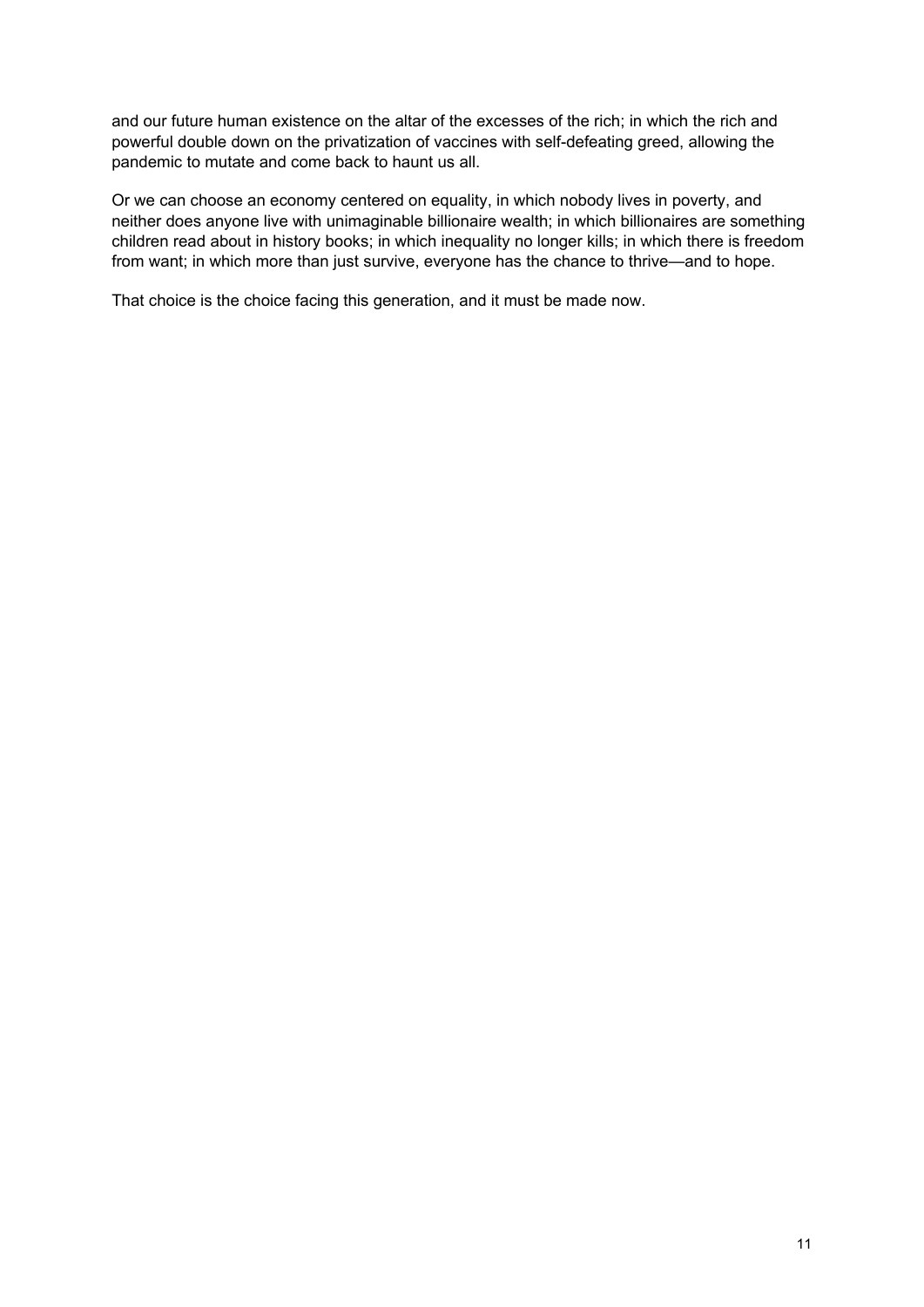and our future human existence on the altar of the excesses of the rich; in which the rich and powerful double down on the privatization of vaccines with self-defeating greed, allowing the pandemic to mutate and come back to haunt us all.

Or we can choose an economy centered on equality, in which nobody lives in poverty, and neither does anyone live with unimaginable billionaire wealth; in which billionaires are something children read about in history books; in which inequality no longer kills; in which there is freedom from want; in which more than just survive, everyone has the chance to thrive—and to hope.

That choice is the choice facing this generation, and it must be made now.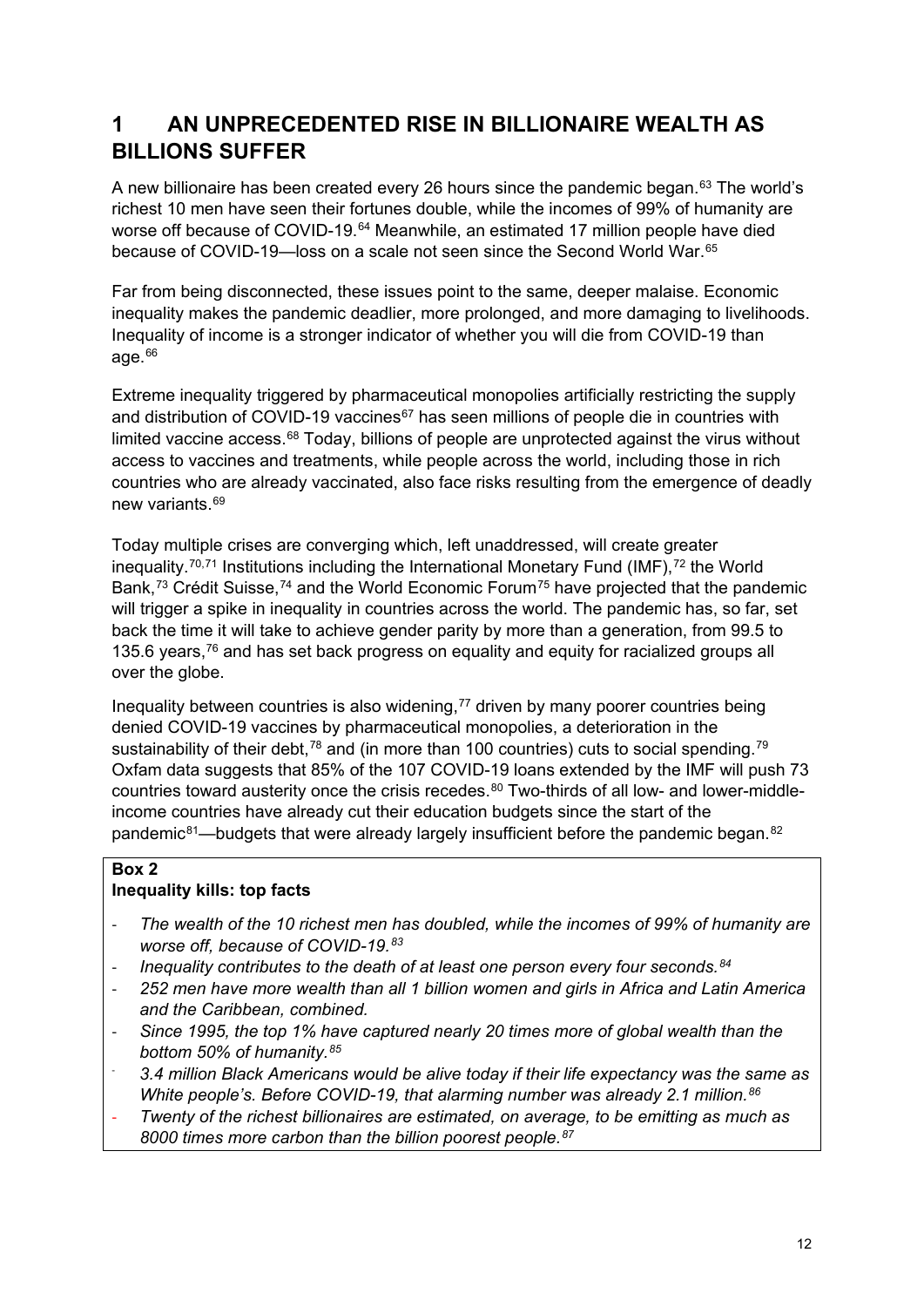## **1 AN UNPRECEDENTED RISE IN BILLIONAIRE WEALTH AS BILLIONS SUFFER**

A new billionaire has been created every 26 hours since the pandemic began.<sup>[63](#page-36-18)</sup> The world's richest 10 men have seen their fortunes double, while the incomes of 99% of humanity are worse off because of COVID-19.<sup>[64](#page-36-19)</sup> Meanwhile, an estimated 17 million people have died because of COVID-19—loss on a scale not seen since the Second World War.[65](#page-36-20)

Far from being disconnected, these issues point to the same, deeper malaise. Economic inequality makes the pandemic deadlier, more prolonged, and more damaging to livelihoods. Inequality of income is a stronger indicator of whether you will die from COVID-19 than age. $66$ 

Extreme inequality triggered by pharmaceutical monopolies artificially restricting the supply and distribution of COVID-19 vaccines<sup>[67](#page-36-22)</sup> has seen millions of people die in countries with limited vaccine access.<sup>[68](#page-37-0)</sup> Today, billions of people are unprotected against the virus without access to vaccines and treatments, while people across the world, including those in rich countries who are already vaccinated, also face risks resulting from the emergence of deadly new variants [69](#page-37-1)

Today multiple crises are converging which, left unaddressed, will create greater inequality.<sup>[70,](#page-37-2)[71](#page-37-3)</sup> Institutions including the International Monetary Fund (IMF),<sup>[72](#page-37-4)</sup> the World Bank,<sup>[73](#page-37-5)</sup> Crédit Suisse,<sup>[74](#page-37-6)</sup> and the World Economic Forum<sup>[75](#page-37-7)</sup> have projected that the pandemic will trigger a spike in inequality in countries across the world. The pandemic has, so far, set back the time it will take to achieve gender parity by more than a generation, from 99.5 to 135.6 years, $76$  and has set back progress on equality and equity for racialized groups all over the globe.

Inequality between countries is also widening, $77$  driven by many poorer countries being denied COVID-19 vaccines by pharmaceutical monopolies, a deterioration in the sustainability of their debt,<sup>[78](#page-37-10)</sup> and (in more than 100 countries) cuts to social spending.<sup>[79](#page-37-11)</sup> Oxfam data suggests that 85% of the 107 COVID-19 loans extended by the IMF will push 73 countries toward austerity once the crisis recedes.<sup>[80](#page-37-12)</sup> Two-thirds of all low- and lower-middleincome countries have already cut their education budgets since the start of the pandemic<sup>81</sup>—budgets that were already largely insufficient before the pandemic began.<sup>[82](#page-37-14)</sup>

#### **Box 2 Inequality kills: top facts**

- *The wealth of the 10 richest men has doubled, while the incomes of 99% of humanity are worse off, because of COVID-19.[83](#page-37-15)*
- *Inequality contributes to the death of at least one person every four seconds.[84](#page-37-16)*
- *252 men have more wealth than all 1 billion women and girls in Africa and Latin America and the Caribbean, combined.*
- *Since 1995, the top 1% have captured nearly 20 times more of global wealth than the bottom 50% of humanity.[85](#page-37-17)*
- *3.4 million Black Americans would be alive today if their life expectancy was the same as White people's. Before COVID-19, that alarming number was already 2.1 million.[86](#page-37-18)*
- *Twenty of the richest billionaires are estimated, on average, to be emitting as much as 8000 times more carbon than the billion poorest people.[87](#page-37-19)*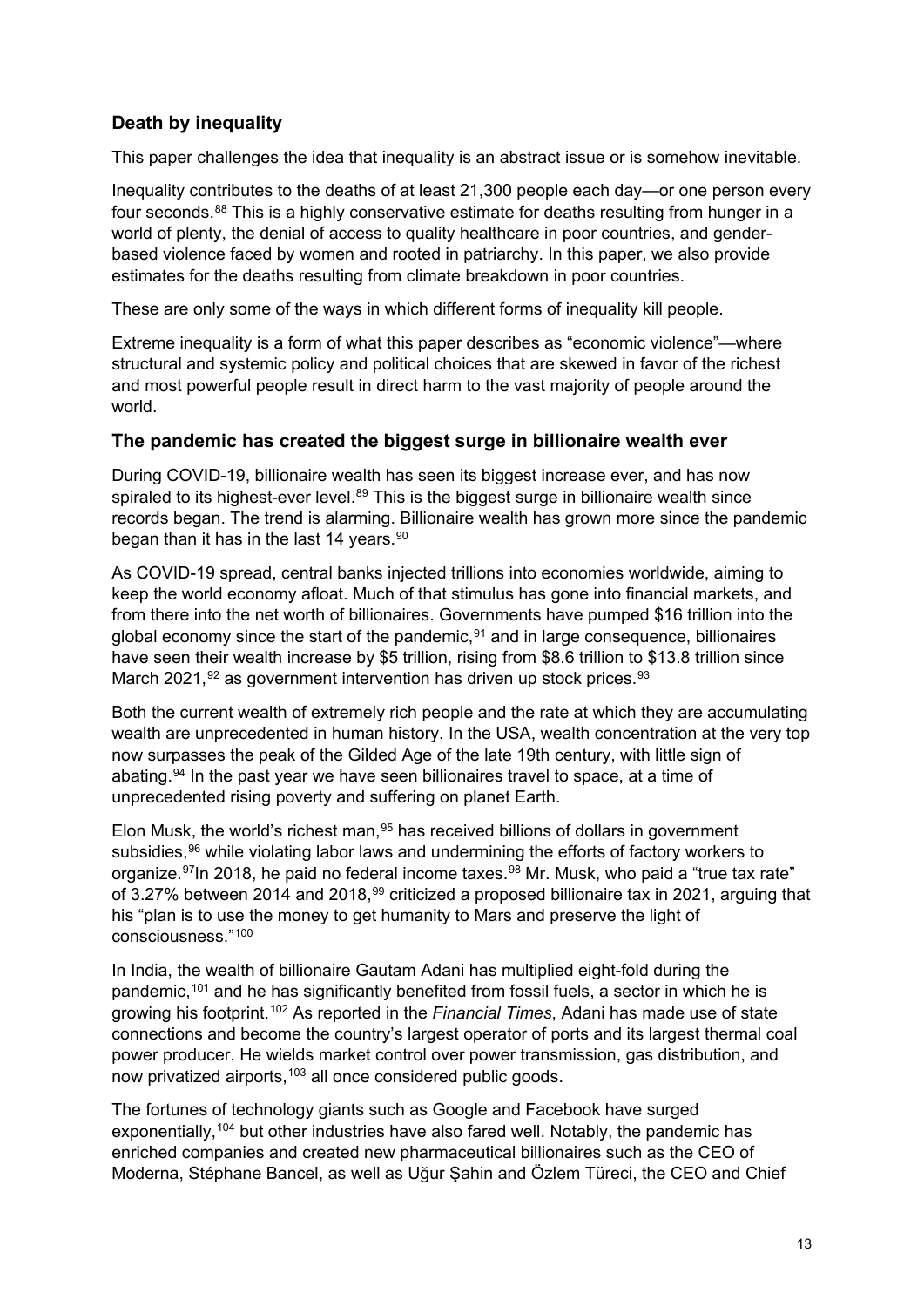## **Death by inequality**

This paper challenges the idea that inequality is an abstract issue or is somehow inevitable.

Inequality contributes to the deaths of at least 21,300 people each day—or one person every four seconds.<sup>[88](#page-37-20)</sup> This is a highly conservative estimate for deaths resulting from hunger in a world of plenty, the denial of access to quality healthcare in poor countries, and genderbased violence faced by women and rooted in patriarchy. In this paper, we also provide estimates for the deaths resulting from climate breakdown in poor countries.

These are only some of the ways in which different forms of inequality kill people.

Extreme inequality is a form of what this paper describes as "economic violence"—where structural and systemic policy and political choices that are skewed in favor of the richest and most powerful people result in direct harm to the vast majority of people around the world.

## **The pandemic has created the biggest surge in billionaire wealth ever**

During COVID-19, billionaire wealth has seen its biggest increase ever, and has now spiraled to its highest-ever level.<sup>[89](#page-37-21)</sup> This is the biggest surge in billionaire wealth since records began. The trend is alarming. Billionaire wealth has grown more since the pandemic began than it has in the last 14 years.<sup>[90](#page-37-22)</sup>

As COVID-19 spread, central banks injected trillions into economies worldwide, aiming to keep the world economy afloat. Much of that stimulus has gone into financial markets, and from there into the net worth of billionaires. Governments have pumped \$16 trillion into the global economy since the start of the pandemic, $91$  and in large consequence, billionaires have seen their wealth increase by \$5 trillion, rising from \$8.6 trillion to \$13.8 trillion since March 2021,  $92$  as government intervention has driven up stock prices.  $93$ 

Both the current wealth of extremely rich people and the rate at which they are accumulating wealth are unprecedented in human history. In the USA, wealth concentration at the very top now surpasses the peak of the Gilded Age of the late 19th century, with little sign of abating.<sup>[94](#page-38-0)</sup> In the past year we have seen billionaires travel to space, at a time of unprecedented rising poverty and suffering on planet Earth.

Elon Musk, the world's richest man,  $95$  has received billions of dollars in government subsidies, <sup>[96](#page-38-2)</sup> while violating labor laws and undermining the efforts of factory workers to organize.<sup>97</sup>In 2018, he paid no federal income taxes.<sup>[98](#page-38-4)</sup> Mr. Musk, who paid a "true tax rate" of 3.27% between 2014 and 2018,<sup>[99](#page-38-5)</sup> criticized a proposed billionaire tax in 2021, arguing that his "plan is to use the money to get humanity to Mars and preserve the light of consciousness."[100](#page-38-6)

In India, the wealth of billionaire Gautam Adani has multiplied eight-fold during the pandemic,[101](#page-38-7) and he has significantly benefited from fossil fuels, a sector in which he is growing his footprint.[102](#page-38-8) As reported in the *Financial Times*, Adani has made use of state connections and become the country's largest operator of ports and its largest thermal coal power producer. He wields market control over power transmission, gas distribution, and now privatized airports,<sup>[103](#page-38-9)</sup> all once considered public goods.

The fortunes of technology giants such as Google and Facebook have surged exponentially,<sup>[104](#page-38-10)</sup> but other industries have also fared well. Notably, the pandemic has enriched companies and created new pharmaceutical billionaires such as the CEO of Moderna, Stéphane Bancel, as well as Uğur Şahin and Özlem Türeci, the CEO and Chief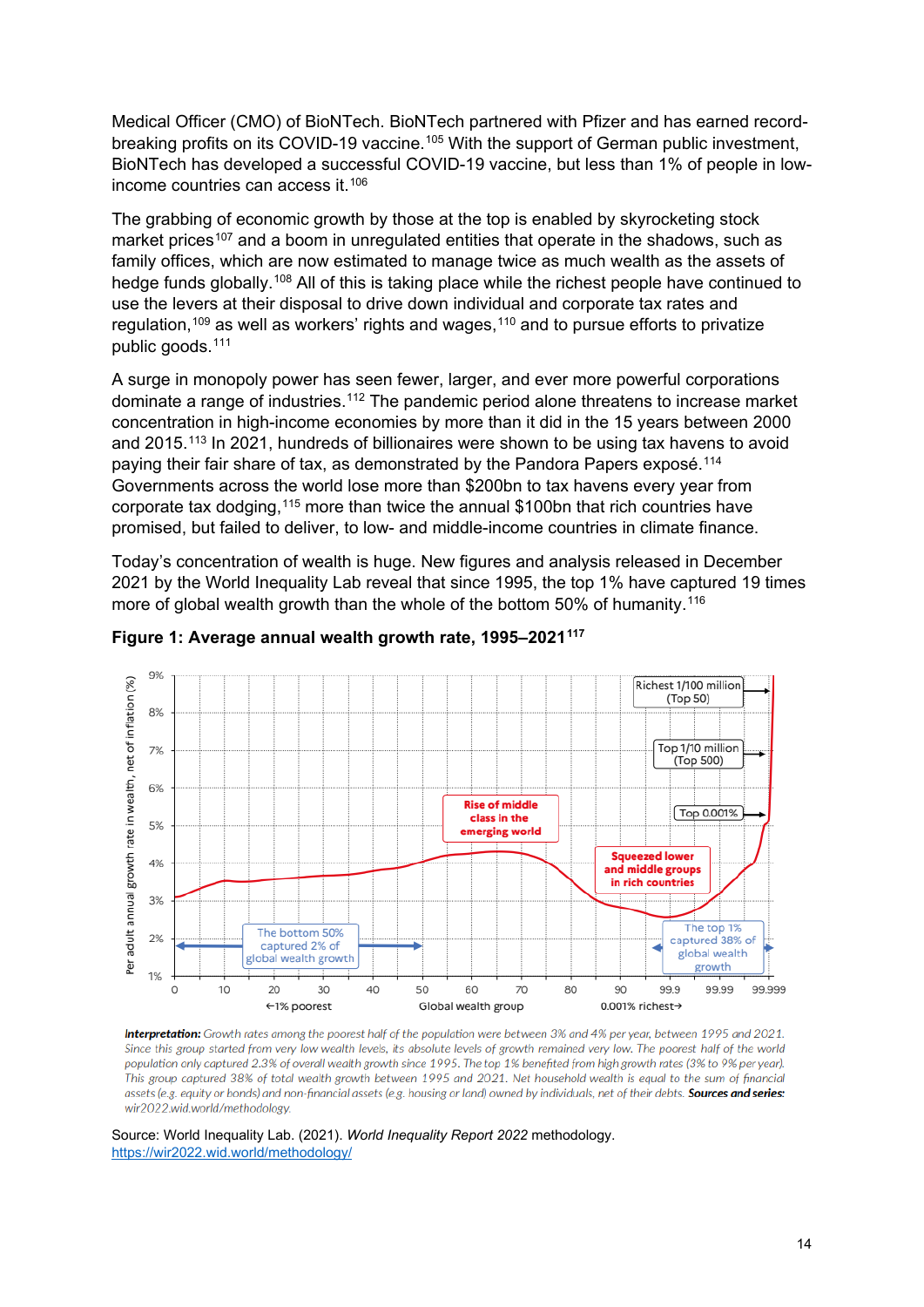Medical Officer (CMO) of BioNTech. BioNTech partnered with Pfizer and has earned record-breaking profits on its COVID-19 vaccine.<sup>[105](#page-38-11)</sup> With the support of German public investment, BioNTech has developed a successful COVID-19 vaccine, but less than 1% of people in lowincome countries can access it.[106](#page-38-12)

The grabbing of economic growth by those at the top is enabled by skyrocketing stock market prices<sup>[107](#page-38-13)</sup> and a boom in unregulated entities that operate in the shadows, such as family offices, which are now estimated to manage twice as much wealth as the assets of hedge funds globally.<sup>[108](#page-38-14)</sup> All of this is taking place while the richest people have continued to use the levers at their disposal to drive down individual and corporate tax rates and regulation,<sup>[109](#page-38-15)</sup> as well as workers' rights and wages,<sup>[110](#page-38-16)</sup> and to pursue efforts to privatize public goods.[111](#page-38-17)

A surge in monopoly power has seen fewer, larger, and ever more powerful corporations dominate a range of industries.<sup>[112](#page-38-18)</sup> The pandemic period alone threatens to increase market concentration in high-income economies by more than it did in the 15 years between 2000 and 2015.[113](#page-38-19) In 2021, hundreds of billionaires were shown to be using tax havens to avoid paying their fair share of tax, as demonstrated by the Pandora Papers exposé.[114](#page-38-20) Governments across the world lose more than \$200bn to tax havens every year from corporate tax dodging,[115](#page-39-0) more than twice the annual \$100bn that rich countries have promised, but failed to deliver, to low- and middle-income countries in climate finance.

Today's concentration of wealth is huge. New figures and analysis released in December 2021 by the World Inequality Lab reveal that since 1995, the top 1% have captured 19 times more of global wealth growth than the whole of the bottom 50% of humanity.<sup>[116](#page-39-1)</sup>



**Figure 1: Average annual wealth growth rate, 1995–2021[117](#page-39-2)**

**Interpretation:** Growth rates among the poorest half of the population were between 3% and 4% per vear, between 1995 and 2021, Since this group started from very low wealth levels, its absolute levels of growth remained very low. The poorest half of the world population only captured 2.3% of overall wealth growth since 1995. The top 1% benefited from high growth rates (3% to 9% per year). This group captured 38% of total wealth growth between 1995 and 2021. Net household wealth is equal to the sum of financial assets (e.g. equity or bonds) and non-financial assets (e.g. housing or land) owned by individuals, net of their debts. Sources and series: wir2022.wid.world/methodology.

Source: World Inequality Lab. (2021). *World Inequality Report 2022* methodology. <https://wir2022.wid.world/methodology/>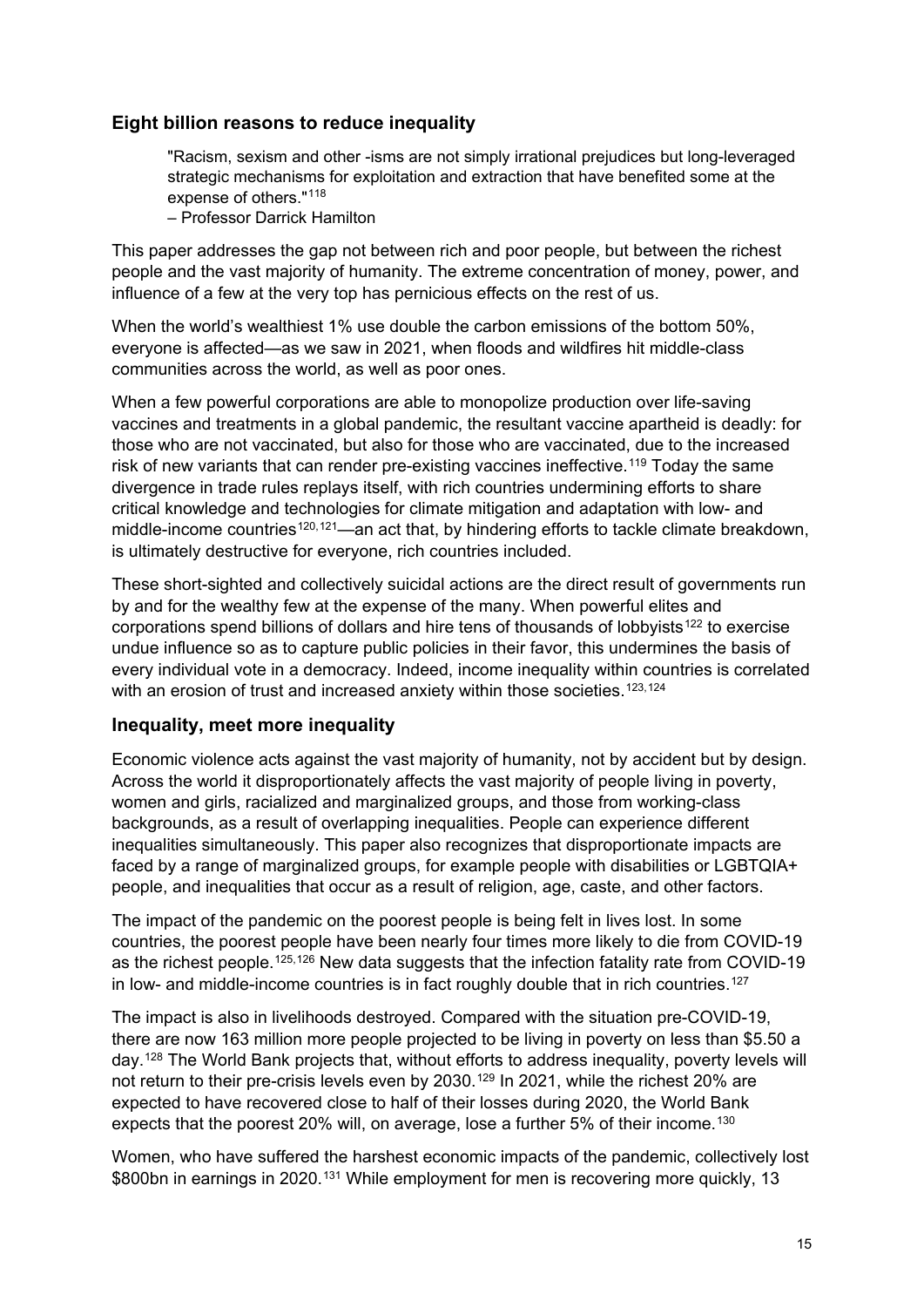## **Eight billion reasons to reduce inequality**

"Racism, sexism and other -isms are not simply irrational prejudices but long-leveraged strategic mechanisms for exploitation and extraction that have benefited some at the expense of others."[118](#page-39-3)

– Professor Darrick Hamilton

This paper addresses the gap not between rich and poor people, but between the richest people and the vast majority of humanity. The extreme concentration of money, power, and influence of a few at the very top has pernicious effects on the rest of us.

When the world's wealthiest 1% use double the carbon emissions of the bottom 50%, everyone is affected—as we saw in 2021, when floods and wildfires hit middle-class communities across the world, as well as poor ones.

When a few powerful corporations are able to monopolize production over life-saving vaccines and treatments in a global pandemic, the resultant vaccine apartheid is deadly: for those who are not vaccinated, but also for those who are vaccinated, due to the increased risk of new variants that can render pre-existing vaccines ineffective.<sup>[119](#page-39-4)</sup> Todav the same divergence in trade rules replays itself, with rich countries undermining efforts to share critical knowledge and technologies for climate mitigation and adaptation with low- and middle-income countries<sup>[120](#page-39-5),121</sup>—an act that, by hindering efforts to tackle climate breakdown, is ultimately destructive for everyone, rich countries included.

These short-sighted and collectively suicidal actions are the direct result of governments run by and for the wealthy few at the expense of the many. When powerful elites and corporations spend billions of dollars and hire tens of thousands of lobbyists<sup>[122](#page-39-7)</sup> to exercise undue influence so as to capture public policies in their favor, this undermines the basis of every individual vote in a democracy. Indeed, income inequality within countries is correlated with an erosion of trust and increased anxiety within those societies.<sup>[123](#page-39-8),[124](#page-39-9)</sup>

## **Inequality, meet more inequality**

Economic violence acts against the vast majority of humanity, not by accident but by design. Across the world it disproportionately affects the vast majority of people living in poverty, women and girls, racialized and marginalized groups, and those from working-class backgrounds, as a result of overlapping inequalities. People can experience different inequalities simultaneously. This paper also recognizes that disproportionate impacts are faced by a range of marginalized groups, for example people with disabilities or LGBTQIA+ people, and inequalities that occur as a result of religion, age, caste, and other factors.

The impact of the pandemic on the poorest people is being felt in lives lost. In some countries, the poorest people have been nearly four times more likely to die from COVID-19 as the richest people.<sup>[125,](#page-39-10)[126](#page-39-11)</sup> New data suggests that the infection fatality rate from COVID-19 in low- and middle-income countries is in fact roughly double that in rich countries. [127](#page-39-12)

The impact is also in livelihoods destroyed. Compared with the situation pre-COVID-19, there are now 163 million more people projected to be living in poverty on less than \$5.50 a day.[128](#page-39-13) The World Bank projects that, without efforts to address inequality, poverty levels will not return to their pre-crisis levels even by 2030.<sup>[129](#page-39-14)</sup> In 2021, while the richest 20% are expected to have recovered close to half of their losses during 2020, the World Bank expects that the poorest 20% will, on average, lose a further 5% of their income.<sup>[130](#page-39-15)</sup>

Women, who have suffered the harshest economic impacts of the pandemic, collectively lost \$800bn in earnings in 2020.<sup>[131](#page-39-16)</sup> While employment for men is recovering more quickly, 13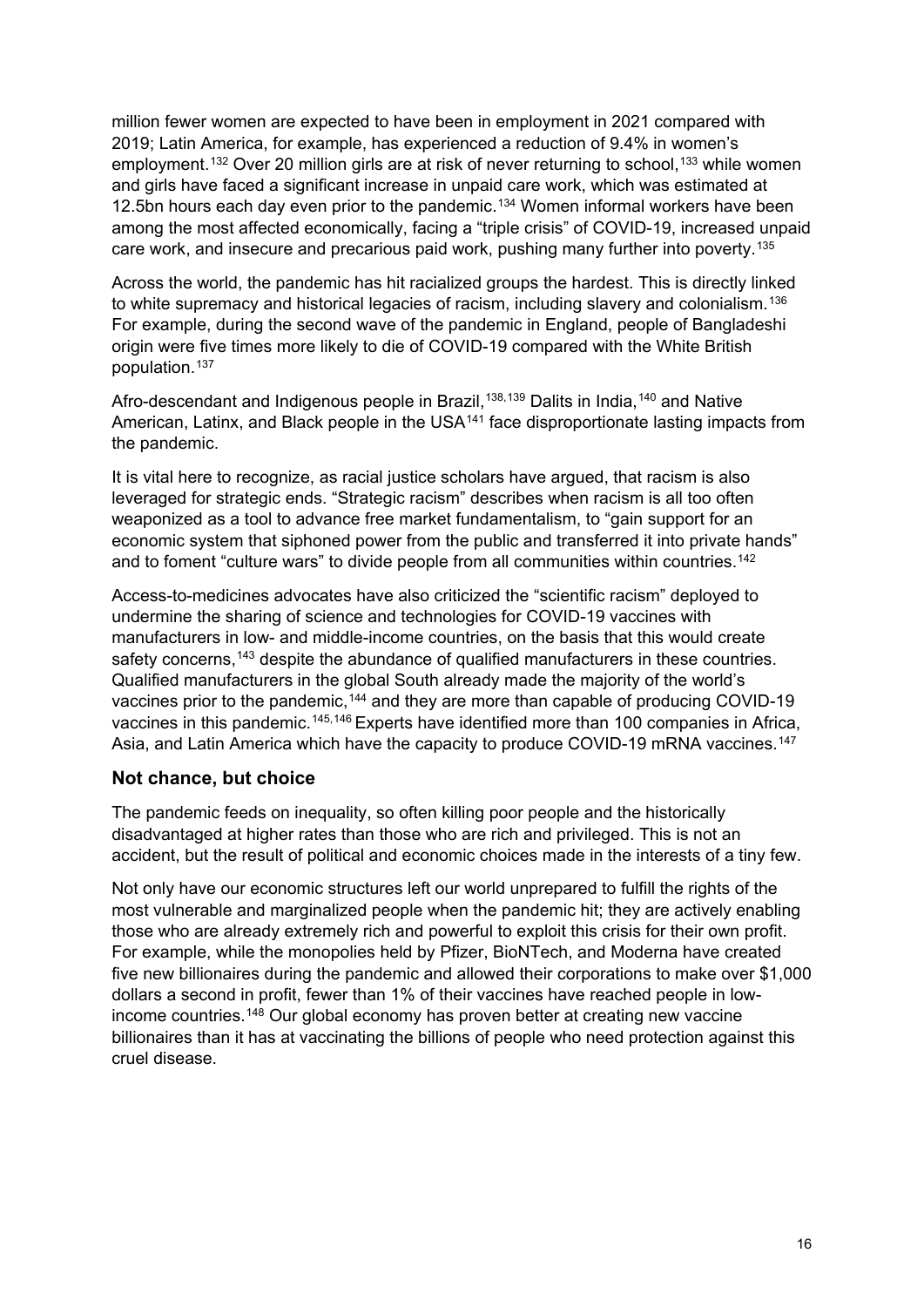million fewer women are expected to have been in employment in 2021 compared with 2019; Latin America, for example, has experienced a reduction of 9.4% in women's employment.<sup>[132](#page-39-17)</sup> Over 20 million girls are at risk of never returning to school,<sup>[133](#page-39-18)</sup> while women and girls have faced a significant increase in unpaid care work, which was estimated at 12.5bn hours each day even prior to the pandemic.<sup>[134](#page-40-0)</sup> Women informal workers have been among the most affected economically, facing a "triple crisis" of COVID-19, increased unpaid care work, and insecure and precarious paid work, pushing many further into poverty.<sup>[135](#page-40-1)</sup>

Across the world, the pandemic has hit racialized groups the hardest. This is directly linked to white supremacy and historical legacies of racism, including slavery and colonialism.<sup>[136](#page-40-2)</sup> For example, during the second wave of the pandemic in England, people of Bangladeshi origin were five times more likely to die of COVID-19 compared with the White British population.[137](#page-40-3)

Afro-descendant and Indigenous people in Brazil,<sup>[138](#page-40-4),[139](#page-40-5)</sup> Dalits in India,<sup>[140](#page-40-6)</sup> and Native American, Latinx, and Black people in the USA<sup>[141](#page-40-7)</sup> face disproportionate lasting impacts from the pandemic.

It is vital here to recognize, as racial justice scholars have argued, that racism is also leveraged for strategic ends. "Strategic racism" describes when racism is all too often weaponized as a tool to advance free market fundamentalism, to "gain support for an economic system that siphoned power from the public and transferred it into private hands" and to foment "culture wars" to divide people from all communities within countries.<sup>[142](#page-40-8)</sup>

Access-to-medicines advocates have also criticized the "scientific racism" deployed to undermine the sharing of science and technologies for COVID-19 vaccines with manufacturers in low- and middle-income countries, on the basis that this would create safety concerns,<sup>[143](#page-40-9)</sup> despite the abundance of qualified manufacturers in these countries. Qualified manufacturers in the global South already made the majority of the world's vaccines prior to the pandemic,<sup>[144](#page-40-10)</sup> and they are more than capable of producing COVID-19 vaccines in this pandemic.<sup>[145,](#page-40-11)[146](#page-40-12)</sup> Experts have identified more than 100 companies in Africa, Asia, and Latin America which have the capacity to produce COVID-19 mRNA vaccines.<sup>[147](#page-40-13)</sup>

## **Not chance, but choice**

The pandemic feeds on inequality, so often killing poor people and the historically disadvantaged at higher rates than those who are rich and privileged. This is not an accident, but the result of political and economic choices made in the interests of a tiny few.

Not only have our economic structures left our world unprepared to fulfill the rights of the most vulnerable and marginalized people when the pandemic hit; they are actively enabling those who are already extremely rich and powerful to exploit this crisis for their own profit. For example, while the monopolies held by Pfizer, BioNTech, and Moderna have created five new billionaires during the pandemic and allowed their corporations to make over \$1,000 dollars a second in profit, fewer than 1% of their vaccines have reached people in low-income countries.<sup>[148](#page-40-14)</sup> Our global economy has proven better at creating new vaccine billionaires than it has at vaccinating the billions of people who need protection against this cruel disease.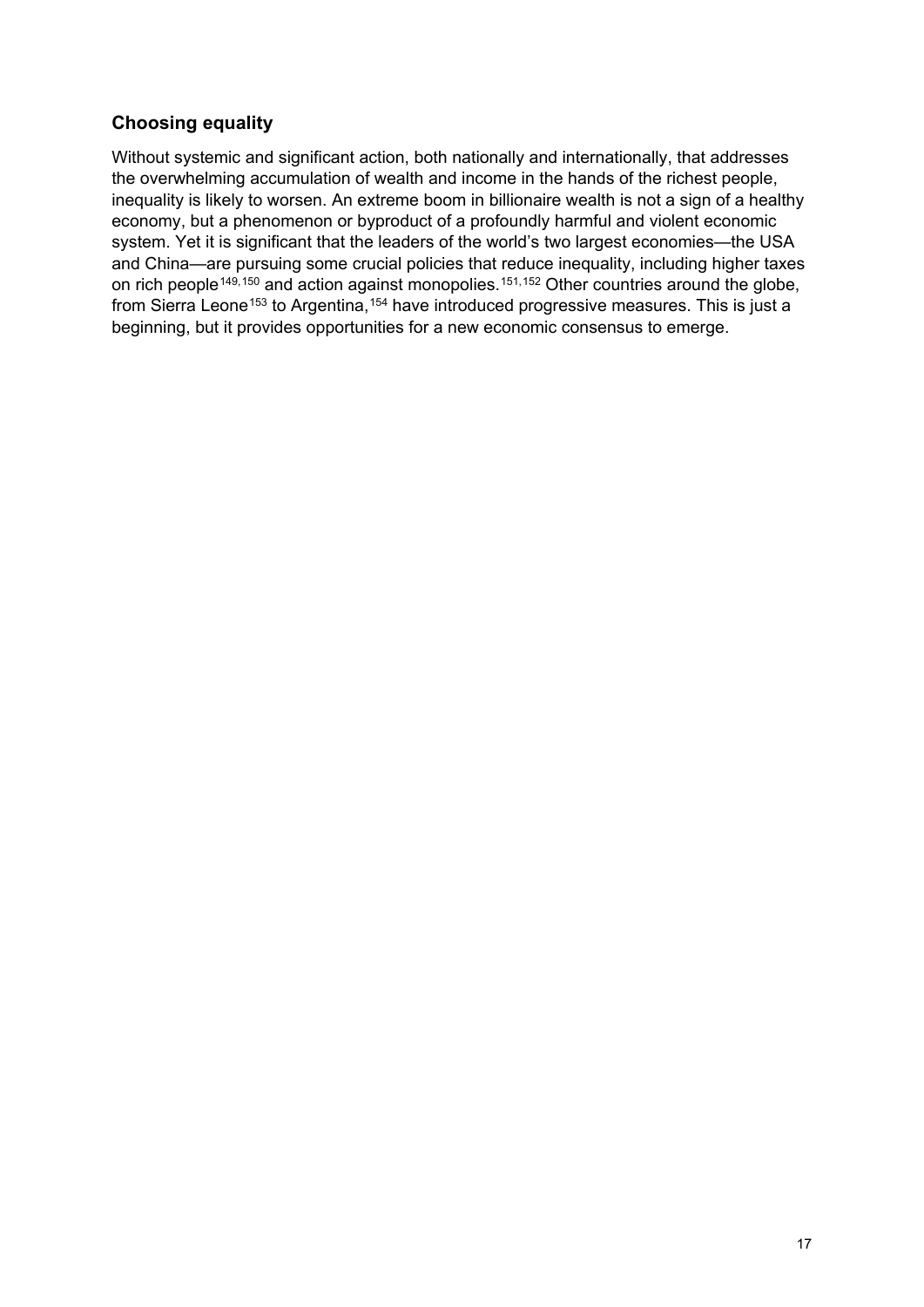## **Choosing equality**

Without systemic and significant action, both nationally and internationally, that addresses the overwhelming accumulation of wealth and income in the hands of the richest people, inequality is likely to worsen. An extreme boom in billionaire wealth is not a sign of a healthy economy, but a phenomenon or byproduct of a profoundly harmful and violent economic system. Yet it is significant that the leaders of the world's two largest economies—the USA and China—are pursuing some crucial policies that reduce inequality, including higher taxes on rich people<sup>[149](#page-40-15),[150](#page-40-16)</sup> and action against monopolies.<sup>[151](#page-40-17),[152](#page-40-18)</sup> Other countries around the globe, from Sierra Leone<sup>[153](#page-41-0)</sup> to Argentina,<sup>[154](#page-41-1)</sup> have introduced progressive measures. This is just a beginning, but it provides opportunities for a new economic consensus to emerge.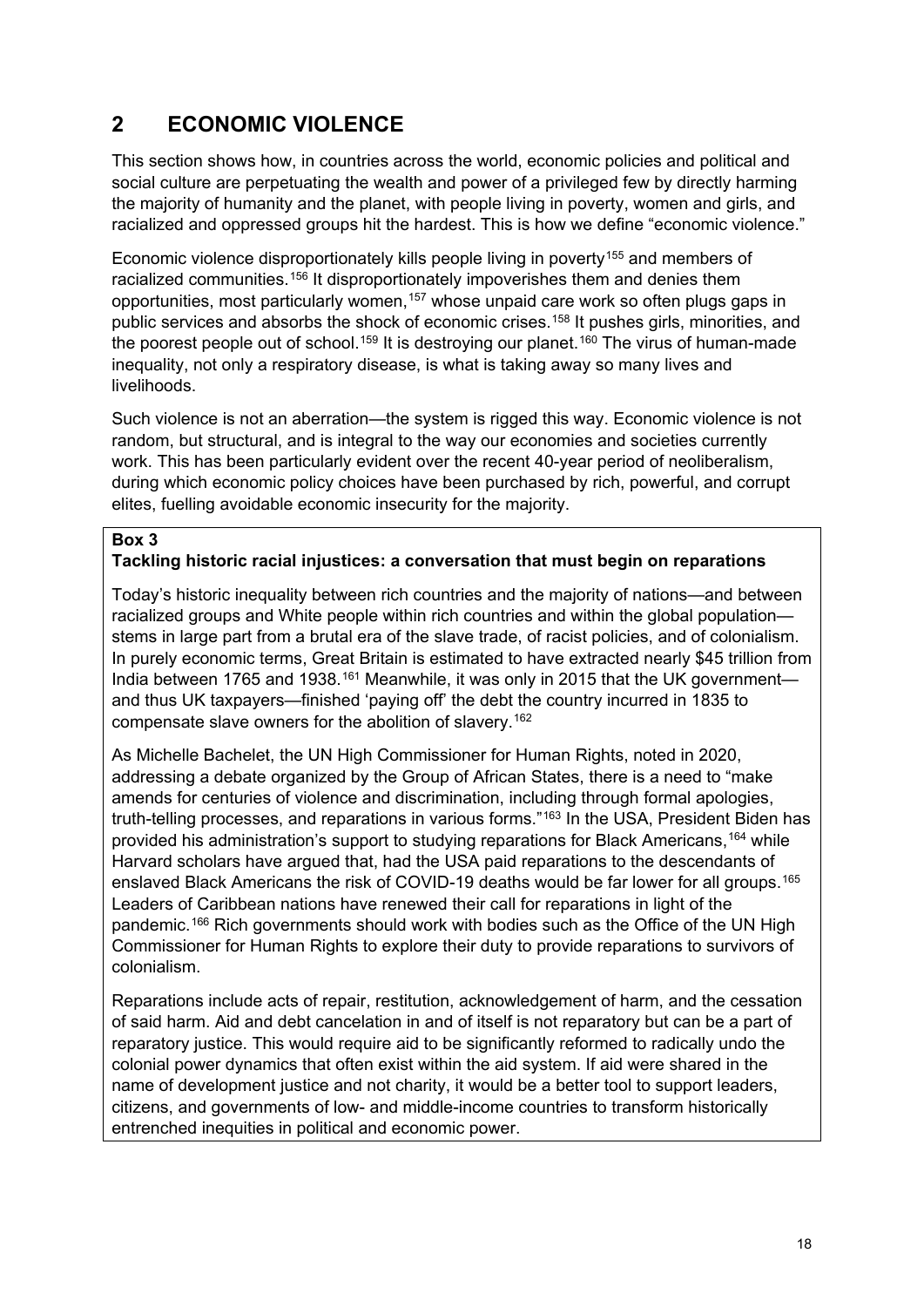# **2 ECONOMIC VIOLENCE**

This section shows how, in countries across the world, economic policies and political and social culture are perpetuating the wealth and power of a privileged few by directly harming the majority of humanity and the planet, with people living in poverty, women and girls, and racialized and oppressed groups hit the hardest. This is how we define "economic violence."

Economic violence disproportionately kills people living in poverty<sup>[155](#page-41-2)</sup> and members of racialized communities.<sup>[156](#page-41-3)</sup> It disproportionately impoverishes them and denies them opportunities, most particularly women,<sup>[157](#page-41-4)</sup> whose unpaid care work so often plugs gaps in public services and absorbs the shock of economic crises.<sup>[158](#page-41-5)</sup> It pushes girls, minorities, and the poorest people out of school.<sup>[159](#page-41-6)</sup> It is destroying our planet.<sup>[160](#page-41-7)</sup> The virus of human-made inequality, not only a respiratory disease, is what is taking away so many lives and livelihoods.

Such violence is not an aberration—the system is rigged this way. Economic violence is not random, but structural, and is integral to the way our economies and societies currently work. This has been particularly evident over the recent 40-year period of neoliberalism, during which economic policy choices have been purchased by rich, powerful, and corrupt elites, fuelling avoidable economic insecurity for the majority.

#### **Box 3**

#### **Tackling historic racial injustices: a conversation that must begin on reparations**

Today's historic inequality between rich countries and the majority of nations—and between racialized groups and White people within rich countries and within the global population stems in large part from a brutal era of the slave trade, of racist policies, and of colonialism. In purely economic terms, Great Britain is estimated to have extracted nearly \$45 trillion from India between 1765 and 1938.<sup>[161](#page-41-8)</sup> Meanwhile, it was only in 2015 that the UK government and thus UK taxpayers—finished 'paying off' the debt the country incurred in 1835 to compensate slave owners for the abolition of slavery.<sup>[162](#page-41-9)</sup>

As Michelle Bachelet, the UN High Commissioner for Human Rights, noted in 2020, addressing a debate organized by the Group of African States, there is a need to "make amends for centuries of violence and discrimination, including through formal apologies, truth-telling processes, and reparations in various forms."<sup>[163](#page-41-10)</sup> In the USA, President Biden has provided his administration's support to studying reparations for Black Americans,[164](#page-41-11) while Harvard scholars have argued that, had the USA paid reparations to the descendants of enslaved Black Americans the risk of COVID-19 deaths would be far lower for all groups.[165](#page-41-12) Leaders of Caribbean nations have renewed their call for reparations in light of the pandemic.<sup>[166](#page-41-13)</sup> Rich governments should work with bodies such as the Office of the UN High Commissioner for Human Rights to explore their duty to provide reparations to survivors of colonialism.

Reparations include acts of repair, restitution, acknowledgement of harm, and the cessation of said harm. Aid and debt cancelation in and of itself is not reparatory but can be a part of reparatory justice. This would require aid to be significantly reformed to radically undo the colonial power dynamics that often exist within the aid system. If aid were shared in the name of development justice and not charity, it would be a better tool to support leaders, citizens, and governments of low- and middle-income countries to transform historically entrenched inequities in political and economic power.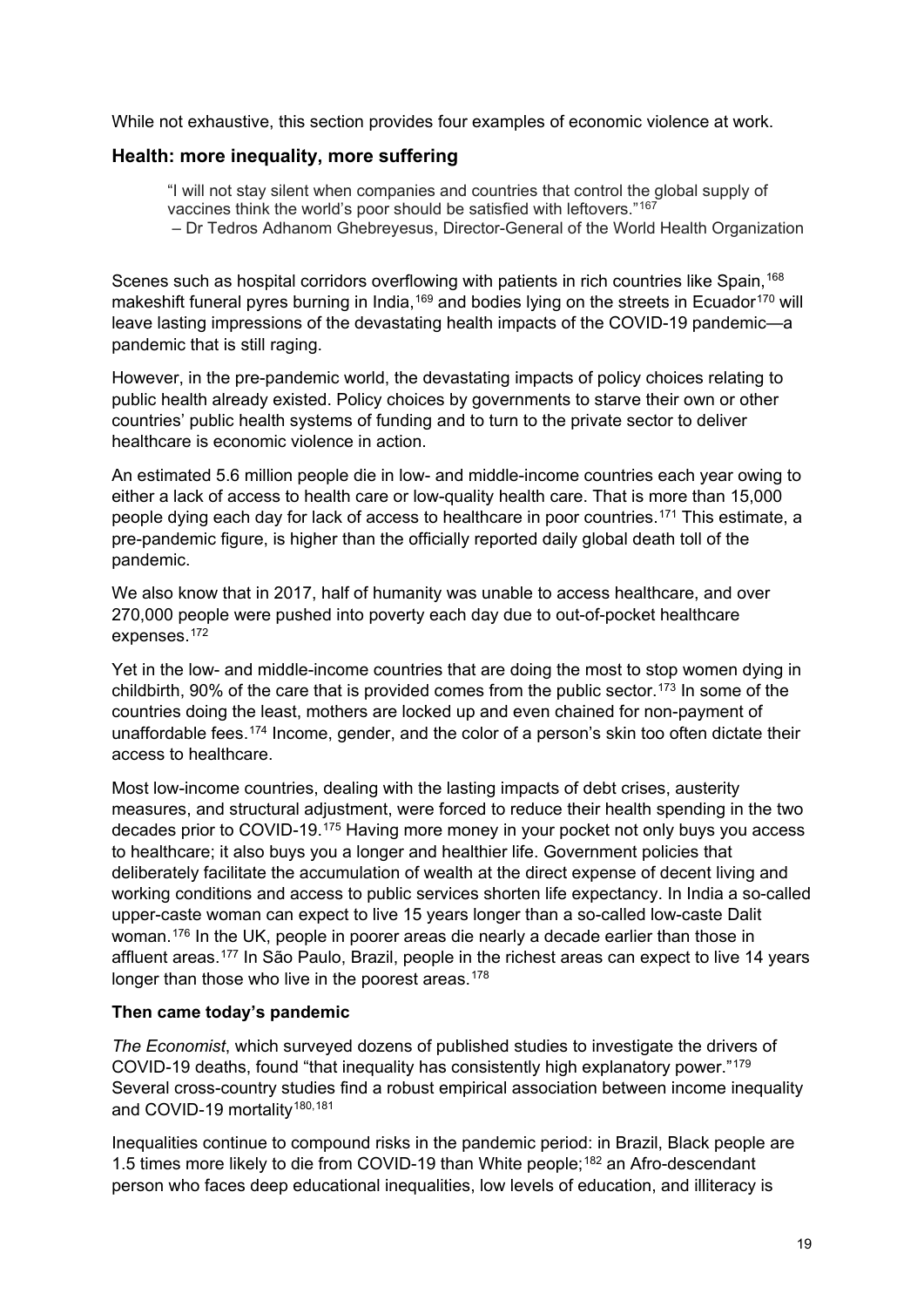While not exhaustive, this section provides four examples of economic violence at work.

### **Health: more inequality, more suffering**

pandemic that is still raging.

"I will not stay silent when companies and countries that control the global supply of vaccines think the world's poor should be satisfied with leftovers."[167](#page-41-14) – Dr Tedros Adhanom Ghebreyesus, Director-General of the World Health Organization

Scenes such as hospital corridors overflowing with patients in rich countries like Spain.<sup>[168](#page-41-15)</sup> makeshift funeral pyres burning in India,<sup>[169](#page-41-16)</sup> and bodies lying on the streets in Ecuador<sup>[170](#page-42-0)</sup> will leave lasting impressions of the devastating health impacts of the COVID-19 pandemic—a

However, in the pre-pandemic world, the devastating impacts of policy choices relating to public health already existed. Policy choices by governments to starve their own or other countries' public health systems of funding and to turn to the private sector to deliver healthcare is economic violence in action.

An estimated 5.6 million people die in low- and middle-income countries each year owing to either a lack of access to health care or low-quality health care. That is more than 15,000 people dying each day for lack of access to healthcare in poor countries.[171](#page-42-1) This estimate, a pre-pandemic figure, is higher than the officially reported daily global death toll of the pandemic.

We also know that in 2017, half of humanity was unable to access healthcare, and over 270,000 people were pushed into poverty each day due to out-of-pocket healthcare expenses.[172](#page-42-2)

Yet in the low- and middle-income countries that are doing the most to stop women dying in childbirth, 90% of the care that is provided comes from the public sector.<sup>[173](#page-42-3)</sup> In some of the countries doing the least, mothers are locked up and even chained for non-payment of unaffordable fees.[174](#page-42-4) Income, gender, and the color of a person's skin too often dictate their access to healthcare.

Most low-income countries, dealing with the lasting impacts of debt crises, austerity measures, and structural adjustment, were forced to reduce their health spending in the two decades prior to COVID-19.[175](#page-42-5) Having more money in your pocket not only buys you access to healthcare; it also buys you a longer and healthier life. Government policies that deliberately facilitate the accumulation of wealth at the direct expense of decent living and working conditions and access to public services shorten life expectancy. In India a so-called upper-caste woman can expect to live 15 years longer than a so-called low-caste Dalit woman.[176](#page-42-6) In the UK, people in poorer areas die nearly a decade earlier than those in affluent areas.[177](#page-42-7) In São Paulo, Brazil, people in the richest areas can expect to live 14 years longer than those who live in the poorest areas.<sup>[178](#page-42-8)</sup>

#### **Then came today's pandemic**

*The Economist*, which surveyed dozens of published studies to investigate the drivers of COVID-19 deaths, found "that inequality has consistently high explanatory power."[179](#page-42-9) Several cross-country studies find a robust empirical association between income inequality and COVID-19 mortality<sup>[180,](#page-42-10)[181](#page-42-11)</sup>

Inequalities continue to compound risks in the pandemic period: in Brazil, Black people are 1.5 times more likely to die from COVID-19 than White people;[182](#page-42-12) an Afro-descendant person who faces deep educational inequalities, low levels of education, and illiteracy is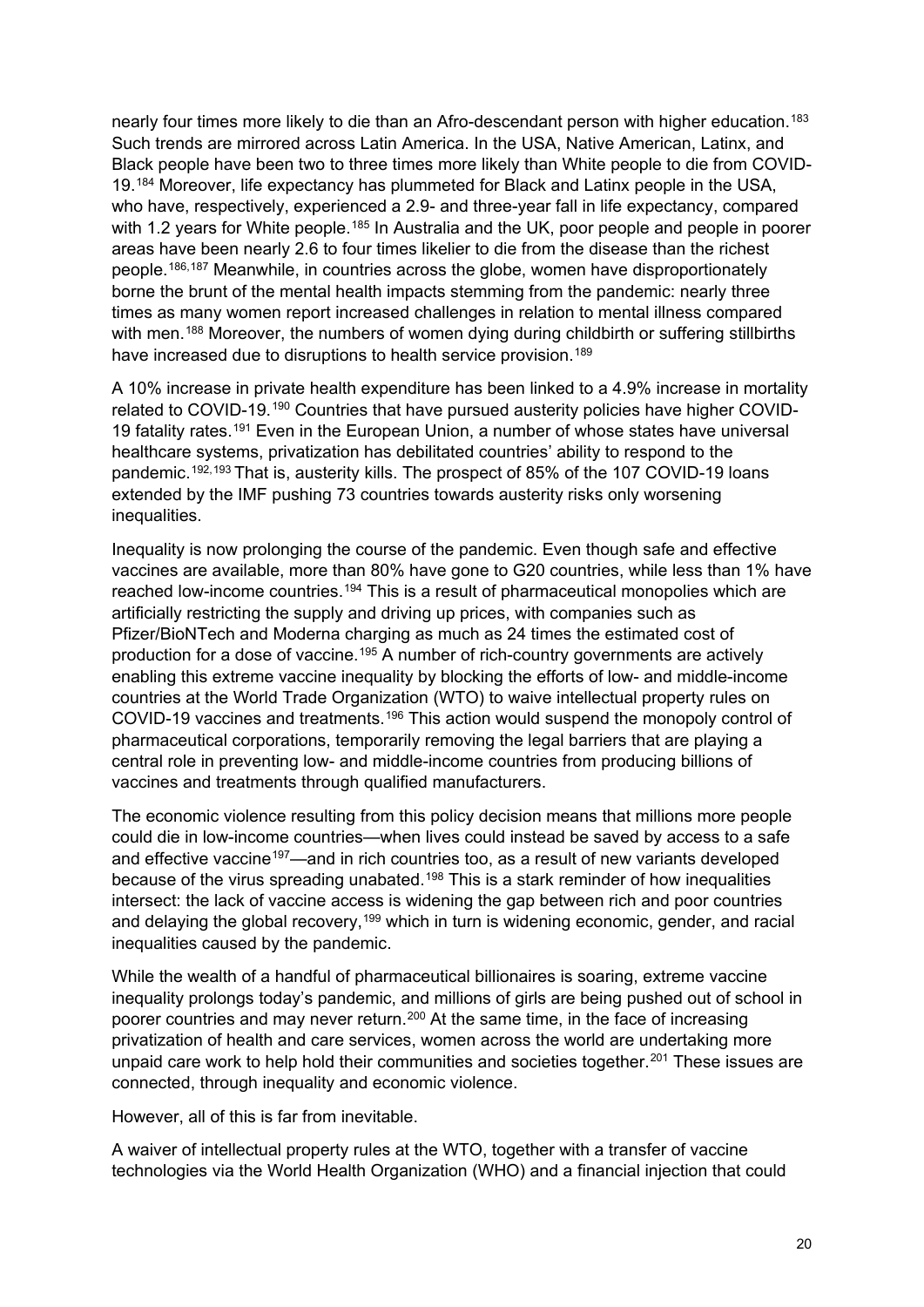nearly four times more likely to die than an Afro-descendant person with higher education.<sup>[183](#page-42-13)</sup> Such trends are mirrored across Latin America. In the USA, Native American, Latinx, and Black people have been two to three times more likely than White people to die from COVID-19.[184](#page-42-14) Moreover, life expectancy has plummeted for Black and Latinx people in the USA, who have, respectively, experienced a 2.9- and three-year fall in life expectancy, compared with 1.2 years for White people.<sup>[185](#page-42-15)</sup> In Australia and the UK, poor people and people in poorer areas have been nearly 2.6 to four times likelier to die from the disease than the richest people.[186](#page-42-16),[187](#page-42-17) Meanwhile, in countries across the globe, women have disproportionately borne the brunt of the mental health impacts stemming from the pandemic: nearly three times as many women report increased challenges in relation to mental illness compared with men.<sup>[188](#page-42-18)</sup> Moreover, the numbers of women dying during childbirth or suffering stillbirths have increased due to disruptions to health service provision.<sup>[189](#page-43-0)</sup>

A 10% increase in private health expenditure has been linked to a 4.9% increase in mortality related to COVID-19.[190](#page-43-1) Countries that have pursued austerity policies have higher COVID-19 fatality rates.[191](#page-43-2) Even in the European Union, a number of whose states have universal healthcare systems, privatization has debilitated countries' ability to respond to the pandemic.<sup>[192,](#page-43-3)[193](#page-43-4)</sup> That is, austerity kills. The prospect of 85% of the 107 COVID-19 loans extended by the IMF pushing 73 countries towards austerity risks only worsening inequalities.

Inequality is now prolonging the course of the pandemic. Even though safe and effective vaccines are available, more than 80% have gone to G20 countries, while less than 1% have reached low-income countries.[194](#page-43-5) This is a result of pharmaceutical monopolies which are artificially restricting the supply and driving up prices, with companies such as Pfizer/BioNTech and Moderna charging as much as 24 times the estimated cost of production for a dose of vaccine[.195](#page-43-6) A number of rich-country governments are actively enabling this extreme vaccine inequality by blocking the efforts of low- and middle-income countries at the World Trade Organization (WTO) to waive intellectual property rules on COVID-19 vaccines and treatments.[196](#page-43-7) This action would suspend the monopoly control of pharmaceutical corporations, temporarily removing the legal barriers that are playing a central role in preventing low- and middle-income countries from producing billions of vaccines and treatments through qualified manufacturers.

The economic violence resulting from this policy decision means that millions more people could die in low-income countries—when lives could instead be saved by access to a safe and effective vaccine<sup>197</sup>—and in rich countries too, as a result of new variants developed because of the virus spreading unabated.<sup>[198](#page-43-9)</sup> This is a stark reminder of how inequalities intersect: the lack of vaccine access is widening the gap between rich and poor countries and delaying the global recovery,<sup>[199](#page-43-10)</sup> which in turn is widening economic, gender, and racial inequalities caused by the pandemic.

While the wealth of a handful of pharmaceutical billionaires is soaring, extreme vaccine inequality prolongs today's pandemic, and millions of girls are being pushed out of school in poorer countries and may never return.[200](#page-43-11) At the same time, in the face of increasing privatization of health and care services, women across the world are undertaking more unpaid care work to help hold their communities and societies together.<sup>[201](#page-43-12)</sup> These issues are connected, through inequality and economic violence.

However, all of this is far from inevitable.

A waiver of intellectual property rules at the WTO, together with a transfer of vaccine technologies via the World Health Organization (WHO) and a financial injection that could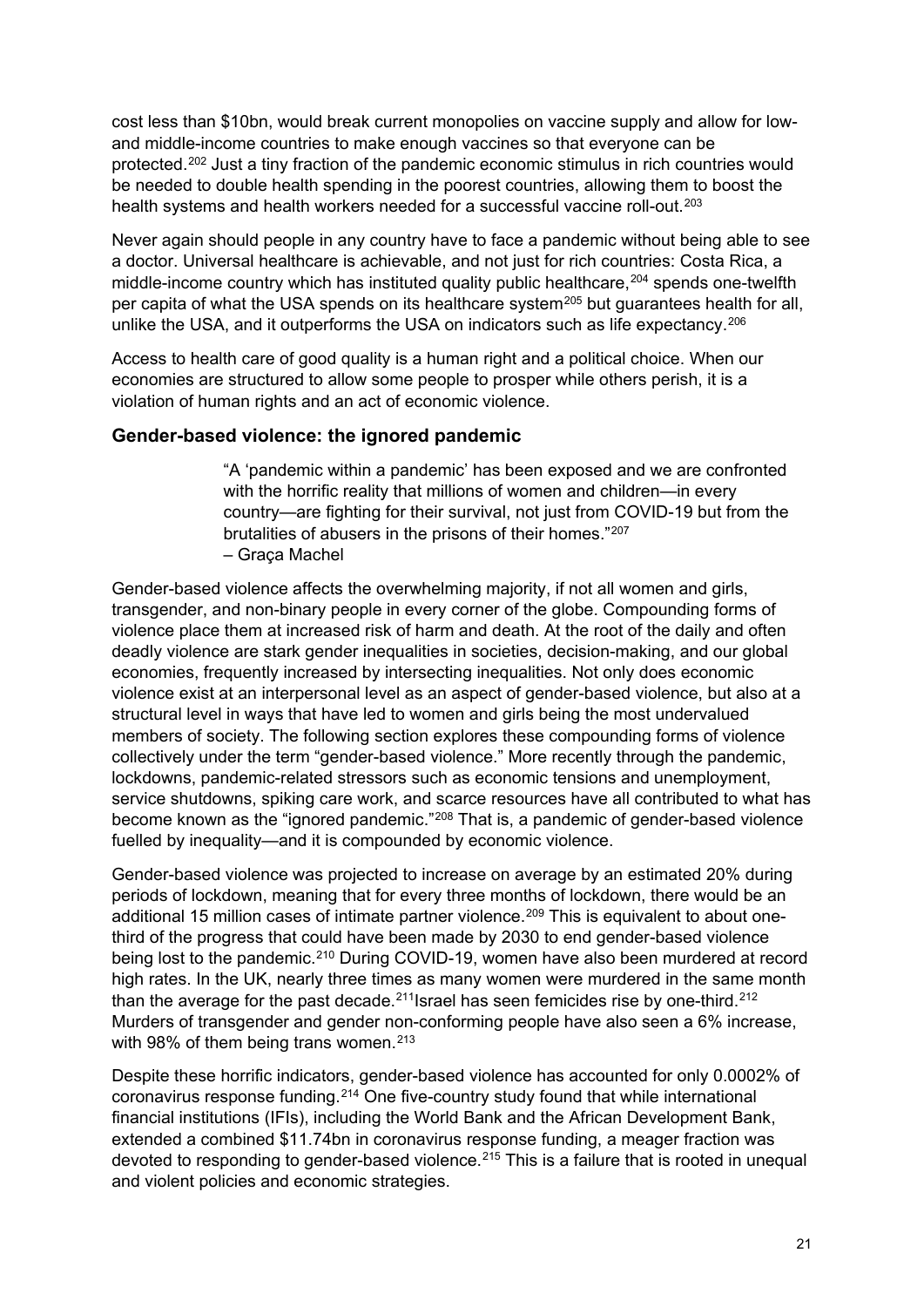cost less than \$10bn, would break current monopolies on vaccine supply and allow for lowand middle-income countries to make enough vaccines so that everyone can be protected.[202](#page-43-13) Just a tiny fraction of the pandemic economic stimulus in rich countries would be needed to double health spending in the poorest countries, allowing them to boost the health systems and health workers needed for a successful vaccine roll-out.<sup>[203](#page-43-14)</sup>

Never again should people in any country have to face a pandemic without being able to see a doctor. Universal healthcare is achievable, and not just for rich countries: Costa Rica, a middle-income country which has instituted quality public healthcare,<sup>[204](#page-43-15)</sup> spends one-twelfth per capita of what the USA spends on its healthcare system<sup>[205](#page-43-16)</sup> but guarantees health for all, unlike the USA, and it outperforms the USA on indicators such as life expectancy. [206](#page-43-17)

Access to health care of good quality is a human right and a political choice. When our economies are structured to allow some people to prosper while others perish, it is a violation of human rights and an act of economic violence.

## **Gender-based violence: the ignored pandemic**

"A 'pandemic within a pandemic' has been exposed and we are confronted with the horrific reality that millions of women and children—in every country—are fighting for their survival, not just from COVID-19 but from the brutalities of abusers in the prisons of their homes."[207](#page-44-0) – Graça Machel

Gender-based violence affects the overwhelming majority, if not all women and girls, transgender, and non-binary people in every corner of the globe. Compounding forms of violence place them at increased risk of harm and death. At the root of the daily and often deadly violence are stark gender inequalities in societies, decision-making, and our global economies, frequently increased by intersecting inequalities. Not only does economic violence exist at an interpersonal level as an aspect of gender-based violence, but also at a structural level in ways that have led to women and girls being the most undervalued members of society. The following section explores these compounding forms of violence collectively under the term "gender-based violence." More recently through the pandemic, lockdowns, pandemic-related stressors such as economic tensions and unemployment, service shutdowns, spiking care work, and scarce resources have all contributed to what has become known as the "ignored pandemic."[208](#page-44-1) That is, a pandemic of gender-based violence fuelled by inequality—and it is compounded by economic violence.

Gender-based violence was projected to increase on average by an estimated 20% during periods of lockdown, meaning that for every three months of lockdown, there would be an additional 15 million cases of intimate partner violence.<sup>[209](#page-44-2)</sup> This is equivalent to about onethird of the progress that could have been made by 2030 to end gender-based violence being lost to the pandemic.<sup>[210](#page-44-3)</sup> During COVID-19, women have also been murdered at record high rates. In the UK, nearly three times as many women were murdered in the same month than the average for the past decade.<sup>[211](#page-44-4)</sup> Israel has seen femicides rise by one-third.<sup>[212](#page-44-5)</sup> Murders of transgender and gender non-conforming people have also seen a 6% increase, with 98% of them being trans women.<sup>[213](#page-44-6)</sup>

Despite these horrific indicators, gender-based violence has accounted for only 0.0002% of coronavirus response funding.[214](#page-44-7) One five-country study found that while international financial institutions (IFIs), including the World Bank and the African Development Bank, extended a combined \$11.74bn in coronavirus response funding, a meager fraction was devoted to responding to gender-based violence.<sup>[215](#page-44-8)</sup> This is a failure that is rooted in unequal and violent policies and economic strategies.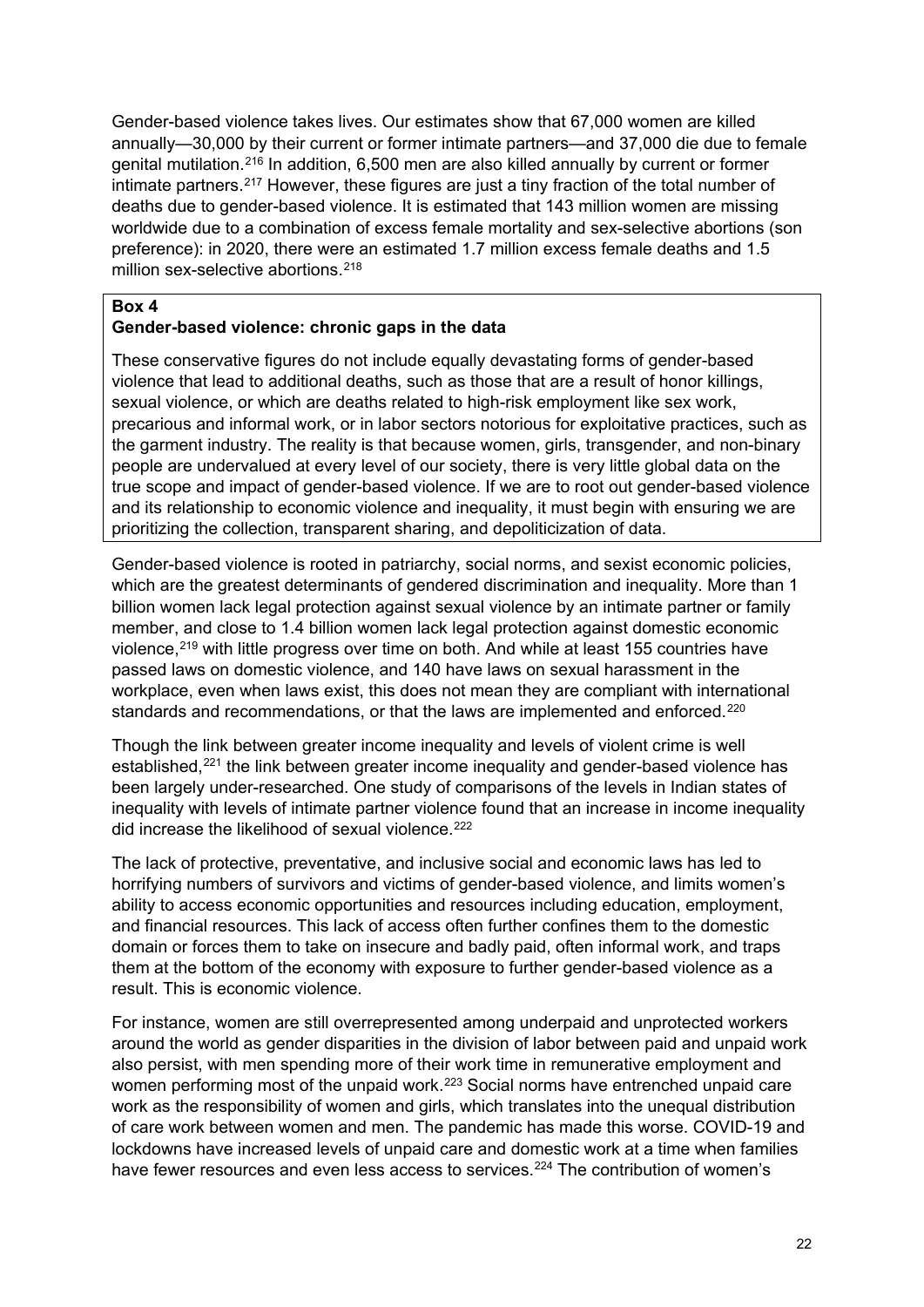Gender-based violence takes lives. Our estimates show that 67,000 women are killed annually—30,000 by their current or former intimate partners—and 37,000 die due to female genital mutilation.[216](#page-44-9) In addition, 6,500 men are also killed annually by current or former intimate partners.[217](#page-44-10) However, these figures are just a tiny fraction of the total number of deaths due to gender-based violence. It is estimated that 143 million women are missing worldwide due to a combination of excess female mortality and sex-selective abortions (son preference): in 2020, there were an estimated 1.7 million excess female deaths and 1.5 million sex-selective abortions.<sup>[218](#page-44-11)</sup>

#### **Box 4**

#### **Gender-based violence: chronic gaps in the data**

These conservative figures do not include equally devastating forms of gender-based violence that lead to additional deaths, such as those that are a result of honor killings, sexual violence, or which are deaths related to high-risk employment like sex work, precarious and informal work, or in labor sectors notorious for exploitative practices, such as the garment industry. The reality is that because women, girls, transgender, and non-binary people are undervalued at every level of our society, there is very little global data on the true scope and impact of gender-based violence. If we are to root out gender-based violence and its relationship to economic violence and inequality, it must begin with ensuring we are prioritizing the collection, transparent sharing, and depoliticization of data.

Gender-based violence is rooted in patriarchy, social norms, and sexist economic policies, which are the greatest determinants of gendered discrimination and inequality. More than 1 billion women lack legal protection against sexual violence by an intimate partner or family member, and close to 1.4 billion women lack legal protection against domestic economic violence, [219](#page-44-12) with little progress over time on both. And while at least 155 countries have passed laws on domestic violence, and 140 have laws on sexual harassment in the workplace, even when laws exist, this does not mean they are compliant with international standards and recommendations, or that the laws are implemented and enforced.<sup>[220](#page-44-13)</sup>

Though the link between greater income inequality and levels of violent crime is well established,[221](#page-44-14) the link between greater income inequality and gender-based violence has been largely under-researched. One study of comparisons of the levels in Indian states of inequality with levels of intimate partner violence found that an increase in income inequality did increase the likelihood of sexual violence.<sup>[222](#page-44-15)</sup>

The lack of protective, preventative, and inclusive social and economic laws has led to horrifying numbers of survivors and victims of gender-based violence, and limits women's ability to access economic opportunities and resources including education, employment, and financial resources. This lack of access often further confines them to the domestic domain or forces them to take on insecure and badly paid, often informal work, and traps them at the bottom of the economy with exposure to further gender-based violence as a result. This is economic violence.

For instance, women are still overrepresented among underpaid and unprotected workers around the world as gender disparities in the division of labor between paid and unpaid work also persist, with men spending more of their work time in remunerative employment and women performing most of the unpaid work.<sup>223</sup> Social norms have entrenched unpaid care work as the responsibility of women and girls, which translates into the unequal distribution of care work between women and men. The pandemic has made this worse. COVID-19 and lockdowns have increased levels of unpaid care and domestic work at a time when families have fewer resources and even less access to services.<sup>[224](#page-44-17)</sup> The contribution of women's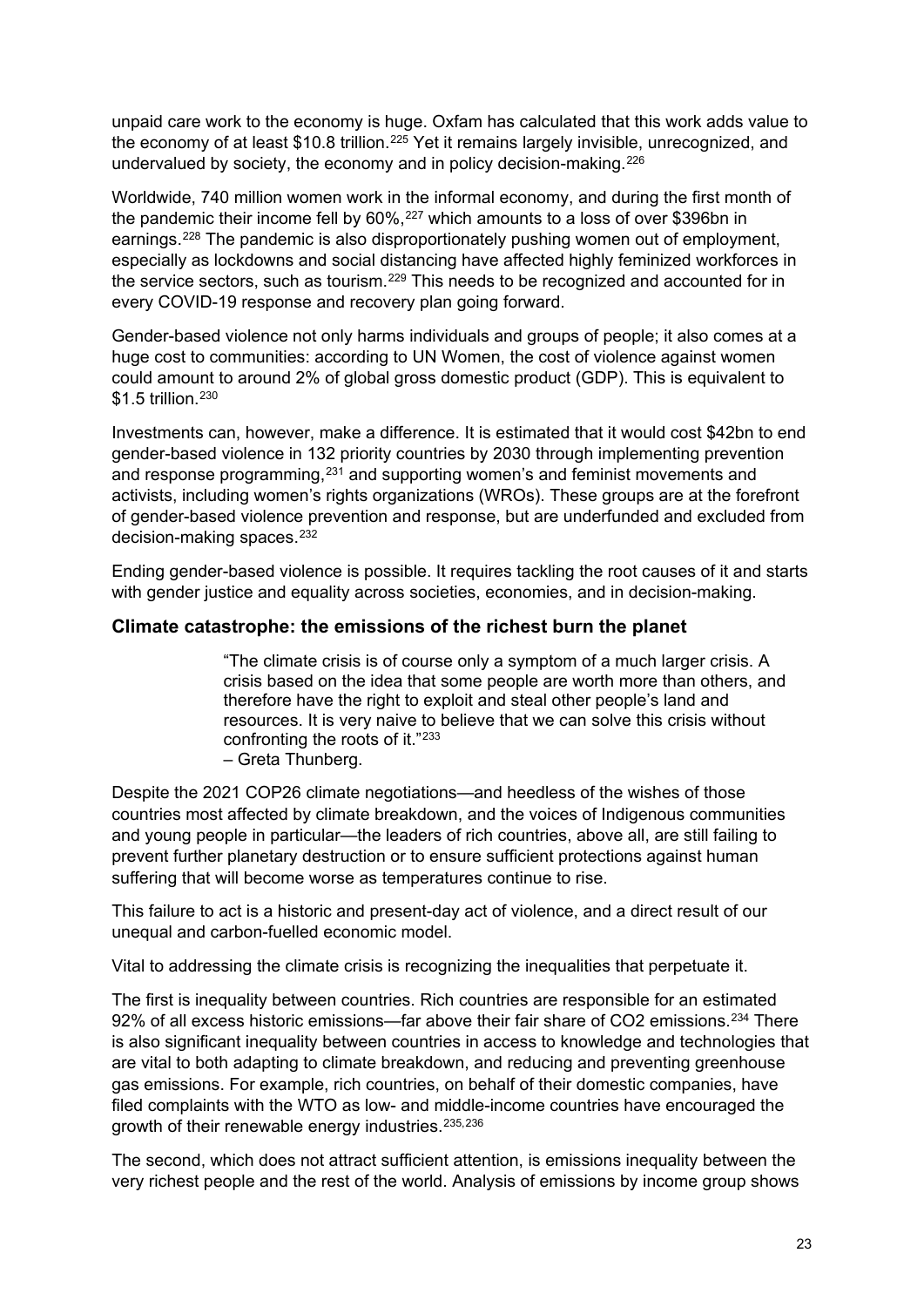unpaid care work to the economy is huge. Oxfam has calculated that this work adds value to the economy of at least \$10.8 trillion.<sup>[225](#page-44-18)</sup> Yet it remains largely invisible, unrecognized, and undervalued by society, the economy and in policy decision-making.<sup>[226](#page-45-0)</sup>

Worldwide, 740 million women work in the informal economy, and during the first month of the pandemic their income fell by 60%,<sup>[227](#page-45-1)</sup> which amounts to a loss of over \$396bn in earnings.[228](#page-45-2) The pandemic is also disproportionately pushing women out of employment, especially as lockdowns and social distancing have affected highly feminized workforces in the service sectors, such as tourism.[229](#page-45-3) This needs to be recognized and accounted for in every COVID-19 response and recovery plan going forward.

Gender-based violence not only harms individuals and groups of people; it also comes at a huge cost to communities: according to UN Women, the cost of violence against women could amount to around 2% of global gross domestic product (GDP). This is equivalent to \$1.5 trillion.<sup>[230](#page-45-4)</sup>

Investments can, however, make a difference. It is estimated that it would cost \$42bn to end gender-based violence in 132 priority countries by 2030 through implementing prevention and response programming,<sup>[231](#page-45-5)</sup> and supporting women's and feminist movements and activists, including women's rights organizations (WROs). These groups are at the forefront of gender-based violence prevention and response, but are underfunded and excluded from decision-making spaces.<sup>[232](#page-45-6)</sup>

Ending gender-based violence is possible. It requires tackling the root causes of it and starts with gender justice and equality across societies, economies, and in decision-making.

## **Climate catastrophe: the emissions of the richest burn the planet**

"The climate crisis is of course only a symptom of a much larger crisis. A crisis based on the idea that some people are worth more than others, and therefore have the right to exploit and steal other people's land and resources. It is very naive to believe that we can solve this crisis without confronting the roots of it."[233](#page-45-7) – Greta Thunberg.

Despite the 2021 COP26 climate negotiations—and heedless of the wishes of those countries most affected by climate breakdown, and the voices of Indigenous communities and young people in particular—the leaders of rich countries, above all, are still failing to prevent further planetary destruction or to ensure sufficient protections against human suffering that will become worse as temperatures continue to rise.

This failure to act is a historic and present-day act of violence, and a direct result of our unequal and carbon-fuelled economic model.

Vital to addressing the climate crisis is recognizing the inequalities that perpetuate it.

The first is inequality between countries. Rich countries are responsible for an estimated 92% of all excess historic emissions—far above their fair share of CO2 emissions.<sup>[234](#page-45-8)</sup> There is also significant inequality between countries in access to knowledge and technologies that are vital to both adapting to climate breakdown, and reducing and preventing greenhouse gas emissions. For example, rich countries, on behalf of their domestic companies, have filed complaints with the WTO as low- and middle-income countries have encouraged the growth of their renewable energy industries. [235,](#page-45-9)[236](#page-45-10)

The second, which does not attract sufficient attention, is emissions inequality between the very richest people and the rest of the world. Analysis of emissions by income group shows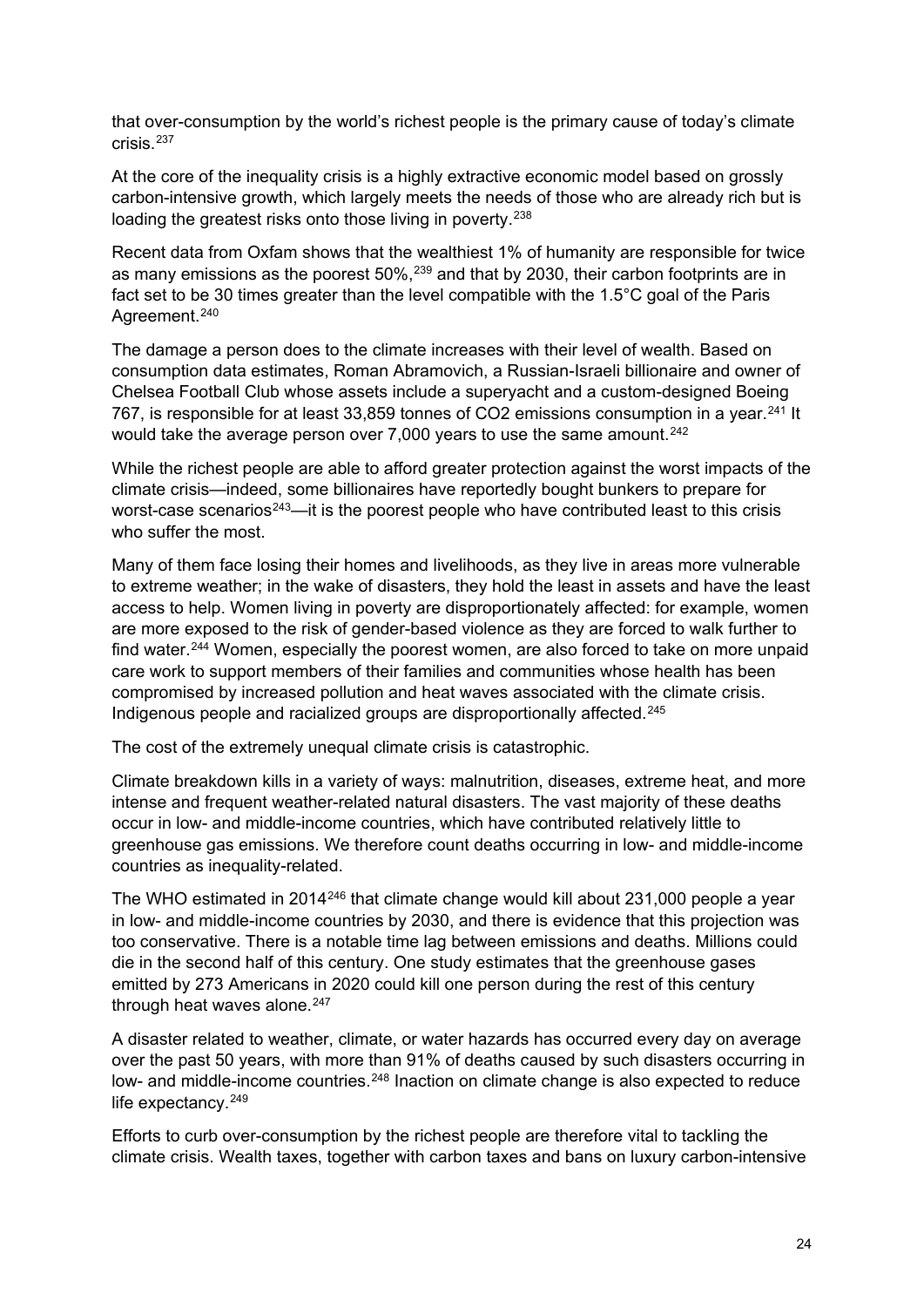that over-consumption by the world's richest people is the primary cause of today's climate crisis<sup>[237](#page-45-11)</sup>

At the core of the inequality crisis is a highly extractive economic model based on grossly carbon-intensive growth, which largely meets the needs of those who are already rich but is loading the greatest risks onto those living in poverty.<sup>[238](#page-45-12)</sup>

Recent data from Oxfam shows that the wealthiest 1% of humanity are responsible for twice as many emissions as the poorest 50%,[239](#page-45-13) and that by 2030, their carbon footprints are in fact set to be 30 times greater than the level compatible with the 1.5°C goal of the Paris Agreement.<sup>[240](#page-45-14)</sup>

The damage a person does to the climate increases with their level of wealth. Based on consumption data estimates, Roman Abramovich, a Russian-Israeli billionaire and owner of Chelsea Football Club whose assets include a superyacht and a custom-designed Boeing 767, is responsible for at least 33,859 tonnes of CO2 emissions consumption in a year.<sup>[241](#page-45-15)</sup> It would take the average person over 7,000 years to use the same amount.<sup>[242](#page-45-16)</sup>

While the richest people are able to afford greater protection against the worst impacts of the climate crisis—indeed, some billionaires have reportedly bought bunkers to prepare for worst-case scenarios<sup>[243](#page-45-17)</sup>—it is the poorest people who have contributed least to this crisis who suffer the most.

Many of them face losing their homes and livelihoods, as they live in areas more vulnerable to extreme weather; in the wake of disasters, they hold the least in assets and have the least access to help. Women living in poverty are disproportionately affected: for example, women are more exposed to the risk of gender-based violence as they are forced to walk further to find water.<sup>[244](#page-46-0)</sup> Women, especially the poorest women, are also forced to take on more unpaid care work to support members of their families and communities whose health has been compromised by increased pollution and heat waves associated with the climate crisis. Indigenous people and racialized groups are disproportionally affected.<sup>[245](#page-46-1)</sup>

The cost of the extremely unequal climate crisis is catastrophic.

Climate breakdown kills in a variety of ways: malnutrition, diseases, extreme heat, and more intense and frequent weather-related natural disasters. The vast majority of these deaths occur in low- and middle-income countries, which have contributed relatively little to greenhouse gas emissions. We therefore count deaths occurring in low- and middle-income countries as inequality-related.

The WHO estimated in 2014<sup>[246](#page-46-2)</sup> that climate change would kill about 231,000 people a year in low- and middle-income countries by 2030, and there is evidence that this projection was too conservative. There is a notable time lag between emissions and deaths. Millions could die in the second half of this century. One study estimates that the greenhouse gases emitted by 273 Americans in 2020 could kill one person during the rest of this century through heat waves alone.<sup>[247](#page-46-3)</sup>

A disaster related to weather, climate, or water hazards has occurred every day on average over the past 50 years, with more than 91% of deaths caused by such disasters occurring in low- and middle-income countries.<sup>[248](#page-46-4)</sup> Inaction on climate change is also expected to reduce life expectancy.<sup>[249](#page-46-5)</sup>

Efforts to curb over-consumption by the richest people are therefore vital to tackling the climate crisis. Wealth taxes, together with carbon taxes and bans on luxury carbon-intensive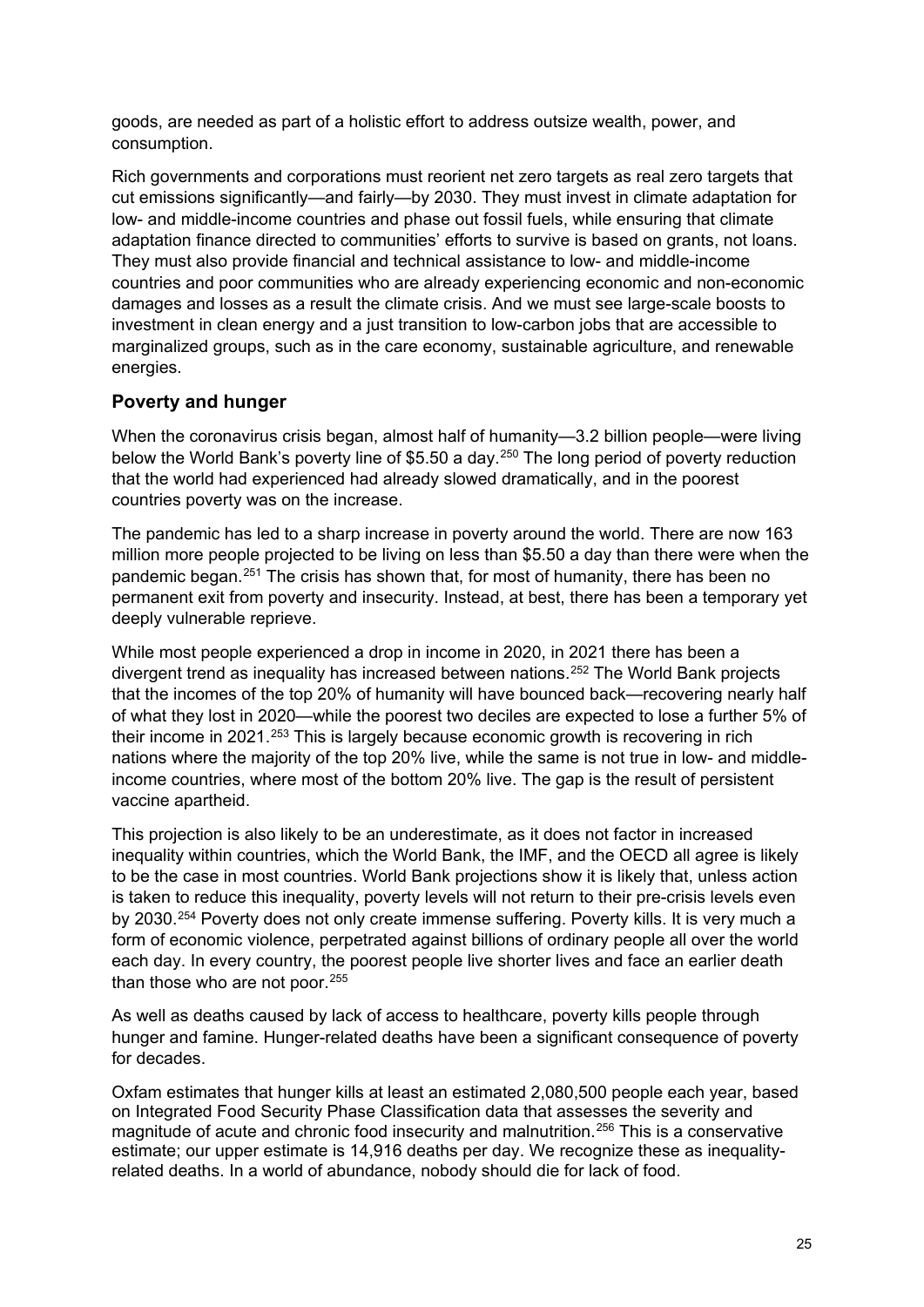goods, are needed as part of a holistic effort to address outsize wealth, power, and consumption.

Rich governments and corporations must reorient net zero targets as real zero targets that cut emissions significantly—and fairly—by 2030. They must invest in climate adaptation for low- and middle-income countries and phase out fossil fuels, while ensuring that climate adaptation finance directed to communities' efforts to survive is based on grants, not loans. They must also provide financial and technical assistance to low- and middle-income countries and poor communities who are already experiencing economic and non-economic damages and losses as a result the climate crisis. And we must see large-scale boosts to investment in clean energy and a just transition to low-carbon jobs that are accessible to marginalized groups, such as in the care economy, sustainable agriculture, and renewable energies.

## **Poverty and hunger**

When the coronavirus crisis began, almost half of humanity—3.2 billion people—were living below the World Bank's poverty line of \$5.50 a day.<sup>[250](#page-46-6)</sup> The long period of poverty reduction that the world had experienced had already slowed dramatically, and in the poorest countries poverty was on the increase.

The pandemic has led to a sharp increase in poverty around the world. There are now 163 million more people projected to be living on less than \$5.50 a day than there were when the pandemic began.[251](#page-46-7) The crisis has shown that, for most of humanity, there has been no permanent exit from poverty and insecurity. Instead, at best, there has been a temporary yet deeply vulnerable reprieve.

While most people experienced a drop in income in 2020, in 2021 there has been a divergent trend as inequality has increased between nations.[252](#page-46-8) The World Bank projects that the incomes of the top 20% of humanity will have bounced back—recovering nearly half of what they lost in 2020—while the poorest two deciles are expected to lose a further 5% of their income in 2021.[253](#page-46-9) This is largely because economic growth is recovering in rich nations where the majority of the top 20% live, while the same is not true in low- and middleincome countries, where most of the bottom 20% live. The gap is the result of persistent vaccine apartheid.

This projection is also likely to be an underestimate, as it does not factor in increased inequality within countries, which the World Bank, the IMF, and the OECD all agree is likely to be the case in most countries. World Bank projections show it is likely that, unless action is taken to reduce this inequality, poverty levels will not return to their pre-crisis levels even by 2030.<sup>[254](#page-46-10)</sup> Poverty does not only create immense suffering. Poverty kills. It is very much a form of economic violence, perpetrated against billions of ordinary people all over the world each day. In every country, the poorest people live shorter lives and face an earlier death than those who are not poor.<sup>[255](#page-46-11)</sup>

As well as deaths caused by lack of access to healthcare, poverty kills people through hunger and famine. Hunger-related deaths have been a significant consequence of poverty for decades.

Oxfam estimates that hunger kills at least an estimated 2,080,500 people each year, based on Integrated Food Security Phase Classification data that assesses the severity and magnitude of acute and chronic food insecurity and malnutrition.[256](#page-46-12) This is a conservative estimate; our upper estimate is 14,916 deaths per day. We recognize these as inequalityrelated deaths. In a world of abundance, nobody should die for lack of food.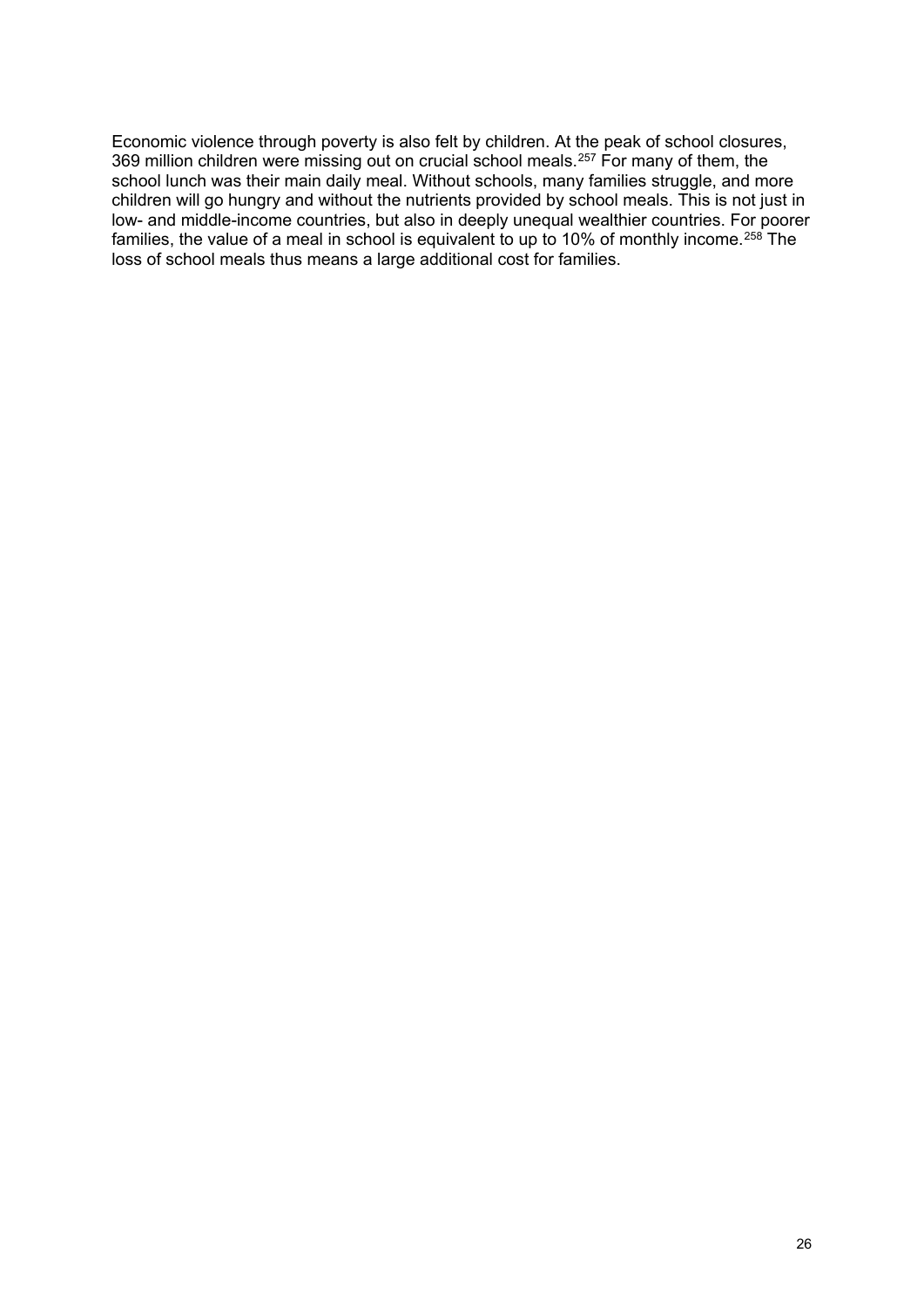Economic violence through poverty is also felt by children. At the peak of school closures, 369 million children were missing out on crucial school meals.<sup>[257](#page-46-13)</sup> For many of them, the school lunch was their main daily meal. Without schools, many families struggle, and more children will go hungry and without the nutrients provided by school meals. This is not just in low- and middle-income countries, but also in deeply unequal wealthier countries. For poorer families, the value of a meal in school is equivalent to up to 10% of monthly income.<sup>[258](#page-46-14)</sup> The loss of school meals thus means a large additional cost for families.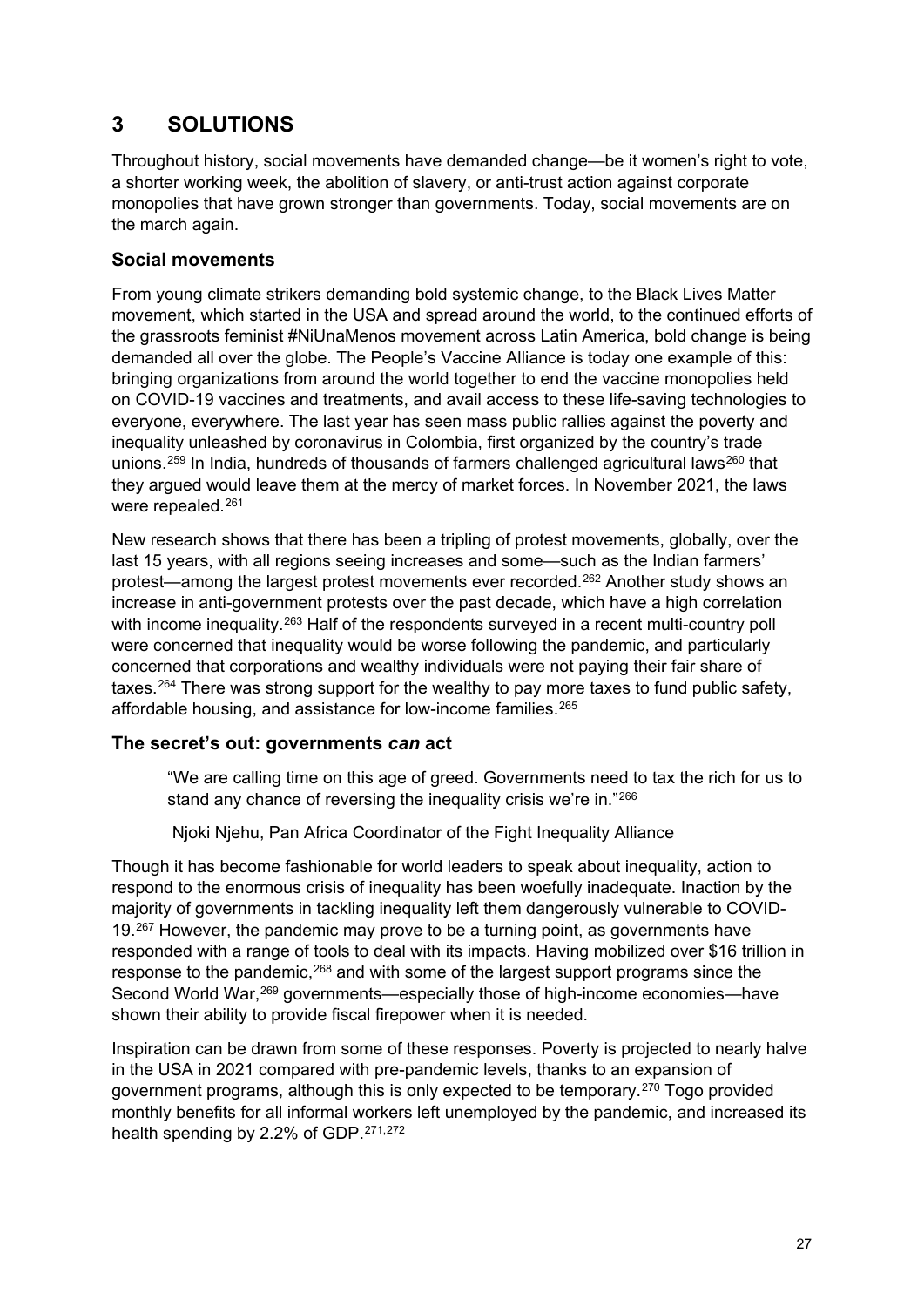# **3 SOLUTIONS**

Throughout history, social movements have demanded change—be it women's right to vote, a shorter working week, the abolition of slavery, or anti-trust action against corporate monopolies that have grown stronger than governments. Today, social movements are on the march again.

## **Social movements**

From young climate strikers demanding bold systemic change, to the Black Lives Matter movement, which started in the USA and spread around the world, to the continued efforts of the grassroots feminist #NiUnaMenos movement across Latin America, bold change is being demanded all over the globe. The People's Vaccine Alliance is today one example of this: bringing organizations from around the world together to end the vaccine monopolies held on COVID-19 vaccines and treatments, and avail access to these life-saving technologies to everyone, everywhere. The last year has seen mass public rallies against the poverty and inequality unleashed by coronavirus in Colombia, first organized by the country's trade unions.<sup>[259](#page-46-15)</sup> In India, hundreds of thousands of farmers challenged agricultural laws<sup>[260](#page-46-16)</sup> that they argued would leave them at the mercy of market forces. In November 2021, the laws were repealed.<sup>[261](#page-46-17)</sup>

New research shows that there has been a tripling of protest movements, globally, over the last 15 years, with all regions seeing increases and some—such as the Indian farmers' protest—among the largest protest movements ever recorded.[262](#page-46-18) Another study shows an increase in anti-government protests over the past decade, which have a high correlation with income inequality.<sup>[263](#page-46-19)</sup> Half of the respondents surveyed in a recent multi-country poll were concerned that inequality would be worse following the pandemic, and particularly concerned that corporations and wealthy individuals were not paying their fair share of taxes.<sup>[264](#page-46-20)</sup> There was strong support for the wealthy to pay more taxes to fund public safety, affordable housing, and assistance for low-income families.[265](#page-46-21)

## **The secret's out: governments** *can* **act**

"We are calling time on this age of greed. Governments need to tax the rich for us to stand any chance of reversing the inequality crisis we're in."[266](#page-47-0)

Njoki Njehu, Pan Africa Coordinator of the Fight Inequality Alliance

Though it has become fashionable for world leaders to speak about inequality, action to respond to the enormous crisis of inequality has been woefully inadequate. Inaction by the majority of governments in tackling inequality left them dangerously vulnerable to COVID-19.<sup>[267](#page-47-1)</sup> However, the pandemic may prove to be a turning point, as governments have responded with a range of tools to deal with its impacts. Having mobilized over \$16 trillion in response to the pandemic,<sup>[268](#page-47-2)</sup> and with some of the largest support programs since the Second World War,<sup>[269](#page-47-3)</sup> governments—especially those of high-income economies—have shown their ability to provide fiscal firepower when it is needed.

Inspiration can be drawn from some of these responses. Poverty is projected to nearly halve in the USA in 2021 compared with pre-pandemic levels, thanks to an expansion of government programs, although this is only expected to be temporary.[270](#page-47-4) Togo provided monthly benefits for all informal workers left unemployed by the pandemic, and increased its health spending by 2.2% of GDP.[271,](#page-47-5)[272](#page-47-6)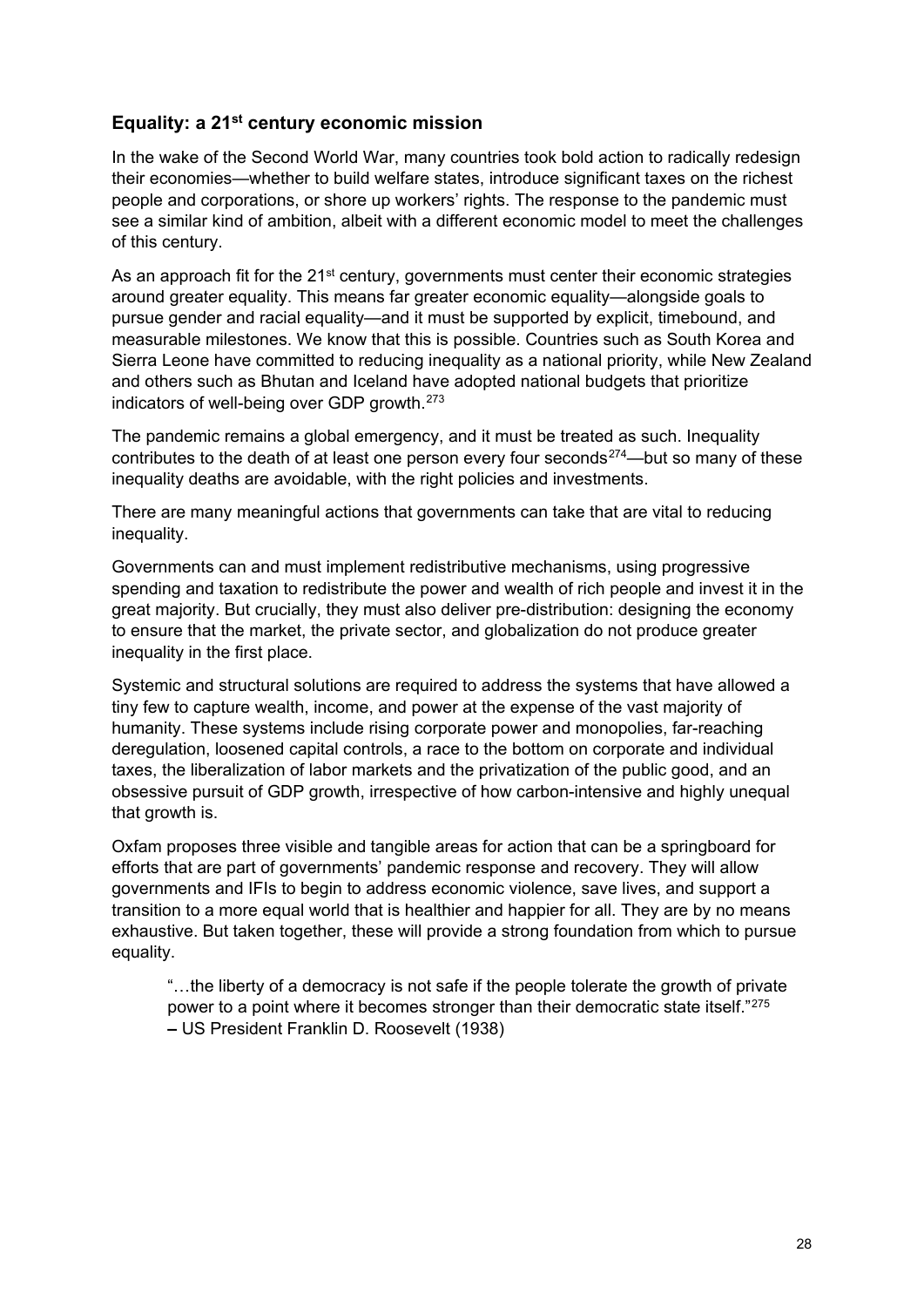## **Equality: a 21st century economic mission**

In the wake of the Second World War, many countries took bold action to radically redesign their economies—whether to build welfare states, introduce significant taxes on the richest people and corporations, or shore up workers' rights. The response to the pandemic must see a similar kind of ambition, albeit with a different economic model to meet the challenges of this century.

As an approach fit for the 21<sup>st</sup> century, governments must center their economic strategies around greater equality. This means far greater economic equality—alongside goals to pursue gender and racial equality—and it must be supported by explicit, timebound, and measurable milestones. We know that this is possible. Countries such as South Korea and Sierra Leone have committed to reducing inequality as a national priority, while New Zealand and others such as Bhutan and Iceland have adopted national budgets that prioritize indicators of well-being over GDP growth.[273](#page-47-7)

The pandemic remains a global emergency, and it must be treated as such. Inequality contributes to the death of at least one person every four seconds<sup>[274](#page-47-8)</sup>—but so many of these inequality deaths are avoidable, with the right policies and investments.

There are many meaningful actions that governments can take that are vital to reducing inequality.

Governments can and must implement redistributive mechanisms, using progressive spending and taxation to redistribute the power and wealth of rich people and invest it in the great majority. But crucially, they must also deliver pre-distribution: designing the economy to ensure that the market, the private sector, and globalization do not produce greater inequality in the first place.

Systemic and structural solutions are required to address the systems that have allowed a tiny few to capture wealth, income, and power at the expense of the vast majority of humanity. These systems include rising corporate power and monopolies, far-reaching deregulation, loosened capital controls, a race to the bottom on corporate and individual taxes, the liberalization of labor markets and the privatization of the public good, and an obsessive pursuit of GDP growth, irrespective of how carbon-intensive and highly unequal that growth is.

Oxfam proposes three visible and tangible areas for action that can be a springboard for efforts that are part of governments' pandemic response and recovery. They will allow governments and IFIs to begin to address economic violence, save lives, and support a transition to a more equal world that is healthier and happier for all. They are by no means exhaustive. But taken together, these will provide a strong foundation from which to pursue equality.

"…the liberty of a democracy is not safe if the people tolerate the growth of private power to a point where it becomes stronger than their democratic state itself."[275](#page-47-9) **–** US President Franklin D. Roosevelt (1938)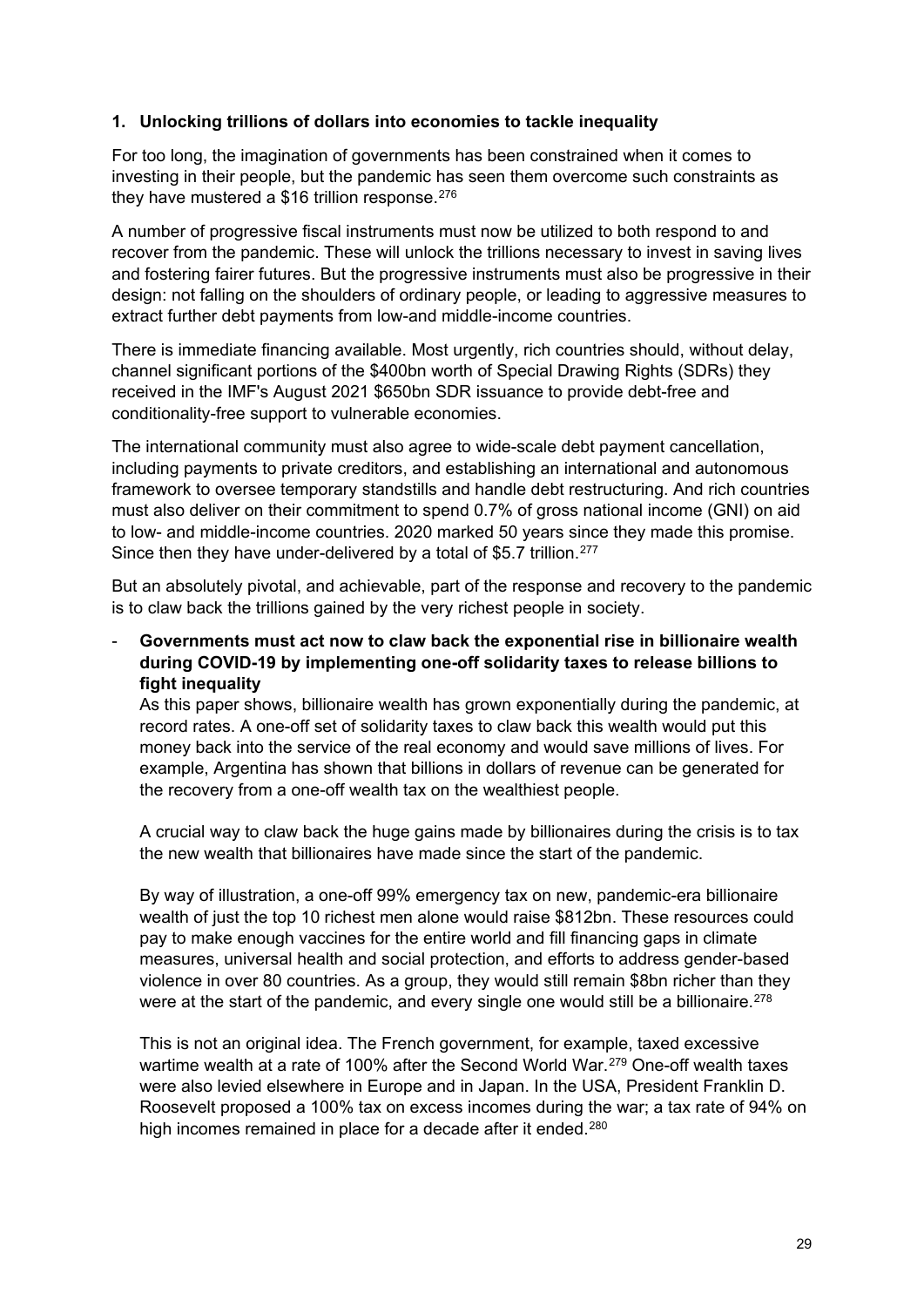#### **1. Unlocking trillions of dollars into economies to tackle inequality**

For too long, the imagination of governments has been constrained when it comes to investing in their people, but the pandemic has seen them overcome such constraints as they have mustered a \$16 trillion response. $276$ 

A number of progressive fiscal instruments must now be utilized to both respond to and recover from the pandemic. These will unlock the trillions necessary to invest in saving lives and fostering fairer futures. But the progressive instruments must also be progressive in their design: not falling on the shoulders of ordinary people, or leading to aggressive measures to extract further debt payments from low-and middle-income countries.

There is immediate financing available. Most urgently, rich countries should, without delay, channel significant portions of the \$400bn worth of Special Drawing Rights (SDRs) they received in the IMF's August 2021 \$650bn SDR issuance to provide debt-free and conditionality-free support to vulnerable economies.

The international community must also agree to wide-scale debt payment cancellation, including payments to private creditors, and establishing an international and autonomous framework to oversee temporary standstills and handle debt restructuring. And rich countries must also deliver on their commitment to spend 0.7% of gross national income (GNI) on aid to low- and middle-income countries. 2020 marked 50 years since they made this promise. Since then they have under-delivered by a total of \$5.7 trillion.<sup>[277](#page-47-11)</sup>

But an absolutely pivotal, and achievable, part of the response and recovery to the pandemic is to claw back the trillions gained by the very richest people in society.

- **Governments must act now to claw back the exponential rise in billionaire wealth during COVID-19 by implementing one-off solidarity taxes to release billions to fight inequality**

As this paper shows, billionaire wealth has grown exponentially during the pandemic, at record rates. A one-off set of solidarity taxes to claw back this wealth would put this money back into the service of the real economy and would save millions of lives. For example, Argentina has shown that billions in dollars of revenue can be generated for the recovery from a one-off wealth tax on the wealthiest people.

A crucial way to claw back the huge gains made by billionaires during the crisis is to tax the new wealth that billionaires have made since the start of the pandemic.

By way of illustration, a one-off 99% emergency tax on new, pandemic-era billionaire wealth of just the top 10 richest men alone would raise \$812bn. These resources could pay to make enough vaccines for the entire world and fill financing gaps in climate measures, universal health and social protection, and efforts to address gender-based violence in over 80 countries. As a group, they would still remain \$8bn richer than they were at the start of the pandemic, and every single one would still be a billionaire.<sup>[278](#page-47-12)</sup>

This is not an original idea. The French government, for example, taxed excessive wartime wealth at a rate of 100% after the Second World War.<sup>[279](#page-47-13)</sup> One-off wealth taxes were also levied elsewhere in Europe and in Japan. In the USA, President Franklin D. Roosevelt proposed a 100% tax on excess incomes during the war; a tax rate of 94% on high incomes remained in place for a decade after it ended.<sup>[280](#page-47-14)</sup>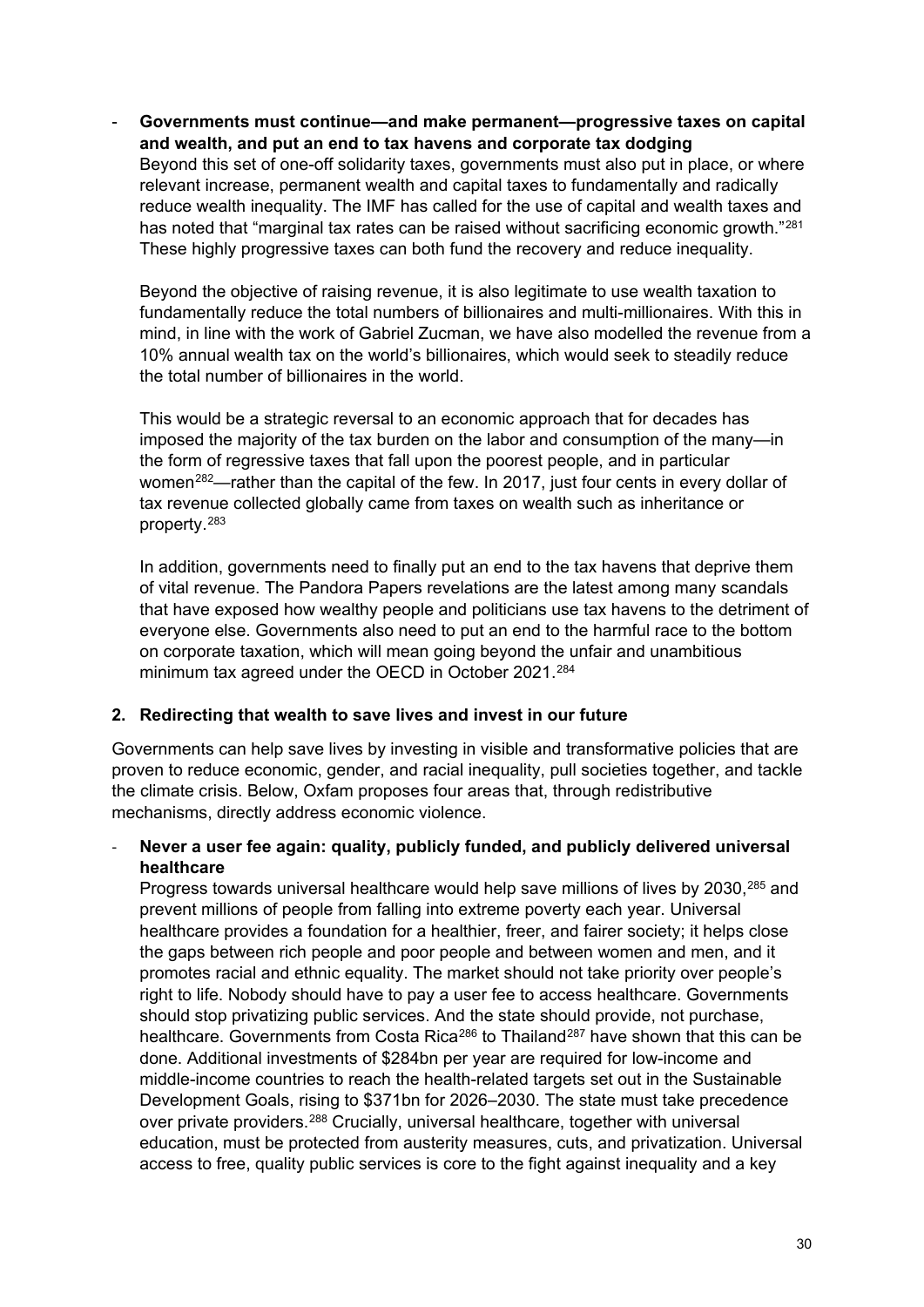Governments must continue—and make permanent—progressive taxes on capital **and wealth, and put an end to tax havens and corporate tax dodging** Beyond this set of one-off solidarity taxes, governments must also put in place, or where relevant increase, permanent wealth and capital taxes to fundamentally and radically reduce wealth inequality. The IMF has called for the use of capital and wealth taxes and has noted that "marginal tax rates can be raised without sacrificing economic growth."<sup>[281](#page-47-15)</sup> These highly progressive taxes can both fund the recovery and reduce inequality.

Beyond the objective of raising revenue, it is also legitimate to use wealth taxation to fundamentally reduce the total numbers of billionaires and multi-millionaires. With this in mind, in line with the work of Gabriel Zucman, we have also modelled the revenue from a 10% annual wealth tax on the world's billionaires, which would seek to steadily reduce the total number of billionaires in the world.

This would be a strategic reversal to an economic approach that for decades has imposed the majority of the tax burden on the labor and consumption of the many—in the form of regressive taxes that fall upon the poorest people, and in particular women<sup>282</sup>—rather than the capital of the few. In 2017, just four cents in every dollar of tax revenue collected globally came from taxes on wealth such as inheritance or property.[283](#page-47-17)

In addition, governments need to finally put an end to the tax havens that deprive them of vital revenue. The Pandora Papers revelations are the latest among many scandals that have exposed how wealthy people and politicians use tax havens to the detriment of everyone else. Governments also need to put an end to the harmful race to the bottom on corporate taxation, which will mean going beyond the unfair and unambitious minimum tax agreed under the OECD in October 2021.<sup>[284](#page-47-18)</sup>

## **2. Redirecting that wealth to save lives and invest in our future**

Governments can help save lives by investing in visible and transformative policies that are proven to reduce economic, gender, and racial inequality, pull societies together, and tackle the climate crisis. Below, Oxfam proposes four areas that, through redistributive mechanisms, directly address economic violence.

### - **Never a user fee again: quality, publicly funded, and publicly delivered universal healthcare**

Progress towards universal healthcare would help save millions of lives by 2030,<sup>[285](#page-47-19)</sup> and prevent millions of people from falling into extreme poverty each year. Universal healthcare provides a foundation for a healthier, freer, and fairer society; it helps close the gaps between rich people and poor people and between women and men, and it promotes racial and ethnic equality. The market should not take priority over people's right to life. Nobody should have to pay a user fee to access healthcare. Governments should stop privatizing public services. And the state should provide, not purchase, healthcare. Governments from Costa Rica<sup>[286](#page-48-0)</sup> to Thailand<sup>[287](#page-48-1)</sup> have shown that this can be done. Additional investments of \$284bn per year are required for low-income and middle-income countries to reach the health-related targets set out in the Sustainable Development Goals, rising to \$371bn for 2026–2030. The state must take precedence over private providers.<sup>[288](#page-48-2)</sup> Crucially, universal healthcare, together with universal education, must be protected from austerity measures, cuts, and privatization. Universal access to free, quality public services is core to the fight against inequality and a key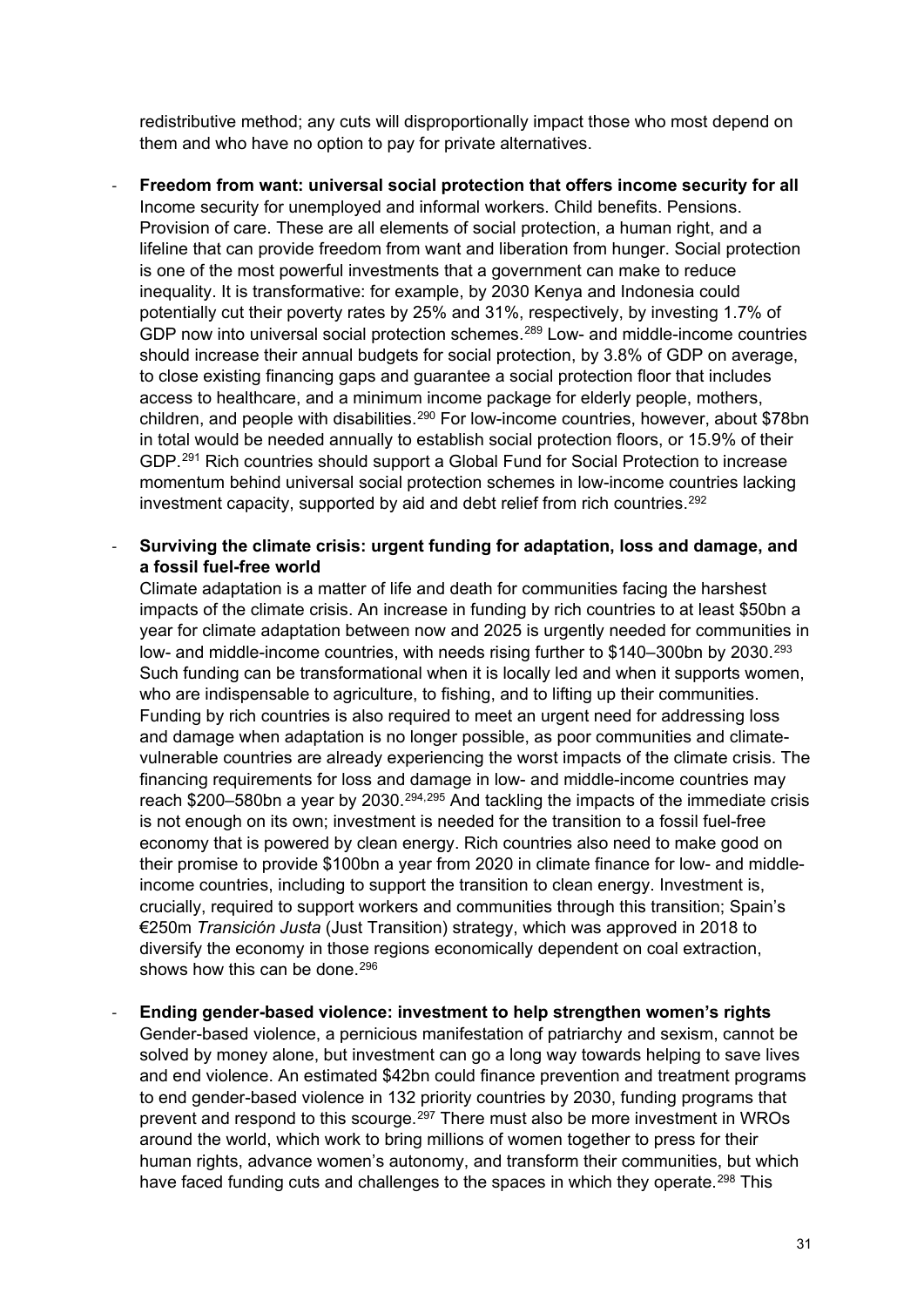redistributive method; any cuts will disproportionally impact those who most depend on them and who have no option to pay for private alternatives.

- **Freedom from want: universal social protection that offers income security for all** Income security for unemployed and informal workers. Child benefits. Pensions. Provision of care. These are all elements of social protection, a human right, and a lifeline that can provide freedom from want and liberation from hunger. Social protection is one of the most powerful investments that a government can make to reduce inequality. It is transformative: for example, by 2030 Kenya and Indonesia could potentially cut their poverty rates by 25% and 31%, respectively, by investing 1.7% of GDP now into universal social protection schemes.[289](#page-48-3) Low- and middle-income countries should increase their annual budgets for social protection, by 3.8% of GDP on average, to close existing financing gaps and guarantee a social protection floor that includes access to healthcare, and a minimum income package for elderly people, mothers, children, and people with disabilities.[290](#page-48-4) For low-income countries, however, about \$78bn in total would be needed annually to establish social protection floors, or 15.9% of their GDP.[291](#page-48-5) Rich countries should support a Global Fund for Social Protection to increase momentum behind universal social protection schemes in low-income countries lacking investment capacity, supported by aid and debt relief from rich countries.<sup>[292](#page-48-6)</sup>
- **Surviving the climate crisis: urgent funding for adaptation, loss and damage, and a fossil fuel-free world**

Climate adaptation is a matter of life and death for communities facing the harshest impacts of the climate crisis. An increase in funding by rich countries to at least \$50bn a year for climate adaptation between now and 2025 is urgently needed for communities in low- and middle-income countries, with needs rising further to \$140–300bn by 2030.<sup>[293](#page-48-7)</sup> Such funding can be transformational when it is locally led and when it supports women, who are indispensable to agriculture, to fishing, and to lifting up their communities. Funding by rich countries is also required to meet an urgent need for addressing loss and damage when adaptation is no longer possible, as poor communities and climatevulnerable countries are already experiencing the worst impacts of the climate crisis. The financing requirements for loss and damage in low- and middle-income countries may reach \$200–580bn a year by 2030.<sup>[294,](#page-48-8)[295](#page-48-9)</sup> And tackling the impacts of the immediate crisis is not enough on its own; investment is needed for the transition to a fossil fuel-free economy that is powered by clean energy. Rich countries also need to make good on their promise to provide \$100bn a year from 2020 in climate finance for low- and middleincome countries, including to support the transition to clean energy. Investment is, crucially, required to support workers and communities through this transition; Spain's €250m *Transición Justa* (Just Transition) strategy, which was approved in 2018 to diversify the economy in those regions economically dependent on coal extraction, shows how this can be done.<sup>[296](#page-48-10)</sup>

- **Ending gender-based violence: investment to help strengthen women's rights** Gender-based violence, a pernicious manifestation of patriarchy and sexism, cannot be solved by money alone, but investment can go a long way towards helping to save lives and end violence. An estimated \$42bn could finance prevention and treatment programs to end gender-based violence in 132 priority countries by 2030, funding programs that prevent and respond to this scourge.<sup>[297](#page-48-11)</sup> There must also be more investment in WROs around the world, which work to bring millions of women together to press for their human rights, advance women's autonomy, and transform their communities, but which have faced funding cuts and challenges to the spaces in which they operate.<sup>[298](#page-48-12)</sup> This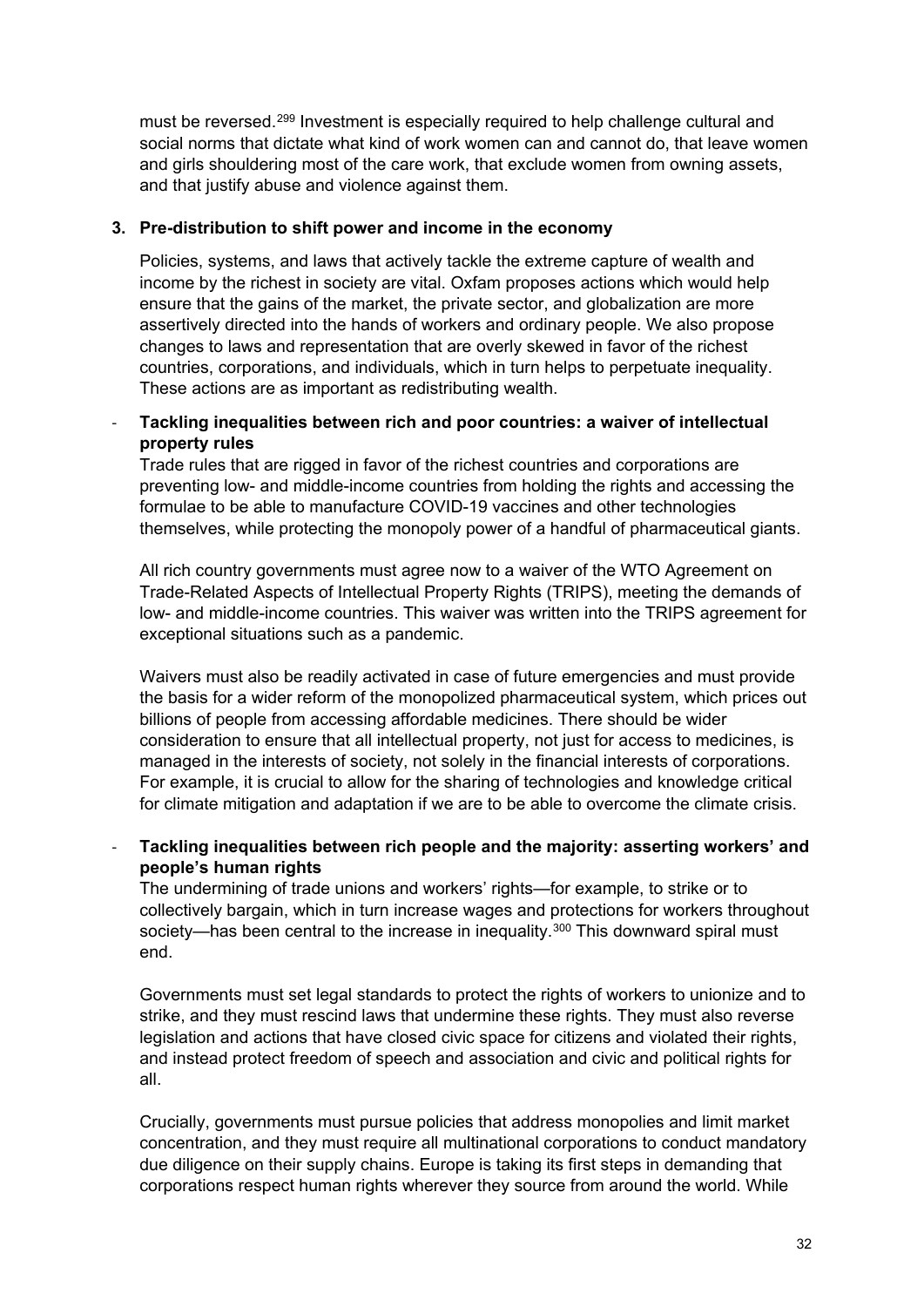must be reversed.[299](#page-48-13) Investment is especially required to help challenge cultural and social norms that dictate what kind of work women can and cannot do, that leave women and girls shouldering most of the care work, that exclude women from owning assets, and that justify abuse and violence against them.

#### **3. Pre-distribution to shift power and income in the economy**

Policies, systems, and laws that actively tackle the extreme capture of wealth and income by the richest in society are vital. Oxfam proposes actions which would help ensure that the gains of the market, the private sector, and globalization are more assertively directed into the hands of workers and ordinary people. We also propose changes to laws and representation that are overly skewed in favor of the richest countries, corporations, and individuals, which in turn helps to perpetuate inequality. These actions are as important as redistributing wealth.

### - **Tackling inequalities between rich and poor countries: a waiver of intellectual property rules**

Trade rules that are rigged in favor of the richest countries and corporations are preventing low- and middle-income countries from holding the rights and accessing the formulae to be able to manufacture COVID-19 vaccines and other technologies themselves, while protecting the monopoly power of a handful of pharmaceutical giants.

All rich country governments must agree now to a waiver of the WTO Agreement on Trade-Related Aspects of Intellectual Property Rights (TRIPS), meeting the demands of low- and middle-income countries. This waiver was written into the TRIPS agreement for exceptional situations such as a pandemic.

Waivers must also be readily activated in case of future emergencies and must provide the basis for a wider reform of the monopolized pharmaceutical system, which prices out billions of people from accessing affordable medicines. There should be wider consideration to ensure that all intellectual property, not just for access to medicines, is managed in the interests of society, not solely in the financial interests of corporations. For example, it is crucial to allow for the sharing of technologies and knowledge critical for climate mitigation and adaptation if we are to be able to overcome the climate crisis.

- **Tackling inequalities between rich people and the majority: asserting workers' and people's human rights**

The undermining of trade unions and workers' rights—for example, to strike or to collectively bargain, which in turn increase wages and protections for workers throughout society—has been central to the increase in inequality.<sup>[300](#page-48-14)</sup> This downward spiral must end.

Governments must set legal standards to protect the rights of workers to unionize and to strike, and they must rescind laws that undermine these rights. They must also reverse legislation and actions that have closed civic space for citizens and violated their rights, and instead protect freedom of speech and association and civic and political rights for all.

Crucially, governments must pursue policies that address monopolies and limit market concentration, and they must require all multinational corporations to conduct mandatory due diligence on their supply chains. Europe is taking its first steps in demanding that corporations respect human rights wherever they source from around the world. While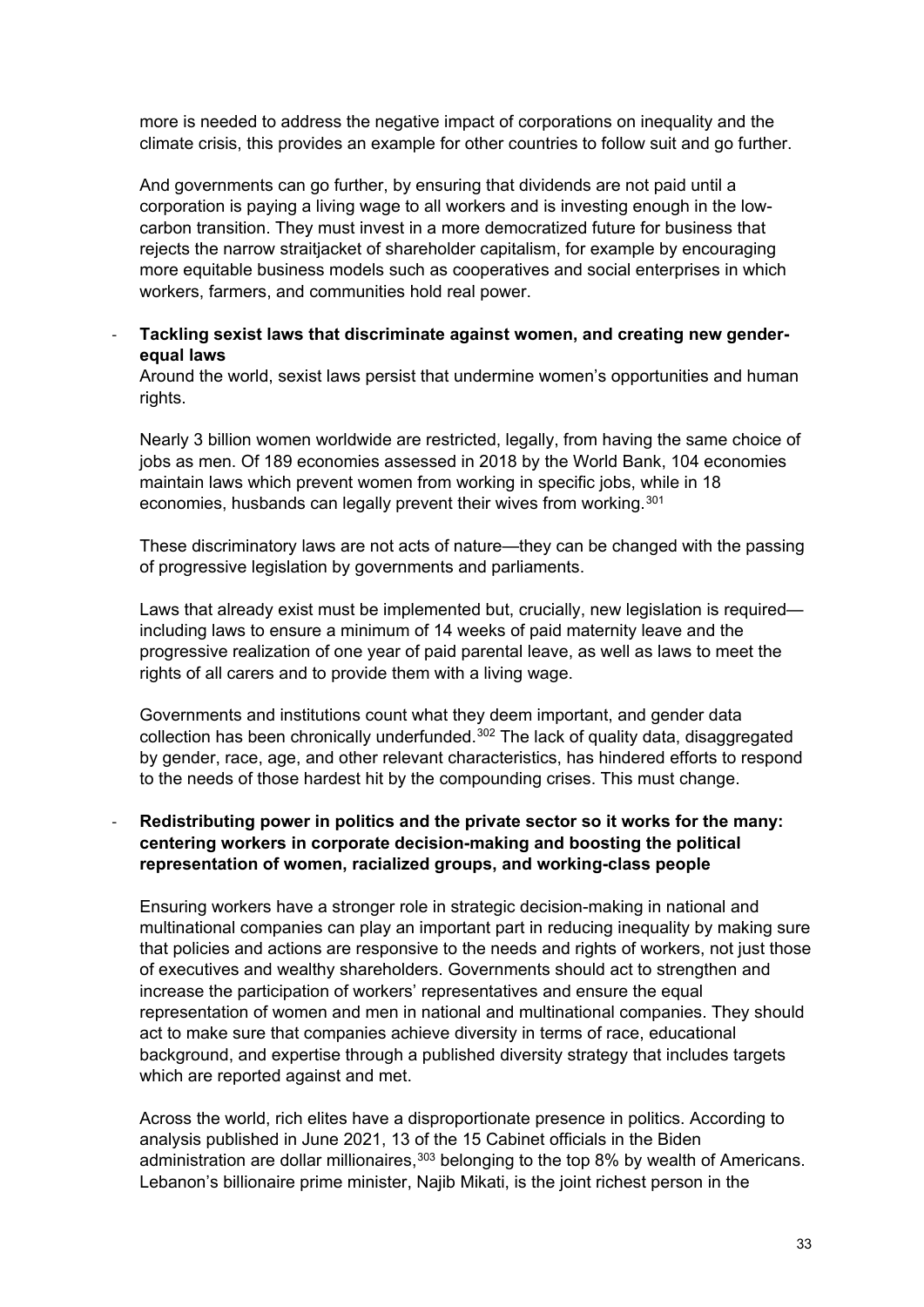more is needed to address the negative impact of corporations on inequality and the climate crisis, this provides an example for other countries to follow suit and go further.

And governments can go further, by ensuring that dividends are not paid until a corporation is paying a living wage to all workers and is investing enough in the lowcarbon transition. They must invest in a more democratized future for business that rejects the narrow straitjacket of shareholder capitalism, for example by encouraging more equitable business models such as cooperatives and social enterprises in which workers, farmers, and communities hold real power.

#### - **Tackling sexist laws that discriminate against women, and creating new genderequal laws**

Around the world, sexist laws persist that undermine women's opportunities and human rights.

Nearly 3 billion women worldwide are restricted, legally, from having the same choice of jobs as men. Of 189 economies assessed in 2018 by the World Bank, 104 economies maintain laws which prevent women from working in specific jobs, while in 18 economies, husbands can legally prevent their wives from working.<sup>[301](#page-48-15)</sup>

These discriminatory laws are not acts of nature—they can be changed with the passing of progressive legislation by governments and parliaments.

Laws that already exist must be implemented but, crucially, new legislation is required including laws to ensure a minimum of 14 weeks of paid maternity leave and the progressive realization of one year of paid parental leave, as well as laws to meet the rights of all carers and to provide them with a living wage.

Governments and institutions count what they deem important, and gender data collection has been chronically underfunded.<sup>[302](#page-48-16)</sup> The lack of quality data, disaggregated by gender, race, age, and other relevant characteristics, has hindered efforts to respond to the needs of those hardest hit by the compounding crises. This must change.

#### Redistributing power in politics and the private sector so it works for the many: **centering workers in corporate decision-making and boosting the political representation of women, racialized groups, and working-class people**

Ensuring workers have a stronger role in strategic decision-making in national and multinational companies can play an important part in reducing inequality by making sure that policies and actions are responsive to the needs and rights of workers, not just those of executives and wealthy shareholders. Governments should act to strengthen and increase the participation of workers' representatives and ensure the equal representation of women and men in national and multinational companies. They should act to make sure that companies achieve diversity in terms of race, educational background, and expertise through a published diversity strategy that includes targets which are reported against and met.

Across the world, rich elites have a disproportionate presence in politics. According to analysis published in June 2021, 13 of the 15 Cabinet officials in the Biden administration are dollar millionaires,  $303$  belonging to the top 8% by wealth of Americans. Lebanon's billionaire prime minister, Najib Mikati, is the joint richest person in the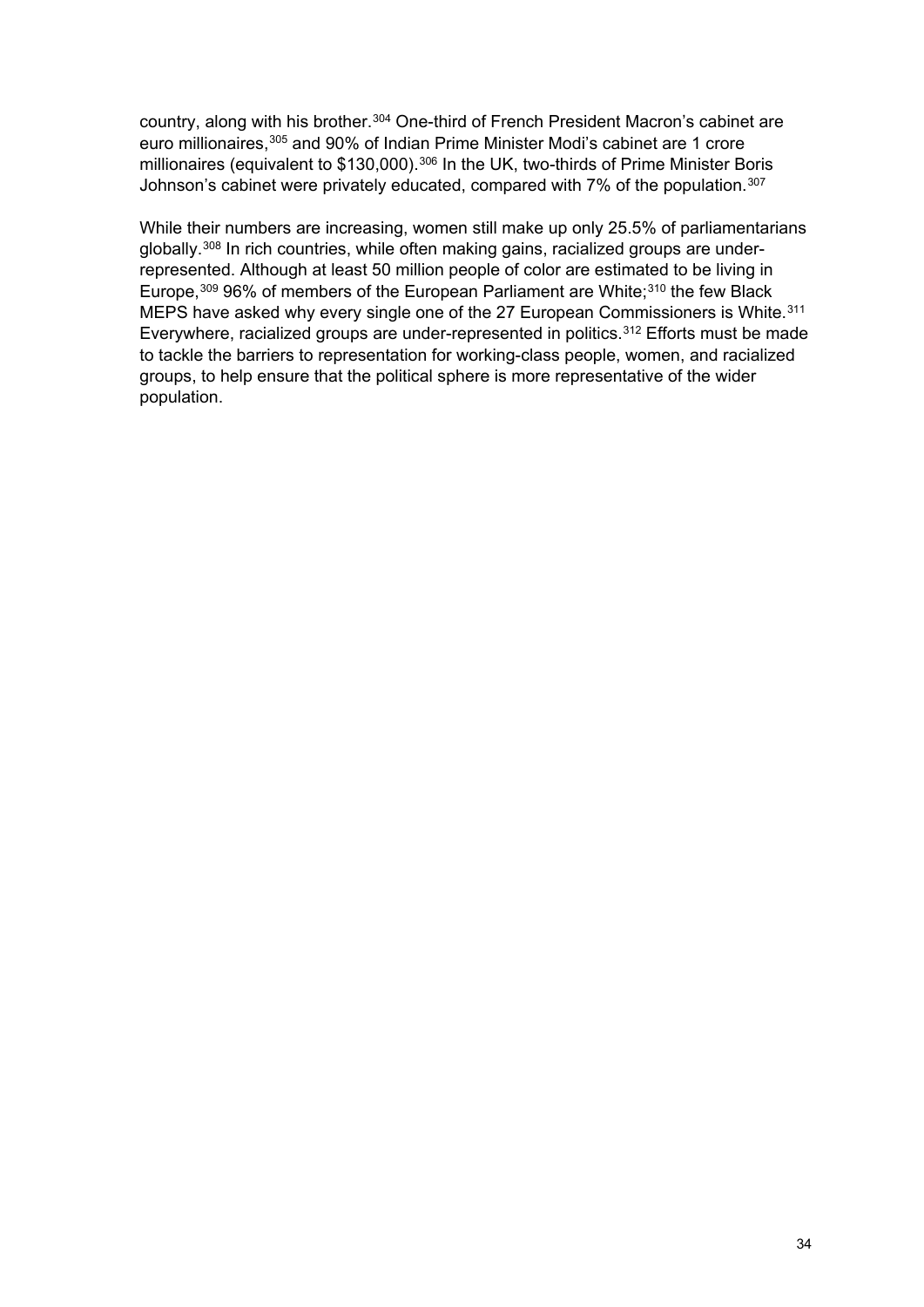country, along with his brother.<sup>[304](#page-48-18)</sup> One-third of French President Macron's cabinet are euro millionaires, [305](#page-48-19) and 90% of Indian Prime Minister Modi's cabinet are 1 crore millionaires (equivalent to \$130,000).<sup>[306](#page-48-20)</sup> In the UK, two-thirds of Prime Minister Boris Johnson's cabinet were privately educated, compared with 7% of the population.<sup>[307](#page-49-0)</sup>

While their numbers are increasing, women still make up only 25.5% of parliamentarians globally.[308](#page-49-1) In rich countries, while often making gains, racialized groups are underrepresented. Although at least 50 million people of color are estimated to be living in Europe,<sup>[309](#page-49-2)</sup> 96% of members of the European Parliament are White;<sup>[310](#page-49-3)</sup> the few Black MEPS have asked why every single one of the 27 European Commissioners is White.<sup>[311](#page-49-4)</sup> Everywhere, racialized groups are under-represented in politics.<sup>[312](#page-49-5)</sup> Efforts must be made to tackle the barriers to representation for working-class people, women, and racialized groups, to help ensure that the political sphere is more representative of the wider population.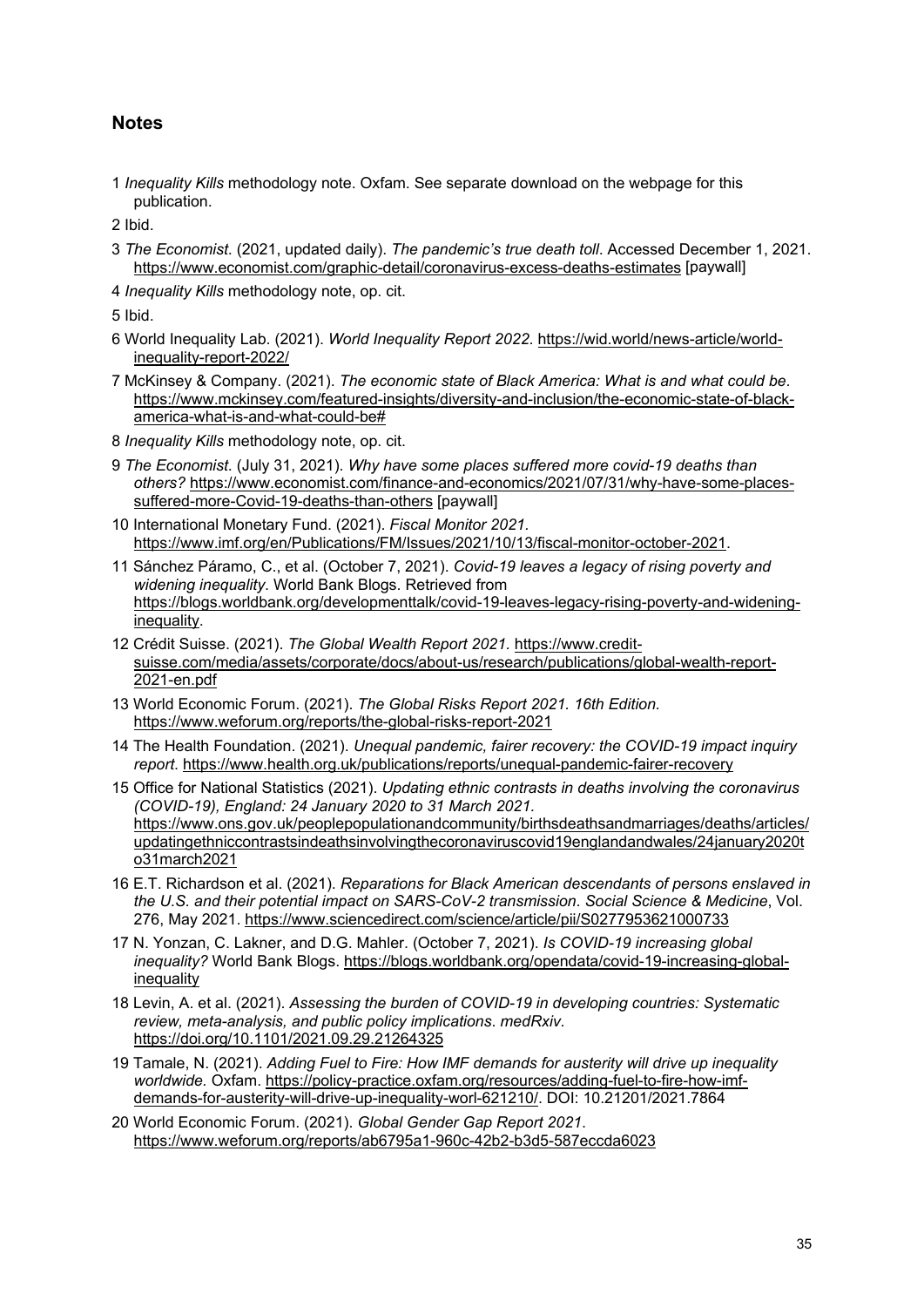## **Notes**

<span id="page-34-0"></span>1 *Inequality Kills* methodology note. Oxfam. See separate download on the webpage for this publication.

<span id="page-34-1"></span>2 Ibid.

- <span id="page-34-2"></span>3 *The Economist*. (2021, updated daily). *The pandemic's true death toll*. Accessed December 1, 2021. <https://www.economist.com/graphic-detail/coronavirus-excess-deaths-estimates> [paywall]
- <span id="page-34-3"></span>4 *Inequality Kills* methodology note, op. cit.

- <span id="page-34-5"></span><span id="page-34-4"></span>6 World Inequality Lab. (2021). *World Inequality Report 2022*. [https://wid.world/news-article/world](https://wid.world/news-article/world-inequality-report-2022/)[inequality-report-2022/](https://wid.world/news-article/world-inequality-report-2022/)
- <span id="page-34-6"></span>7 McKinsey & Company. (2021). *The economic state of Black America: What is and what could be*. [https://www.mckinsey.com/featured-insights/diversity-and-inclusion/the-economic-state-of-black](https://www.mckinsey.com/featured-insights/diversity-and-inclusion/the-economic-state-of-black-america-what-is-and-what-could-be)[america-what-is-and-what-could-be#](https://www.mckinsey.com/featured-insights/diversity-and-inclusion/the-economic-state-of-black-america-what-is-and-what-could-be)
- <span id="page-34-7"></span>8 *Inequality Kills* methodology note, op. cit.
- <span id="page-34-8"></span>9 *The Economist*. (July 31, 2021). *Why have some places suffered more covid-19 deaths than others?* [https://www.economist.com/finance-and-economics/2021/07/31/why-have-some-places](https://www.economist.com/finance-and-economics/2021/07/31/why-have-some-places-suffered-more-Covid-19-deaths-than-others)[suffered-more-Covid-19-deaths-than-others](https://www.economist.com/finance-and-economics/2021/07/31/why-have-some-places-suffered-more-Covid-19-deaths-than-others) [paywall]
- <span id="page-34-9"></span>10 International Monetary Fund. (2021). *Fiscal Monitor 2021.*  [https://www.imf.org/en/Publications/FM/Issues/2021/10/13/fiscal-monitor-october-2021.](https://www.imf.org/en/Publications/FM/Issues/2021/10/13/fiscal-monitor-october-2021)
- <span id="page-34-10"></span>11 Sánchez Páramo, C., et al. (October 7, 2021). *Covid-19 leaves a legacy of rising poverty and widening inequality*. World Bank Blogs. Retrieved from [https://blogs.worldbank.org/developmenttalk/covid-19-leaves-legacy-rising-poverty-and-widening](https://blogs.worldbank.org/developmenttalk/covid-19-leaves-legacy-rising-poverty-and-widening-inequality)[inequality.](https://blogs.worldbank.org/developmenttalk/covid-19-leaves-legacy-rising-poverty-and-widening-inequality)
- <span id="page-34-11"></span>12 Crédit Suisse. (2021). *The Global Wealth Report 2021.* [https://www.credit](https://www.credit-suisse.com/media/assets/corporate/docs/about-us/research/publications/global-wealth-report-2021-en.pdf)[suisse.com/media/assets/corporate/docs/about-us/research/publications/global-wealth-report-](https://www.credit-suisse.com/media/assets/corporate/docs/about-us/research/publications/global-wealth-report-2021-en.pdf)[2021-en.pdf](https://www.credit-suisse.com/media/assets/corporate/docs/about-us/research/publications/global-wealth-report-2021-en.pdf)
- <span id="page-34-12"></span>13 World Economic Forum. (2021). *The Global Risks Report 2021. 16th Edition.*  <https://www.weforum.org/reports/the-global-risks-report-2021>
- <span id="page-34-13"></span>14 The Health Foundation. (2021). *Unequal pandemic, fairer recovery: the COVID-19 impact inquiry report*.<https://www.health.org.uk/publications/reports/unequal-pandemic-fairer-recovery>
- <span id="page-34-14"></span>15 Office for National Statistics (2021). *Updating ethnic contrasts in deaths involving the coronavirus (COVID-19), England: 24 January 2020 to 31 March 2021.*  [https://www.ons.gov.uk/peoplepopulationandcommunity/birthsdeathsandmarriages/deaths/articles/](https://www.ons.gov.uk/peoplepopulationandcommunity/birthsdeathsandmarriages/deaths/articles/updatingethniccontrastsindeathsinvolvingthecoronaviruscovid19englandandwales/24january2020to31march2021) [updatingethniccontrastsindeathsinvolvingthecoronaviruscovid19englandandwales/24january2020t](https://www.ons.gov.uk/peoplepopulationandcommunity/birthsdeathsandmarriages/deaths/articles/updatingethniccontrastsindeathsinvolvingthecoronaviruscovid19englandandwales/24january2020to31march2021) [o31march2021](https://www.ons.gov.uk/peoplepopulationandcommunity/birthsdeathsandmarriages/deaths/articles/updatingethniccontrastsindeathsinvolvingthecoronaviruscovid19englandandwales/24january2020to31march2021)
- <span id="page-34-15"></span>16 E.T. Richardson et al. (2021). *Reparations for Black American descendants of persons enslaved in the U.S. and their potential impact on SARS-CoV-2 transmission*. *Social Science & Medicine*, Vol. 276, May 2021.<https://www.sciencedirect.com/science/article/pii/S0277953621000733>
- <span id="page-34-16"></span>17 N. Yonzan, C. Lakner, and D.G. Mahler. (October 7, 2021). *Is COVID-19 increasing global inequality?* World Bank Blogs. [https://blogs.worldbank.org/opendata/covid-19-increasing-global](https://blogs.worldbank.org/opendata/covid-19-increasing-global-inequality)[inequality](https://blogs.worldbank.org/opendata/covid-19-increasing-global-inequality)
- <span id="page-34-17"></span>18 Levin, A. et al. (2021). *Assessing the burden of COVID-19 in developing countries: Systematic review, meta-analysis, and public policy implications*. *medRxiv*. <https://doi.org/10.1101/2021.09.29.21264325>
- <span id="page-34-18"></span>19 Tamale, N. (2021). *Adding Fuel to Fire: How IMF demands for austerity will drive up inequality worldwide.* Oxfam. [https://policy-practice.oxfam.org/resources/adding-fuel-to-fire-how-imf](https://policy-practice.oxfam.org/resources/adding-fuel-to-fire-how-imf-demands-for-austerity-will-drive-up-inequality-worl-621210/)[demands-for-austerity-will-drive-up-inequality-worl-621210/.](https://policy-practice.oxfam.org/resources/adding-fuel-to-fire-how-imf-demands-for-austerity-will-drive-up-inequality-worl-621210/) DOI: 10.21201/2021.7864
- <span id="page-34-19"></span>20 World Economic Forum. (2021). *Global Gender Gap Report 2021*. <https://www.weforum.org/reports/ab6795a1-960c-42b2-b3d5-587eccda6023>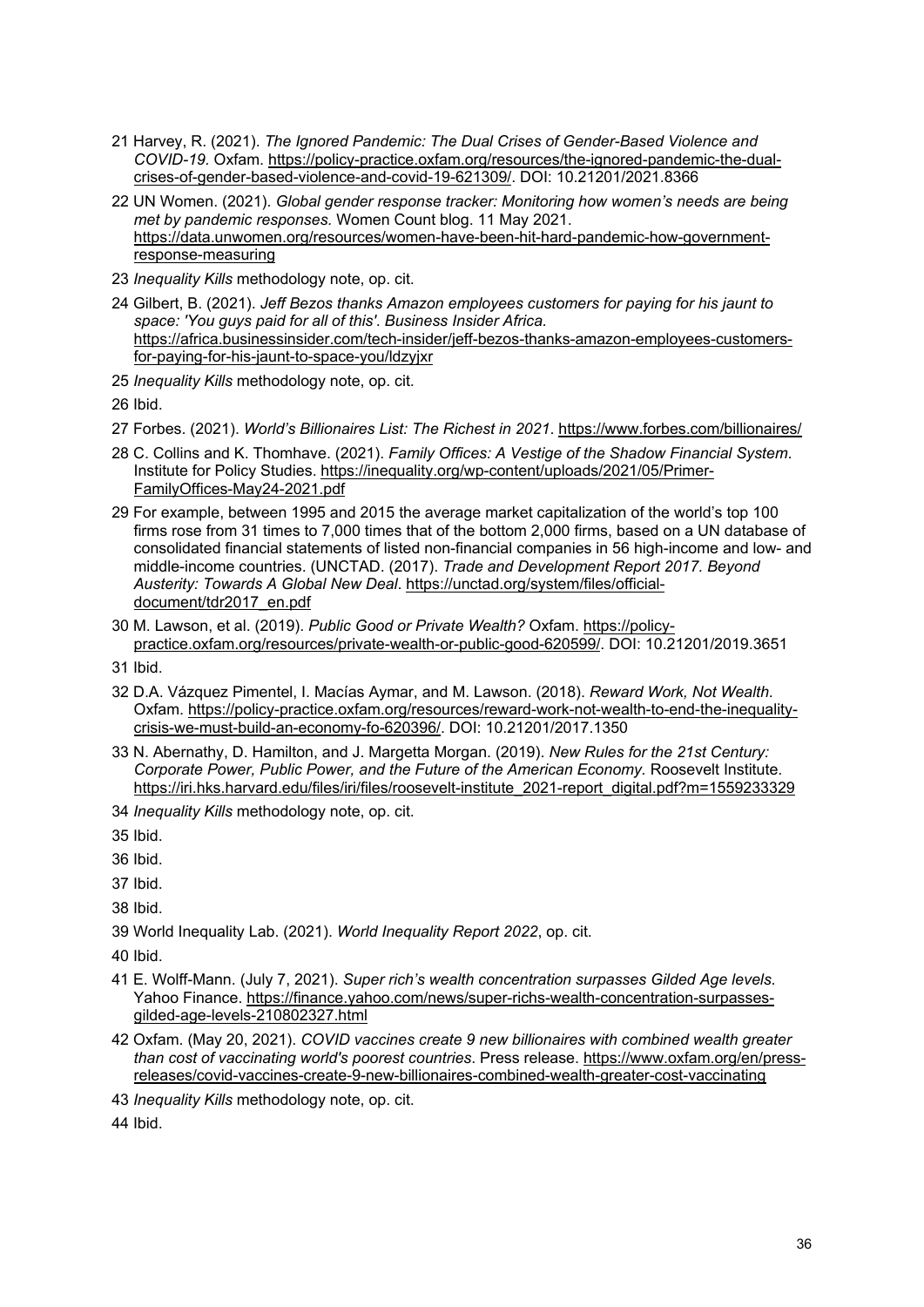- <span id="page-35-0"></span>21 Harvey, R. (2021). *The Ignored Pandemic: The Dual Crises of Gender-Based Violence and COVID-19.* Oxfam. [https://policy-practice.oxfam.org/resources/the-ignored-pandemic-the-dual](https://policy-practice.oxfam.org/resources/the-ignored-pandemic-the-dual-crises-of-gender-based-violence-and-covid-19-621309/)[crises-of-gender-based-violence-and-covid-19-621309/.](https://policy-practice.oxfam.org/resources/the-ignored-pandemic-the-dual-crises-of-gender-based-violence-and-covid-19-621309/) DOI: 10.21201/2021.8366
- <span id="page-35-1"></span>22 UN Women. (2021). *Global gender response tracker: Monitoring how women's needs are being met by pandemic responses.* Women Count blog. 11 May 2021. [https://data.unwomen.org/resources/women-have-been-hit-hard-pandemic-how-government](https://data.unwomen.org/resources/women-have-been-hit-hard-pandemic-how-government-response-measuring)[response-measuring](https://data.unwomen.org/resources/women-have-been-hit-hard-pandemic-how-government-response-measuring)
- <span id="page-35-2"></span>23 *Inequality Kills* methodology note, op. cit.
- <span id="page-35-3"></span>24 Gilbert, B. (2021). *Jeff Bezos thanks Amazon employees customers for paying for his jaunt to space: 'You guys paid for all of this'*. *Business Insider Africa.*  [https://africa.businessinsider.com/tech-insider/jeff-bezos-thanks-amazon-employees-customers](https://africa.businessinsider.com/tech-insider/jeff-bezos-thanks-amazon-employees-customers-for-paying-for-his-jaunt-to-space-you/ldzyjxr)[for-paying-for-his-jaunt-to-space-you/ldzyjxr](https://africa.businessinsider.com/tech-insider/jeff-bezos-thanks-amazon-employees-customers-for-paying-for-his-jaunt-to-space-you/ldzyjxr)
- <span id="page-35-4"></span>25 *Inequality Kills* methodology note, op. cit.

- <span id="page-35-6"></span><span id="page-35-5"></span>27 Forbes. (2021). *World's Billionaires List: The Richest in 2021*.<https://www.forbes.com/billionaires/>
- <span id="page-35-7"></span>28 C. Collins and K. Thomhave. (2021). *Family Offices: A Vestige of the Shadow Financial System*. Institute for Policy Studies. [https://inequality.org/wp-content/uploads/2021/05/Primer-](https://inequality.org/wp-content/uploads/2021/05/Primer-FamilyOffices-May24-2021.pdf)[FamilyOffices-May24-2021.pdf](https://inequality.org/wp-content/uploads/2021/05/Primer-FamilyOffices-May24-2021.pdf)
- <span id="page-35-8"></span>29 For example, between 1995 and 2015 the average market capitalization of the world's top 100 firms rose from 31 times to 7,000 times that of the bottom 2,000 firms, based on a UN database of consolidated financial statements of listed non-financial companies in 56 high-income and low- and middle-income countries. (UNCTAD. (2017). *Trade and Development Report 2017. Beyond Austerity: Towards A Global New Deal*. [https://unctad.org/system/files/official](https://unctad.org/system/files/official-document/tdr2017_en.pdf)[document/tdr2017\\_en.pdf](https://unctad.org/system/files/official-document/tdr2017_en.pdf)
- <span id="page-35-9"></span>30 M. Lawson, et al. (2019). *Public Good or Private Wealth?* Oxfam. [https://policy](https://policy-practice.oxfam.org/resources/private-wealth-or-public-good-620599/)[practice.oxfam.org/resources/private-wealth-or-public-good-620599/.](https://policy-practice.oxfam.org/resources/private-wealth-or-public-good-620599/) DOI: 10.21201/2019.3651
- <span id="page-35-10"></span>31 Ibid.
- <span id="page-35-11"></span>32 D.A. Vázquez Pimentel, I. Macías Aymar, and M. Lawson. (2018). *Reward Work, Not Wealth*. Oxfam. [https://policy-practice.oxfam.org/resources/reward-work-not-wealth-to-end-the-inequality](https://policy-practice.oxfam.org/resources/reward-work-not-wealth-to-end-the-inequality-crisis-we-must-build-an-economy-fo-620396/)[crisis-we-must-build-an-economy-fo-620396/.](https://policy-practice.oxfam.org/resources/reward-work-not-wealth-to-end-the-inequality-crisis-we-must-build-an-economy-fo-620396/) DOI: 10.21201/2017.1350
- <span id="page-35-12"></span>33 N. Abernathy, D. Hamilton, and J. Margetta Morgan. (2019). *New Rules for the 21st Century: Corporate Power, Public Power, and the Future of the American Economy.* Roosevelt Institute. [https://iri.hks.harvard.edu/files/iri/files/roosevelt-institute\\_2021-report\\_digital.pdf?m=1559233329](https://iri.hks.harvard.edu/files/iri/files/roosevelt-institute_2021-report_digital.pdf?m=1559233329)
- <span id="page-35-13"></span>34 *Inequality Kills* methodology note, op. cit.

<span id="page-35-14"></span>35 Ibid.

<span id="page-35-15"></span>36 Ibid.

<span id="page-35-16"></span>37 Ibid.

<span id="page-35-17"></span>38 Ibid.

<span id="page-35-18"></span>39 World Inequality Lab. (2021). *World Inequality Report 2022*, op. cit.

<span id="page-35-19"></span>40 Ibid.

- <span id="page-35-20"></span>41 E. Wolff-Mann. (July 7, 2021). *Super rich's wealth concentration surpasses Gilded Age levels*. Yahoo Finance. [https://finance.yahoo.com/news/super-richs-wealth-concentration-surpasses](https://finance.yahoo.com/news/super-richs-wealth-concentration-surpasses-gilded-age-levels-210802327.html)[gilded-age-levels-210802327.html](https://finance.yahoo.com/news/super-richs-wealth-concentration-surpasses-gilded-age-levels-210802327.html)
- <span id="page-35-21"></span>42 Oxfam. (May 20, 2021). *COVID vaccines create 9 new billionaires with combined wealth greater than cost of vaccinating world's poorest countries*. Press release. [https://www.oxfam.org/en/press](https://www.oxfam.org/en/press-releases/covid-vaccines-create-9-new-billionaires-combined-wealth-greater-cost-vaccinating)[releases/covid-vaccines-create-9-new-billionaires-combined-wealth-greater-cost-vaccinating](https://www.oxfam.org/en/press-releases/covid-vaccines-create-9-new-billionaires-combined-wealth-greater-cost-vaccinating)
- <span id="page-35-23"></span><span id="page-35-22"></span>43 *Inequality Kills* methodology note, op. cit.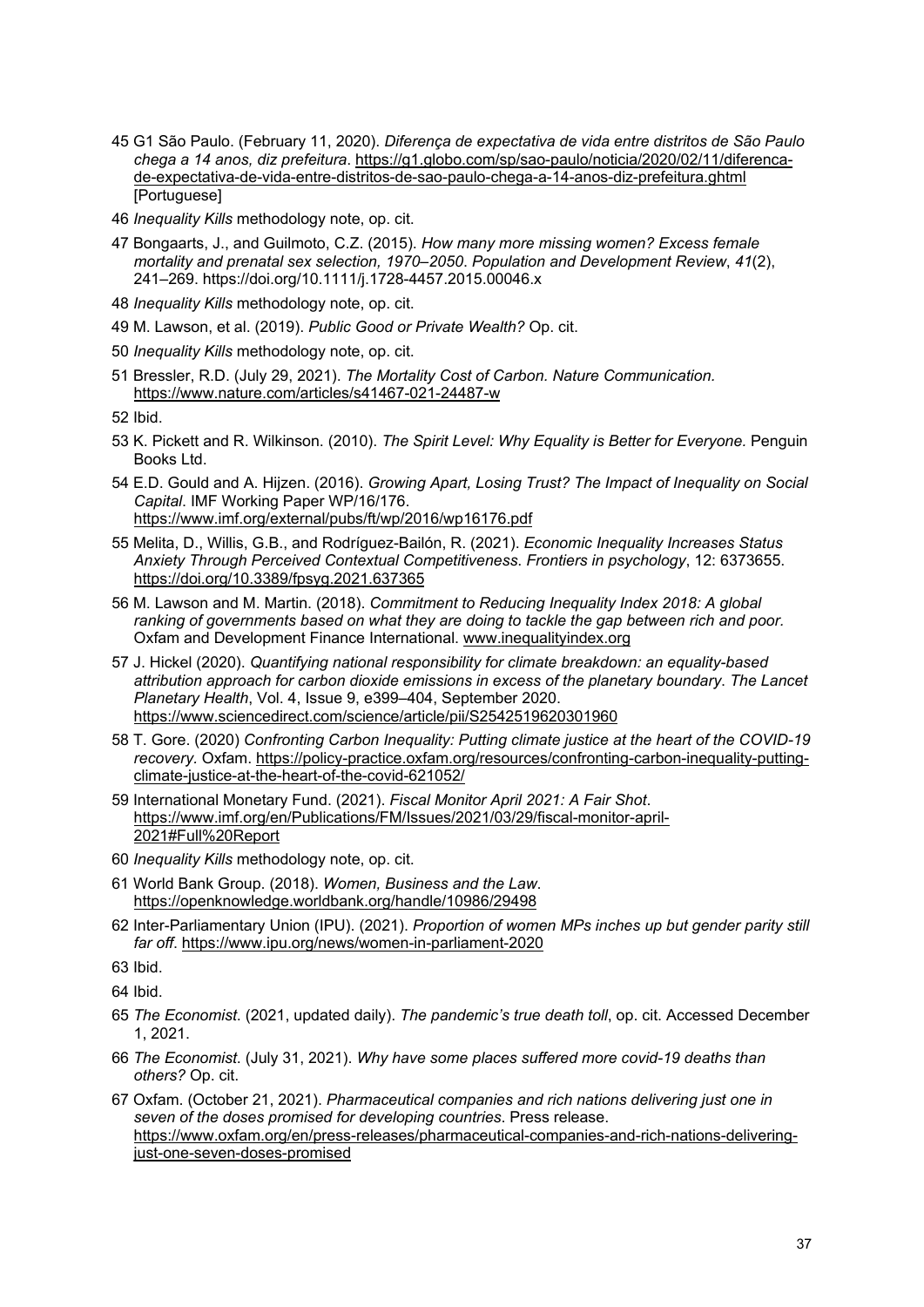- <span id="page-36-0"></span>45 G1 São Paulo. (February 11, 2020). *Diferença de expectativa de vida entre distritos de São Paulo chega a 14 anos, diz prefeitura*. [https://g1.globo.com/sp/sao-paulo/noticia/2020/02/11/diferenca](https://g1.globo.com/sp/sao-paulo/noticia/2020/02/11/diferenca-de-expectativa-de-vida-entre-distritos-de-sao-paulo-chega-a-14-anos-diz-prefeitura.ghtml)[de-expectativa-de-vida-entre-distritos-de-sao-paulo-chega-a-14-anos-diz-prefeitura.ghtml](https://g1.globo.com/sp/sao-paulo/noticia/2020/02/11/diferenca-de-expectativa-de-vida-entre-distritos-de-sao-paulo-chega-a-14-anos-diz-prefeitura.ghtml)  [Portuguese]
- <span id="page-36-1"></span>46 *Inequality Kills* methodology note, op. cit.
- <span id="page-36-2"></span>47 Bongaarts, J., and Guilmoto, C.Z. (2015). *How many more missing women? Excess female mortality and prenatal sex selection, 1970–2050*. *Population and Development Review*, *41*(2), 241–269. https://doi.org/10.1111/j.1728-4457.2015.00046.x
- <span id="page-36-3"></span>48 *Inequality Kills* methodology note, op. cit.
- <span id="page-36-4"></span>49 M. Lawson, et al. (2019). *Public Good or Private Wealth?* Op. cit.
- <span id="page-36-5"></span>50 *Inequality Kills* methodology note, op. cit.
- <span id="page-36-6"></span>51 Bressler, R.D. (July 29, 2021). *The Mortality Cost of Carbon. Nature Communication.* <https://www.nature.com/articles/s41467-021-24487-w>
- <span id="page-36-7"></span>52 Ibid.
- <span id="page-36-8"></span>53 K. Pickett and R. Wilkinson. (2010). *The Spirit Level: Why Equality is Better for Everyone.* Penguin Books Ltd.
- <span id="page-36-9"></span>54 E.D. Gould and A. Hijzen. (2016). *Growing Apart, Losing Trust? The Impact of Inequality on Social Capital*. IMF Working Paper WP/16/176. <https://www.imf.org/external/pubs/ft/wp/2016/wp16176.pdf>
- <span id="page-36-10"></span>55 Melita, D., Willis, G.B., and Rodríguez-Bailón, R. (2021). *Economic Inequality Increases Status Anxiety Through Perceived Contextual Competitiveness*. *Frontiers in psychology*, 12: 6373655. <https://doi.org/10.3389/fpsyg.2021.637365>
- <span id="page-36-11"></span>56 M. Lawson and M. Martin. (2018). *Commitment to Reducing Inequality Index 2018: A global ranking of governments based on what they are doing to tackle the gap between rich and poor.* Oxfam and Development Finance International. [www.inequalityindex.org](http://www.inequalityindex.org/)
- <span id="page-36-12"></span>57 J. Hickel (2020). *Quantifying national responsibility for climate breakdown: an equality-based attribution approach for carbon dioxide emissions in excess of the planetary boundary*. *The Lancet Planetary Health*, Vol. 4, Issue 9, e399–404, September 2020. <https://www.sciencedirect.com/science/article/pii/S2542519620301960>
- <span id="page-36-13"></span>58 T. Gore. (2020) *Confronting Carbon Inequality: Putting climate justice at the heart of the COVID-19 recovery.* Oxfam. [https://policy-practice.oxfam.org/resources/confronting-carbon-inequality-putting](https://policy-practice.oxfam.org/resources/confronting-carbon-inequality-putting-climate-justice-at-the-heart-of-the-covid-621052/)[climate-justice-at-the-heart-of-the-covid-621052/](https://policy-practice.oxfam.org/resources/confronting-carbon-inequality-putting-climate-justice-at-the-heart-of-the-covid-621052/)
- <span id="page-36-14"></span>59 International Monetary Fund. (2021). *Fiscal Monitor April 2021: A Fair Shot*. [https://www.imf.org/en/Publications/FM/Issues/2021/03/29/fiscal-monitor-april-](https://www.imf.org/en/Publications/FM/Issues/2021/03/29/fiscal-monitor-april-2021#Full%20Report)[2021#Full%20Report](https://www.imf.org/en/Publications/FM/Issues/2021/03/29/fiscal-monitor-april-2021#Full%20Report)
- <span id="page-36-15"></span>60 *Inequality Kills* methodology note, op. cit.
- <span id="page-36-16"></span>61 World Bank Group. (2018). *Women, Business and the Law*. <https://openknowledge.worldbank.org/handle/10986/29498>
- <span id="page-36-17"></span>62 Inter-Parliamentary Union (IPU). (2021). *Proportion of women MPs inches up but gender parity still far off*.<https://www.ipu.org/news/women-in-parliament-2020>

- <span id="page-36-20"></span>65 *The Economist*. (2021, updated daily). *The pandemic's true death toll*, op. cit. Accessed December 1, 2021.
- <span id="page-36-21"></span>66 *The Economist*. (July 31, 2021). *Why have some places suffered more covid-19 deaths than others?* Op. cit.
- <span id="page-36-22"></span>67 Oxfam. (October 21, 2021). *Pharmaceutical companies and rich nations delivering just one in seven of the doses promised for developing countries*. Press release. [https://www.oxfam.org/en/press-releases/pharmaceutical-companies-and-rich-nations-delivering](https://www.oxfam.org/en/press-releases/pharmaceutical-companies-and-rich-nations-delivering-just-one-seven-doses-promised)[just-one-seven-doses-promised](https://www.oxfam.org/en/press-releases/pharmaceutical-companies-and-rich-nations-delivering-just-one-seven-doses-promised)

<span id="page-36-19"></span><span id="page-36-18"></span><sup>64</sup> Ibid.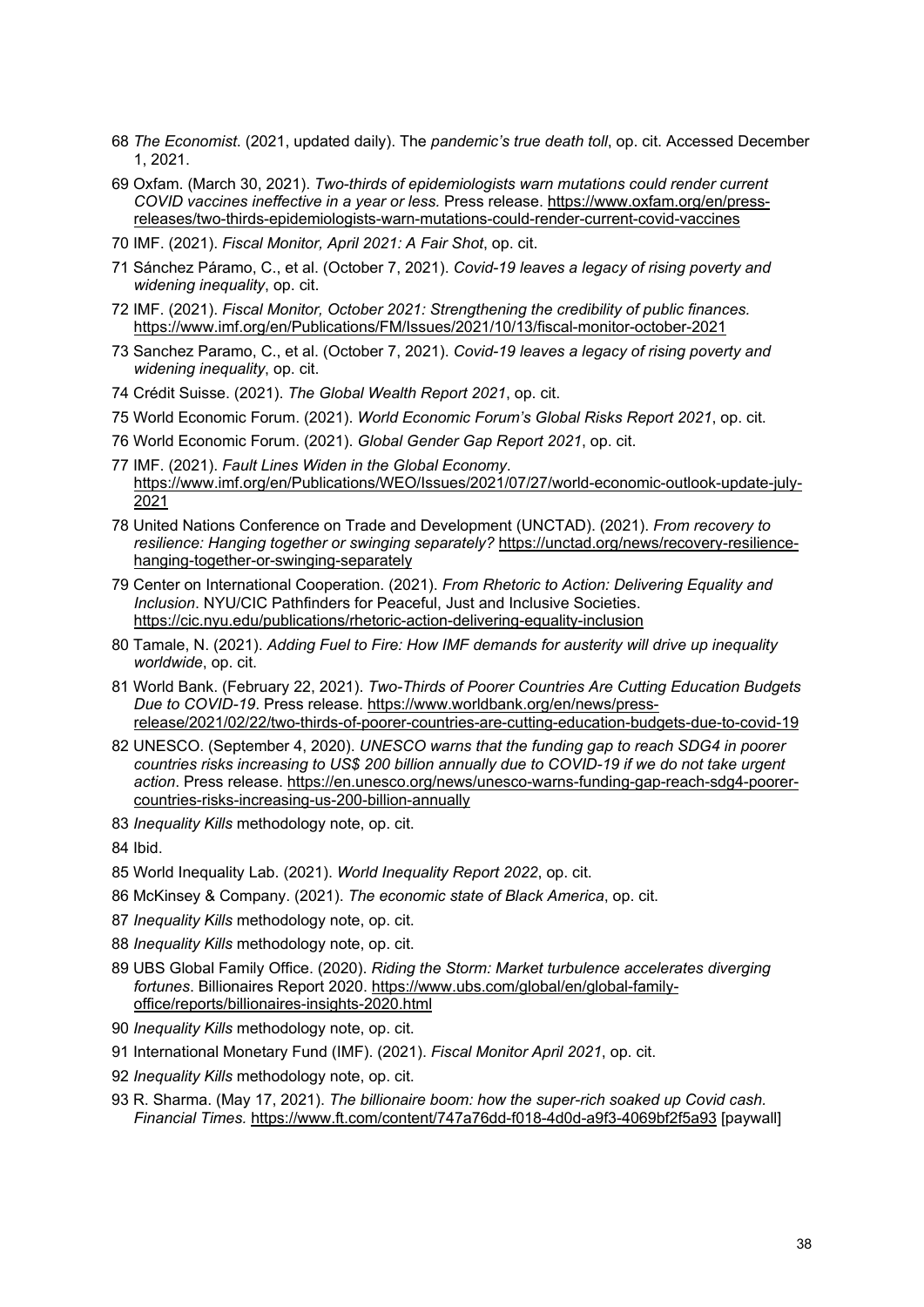- <span id="page-37-0"></span>68 *The Economist*. (2021, updated daily). The *pandemic's true death toll*, op. cit. Accessed December 1, 2021.
- <span id="page-37-1"></span>69 Oxfam. (March 30, 2021). *Two-thirds of epidemiologists warn mutations could render current COVID vaccines ineffective in a year or less.* Press release. [https://www.oxfam.org/en/press](https://www.oxfam.org/en/press-releases/two-thirds-epidemiologists-warn-mutations-could-render-current-covid-vaccines)[releases/two-thirds-epidemiologists-warn-mutations-could-render-current-covid-vaccines](https://www.oxfam.org/en/press-releases/two-thirds-epidemiologists-warn-mutations-could-render-current-covid-vaccines)
- <span id="page-37-2"></span>70 IMF. (2021). *Fiscal Monitor, April 2021: A Fair Shot*, op. cit.
- <span id="page-37-3"></span>71 Sánchez Páramo, C., et al. (October 7, 2021). *Covid-19 leaves a legacy of rising poverty and widening inequality*, op. cit.
- <span id="page-37-4"></span>72 IMF. (2021). *Fiscal Monitor, October 2021: Strengthening the credibility of public finances.*  <https://www.imf.org/en/Publications/FM/Issues/2021/10/13/fiscal-monitor-october-2021>
- <span id="page-37-5"></span>73 Sanchez Paramo, C., et al. (October 7, 2021). *Covid-19 leaves a legacy of rising poverty and widening inequality*, op. cit.
- <span id="page-37-6"></span>74 Crédit Suisse. (2021). *The Global Wealth Report 2021*, op. cit.
- <span id="page-37-7"></span>75 World Economic Forum. (2021). *World Economic Forum's Global Risks Report 2021*, op. cit.
- <span id="page-37-8"></span>76 World Economic Forum. (2021). *Global Gender Gap Report 2021*, op. cit.
- <span id="page-37-9"></span>77 IMF. (2021). *Fault Lines Widen in the Global Economy*. [https://www.imf.org/en/Publications/WEO/Issues/2021/07/27/world-economic-outlook-update-july-](https://www.imf.org/en/Publications/WEO/Issues/2021/07/27/world-economic-outlook-update-july-2021)[2021](https://www.imf.org/en/Publications/WEO/Issues/2021/07/27/world-economic-outlook-update-july-2021)
- <span id="page-37-10"></span>78 United Nations Conference on Trade and Development (UNCTAD). (2021). *From recovery to resilience: Hanging together or swinging separately?* [https://unctad.org/news/recovery-resilience](https://unctad.org/news/recovery-resilience-hanging-together-or-swinging-separately)[hanging-together-or-swinging-separately](https://unctad.org/news/recovery-resilience-hanging-together-or-swinging-separately)
- <span id="page-37-11"></span>79 Center on International Cooperation. (2021). *From Rhetoric to Action: Delivering Equality and Inclusion*. NYU/CIC Pathfinders for Peaceful, Just and Inclusive Societies. <https://cic.nyu.edu/publications/rhetoric-action-delivering-equality-inclusion>
- <span id="page-37-12"></span>80 Tamale, N. (2021). *Adding Fuel to Fire: How IMF demands for austerity will drive up inequality worldwide*, op. cit.
- <span id="page-37-13"></span>81 World Bank. (February 22, 2021). *Two-Thirds of Poorer Countries Are Cutting Education Budgets Due to COVID-19*. Press release. [https://www.worldbank.org/en/news/press](https://www.worldbank.org/en/news/press-release/2021/02/22/two-thirds-of-poorer-countries-are-cutting-education-budgets-due-to-covid-19)[release/2021/02/22/two-thirds-of-poorer-countries-are-cutting-education-budgets-due-to-covid-19](https://www.worldbank.org/en/news/press-release/2021/02/22/two-thirds-of-poorer-countries-are-cutting-education-budgets-due-to-covid-19)
- <span id="page-37-14"></span>82 UNESCO. (September 4, 2020). *UNESCO warns that the funding gap to reach SDG4 in poorer countries risks increasing to US\$ 200 billion annually due to COVID-19 if we do not take urgent action*. Press release. [https://en.unesco.org/news/unesco-warns-funding-gap-reach-sdg4-poorer](https://en.unesco.org/news/unesco-warns-funding-gap-reach-sdg4-poorer-countries-risks-increasing-us-200-billion-annually)[countries-risks-increasing-us-200-billion-annually](https://en.unesco.org/news/unesco-warns-funding-gap-reach-sdg4-poorer-countries-risks-increasing-us-200-billion-annually)
- <span id="page-37-15"></span>83 *Inequality Kills* methodology note, op. cit.

- <span id="page-37-17"></span><span id="page-37-16"></span>85 World Inequality Lab. (2021). *World Inequality Report 2022*, op. cit.
- <span id="page-37-18"></span>86 McKinsey & Company. (2021). *The economic state of Black America*, op. cit.
- <span id="page-37-19"></span>87 *Inequality Kills* methodology note, op. cit.
- <span id="page-37-20"></span>88 *Inequality Kills* methodology note, op. cit.
- <span id="page-37-21"></span>89 UBS Global Family Office. (2020). *Riding the Storm: Market turbulence accelerates diverging fortunes*. Billionaires Report 2020. [https://www.ubs.com/global/en/global-family](https://www.ubs.com/global/en/global-family-office/reports/billionaires-insights-2020.html)[office/reports/billionaires-insights-2020.html](https://www.ubs.com/global/en/global-family-office/reports/billionaires-insights-2020.html)
- <span id="page-37-22"></span>90 *Inequality Kills* methodology note, op. cit.
- <span id="page-37-23"></span>91 International Monetary Fund (IMF). (2021). *Fiscal Monitor April 2021*, op. cit.
- <span id="page-37-24"></span>92 *Inequality Kills* methodology note, op. cit.
- <span id="page-37-25"></span>93 R. Sharma. (May 17, 2021). *The billionaire boom: how the super-rich soaked up Covid cash. Financial Times.* <https://www.ft.com/content/747a76dd-f018-4d0d-a9f3-4069bf2f5a93> [paywall]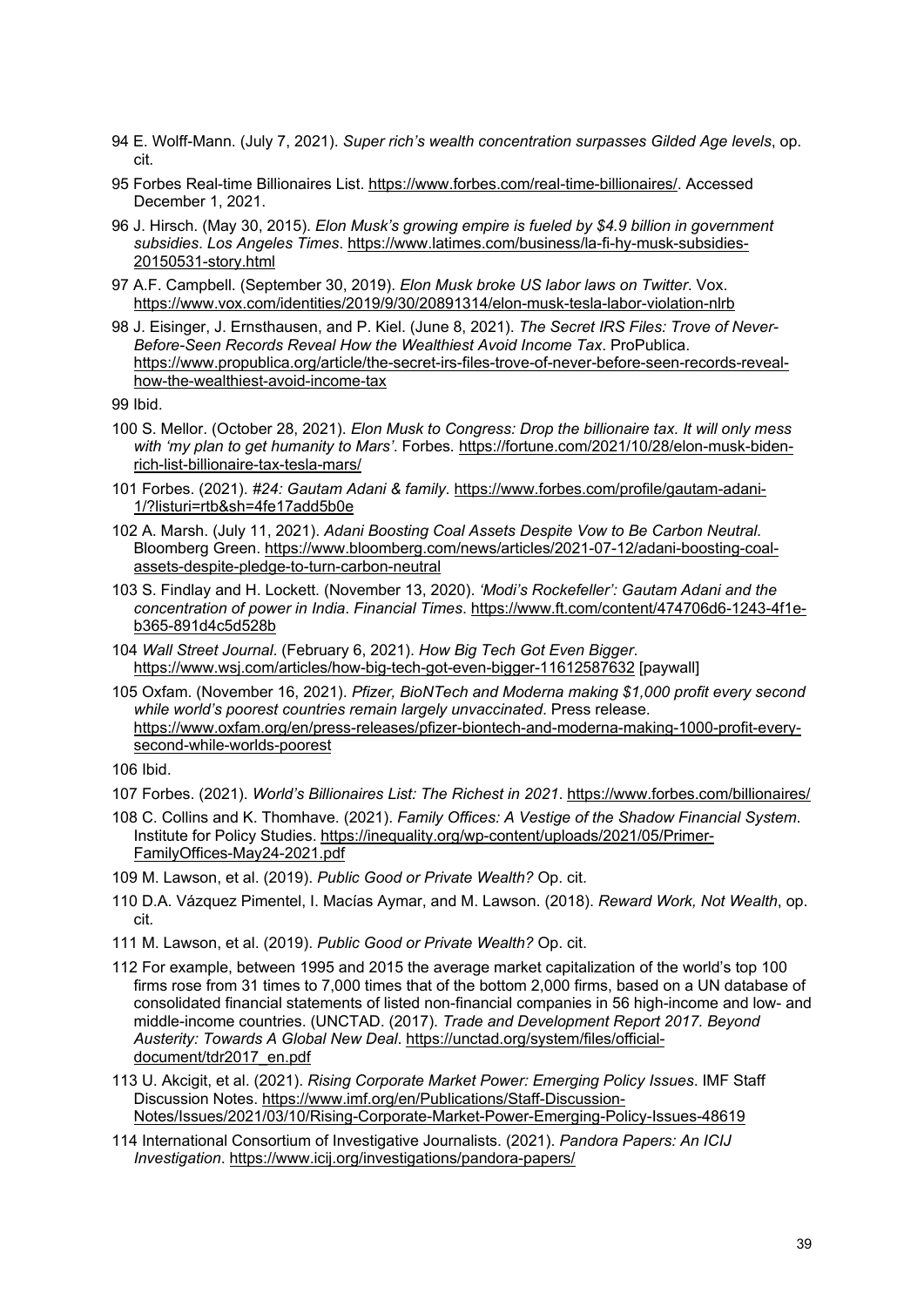- <span id="page-38-0"></span>94 E. Wolff-Mann. (July 7, 2021). *Super rich's wealth concentration surpasses Gilded Age levels*, op. cit.
- <span id="page-38-1"></span>95 Forbes Real-time Billionaires List. [https://www.forbes.com/real-time-billionaires/.](https://www.forbes.com/real-time-billionaires/) Accessed December 1, 2021.
- <span id="page-38-2"></span>96 J. Hirsch. (May 30, 2015). *Elon Musk's growing empire is fueled by \$4.9 billion in government subsidies*. *Los Angeles Times*. [https://www.latimes.com/business/la-fi-hy-musk-subsidies-](https://www.latimes.com/business/la-fi-hy-musk-subsidies-20150531-story.html)[20150531-story.html](https://www.latimes.com/business/la-fi-hy-musk-subsidies-20150531-story.html)
- <span id="page-38-3"></span>97 A.F. Campbell. (September 30, 2019). *Elon Musk broke US labor laws on Twitter*. Vox. <https://www.vox.com/identities/2019/9/30/20891314/elon-musk-tesla-labor-violation-nlrb>
- <span id="page-38-4"></span>98 J. Eisinger, J. Ernsthausen, and P. Kiel. (June 8, 2021). *The Secret IRS Files: Trove of Never-Before-Seen Records Reveal How the Wealthiest Avoid Income Tax*. ProPublica. [https://www.propublica.org/article/the-secret-irs-files-trove-of-never-before-seen-records-reveal](https://www.propublica.org/article/the-secret-irs-files-trove-of-never-before-seen-records-reveal-how-the-wealthiest-avoid-income-tax)[how-the-wealthiest-avoid-income-tax](https://www.propublica.org/article/the-secret-irs-files-trove-of-never-before-seen-records-reveal-how-the-wealthiest-avoid-income-tax)

- <span id="page-38-6"></span><span id="page-38-5"></span>100 S. Mellor. (October 28, 2021). *Elon Musk to Congress: Drop the billionaire tax. It will only mess with 'my plan to get humanity to Mars'*. Forbes*.* [https://fortune.com/2021/10/28/elon-musk-biden](https://fortune.com/2021/10/28/elon-musk-biden-rich-list-billionaire-tax-tesla-mars/)[rich-list-billionaire-tax-tesla-mars/](https://fortune.com/2021/10/28/elon-musk-biden-rich-list-billionaire-tax-tesla-mars/)
- <span id="page-38-7"></span>101 Forbes. (2021). *#24: Gautam Adani & family*[. https://www.forbes.com/profile/gautam-adani-](https://www.forbes.com/profile/gautam-adani-1/?listuri=rtb&sh=4fe17add5b0e)[1/?listuri=rtb&sh=4fe17add5b0e](https://www.forbes.com/profile/gautam-adani-1/?listuri=rtb&sh=4fe17add5b0e)
- <span id="page-38-8"></span>102 A. Marsh. (July 11, 2021). *Adani Boosting Coal Assets Despite Vow to Be Carbon Neutral*. Bloomberg Green[. https://www.bloomberg.com/news/articles/2021-07-12/adani-boosting-coal](https://www.bloomberg.com/news/articles/2021-07-12/adani-boosting-coal-assets-despite-pledge-to-turn-carbon-neutral)[assets-despite-pledge-to-turn-carbon-neutral](https://www.bloomberg.com/news/articles/2021-07-12/adani-boosting-coal-assets-despite-pledge-to-turn-carbon-neutral)
- <span id="page-38-9"></span>103 S. Findlay and H. Lockett. (November 13, 2020). *'Modi's Rockefeller': Gautam Adani and the concentration of power in India*. *Financial Times*. [https://www.ft.com/content/474706d6-1243-4f1e](https://www.ft.com/content/474706d6-1243-4f1e-b365-891d4c5d528b)[b365-891d4c5d528b](https://www.ft.com/content/474706d6-1243-4f1e-b365-891d4c5d528b)
- <span id="page-38-10"></span>104 *Wall Street Journal*. (February 6, 2021). *How Big Tech Got Even Bigger*. <https://www.wsj.com/articles/how-big-tech-got-even-bigger-11612587632> [paywall]
- <span id="page-38-11"></span>105 Oxfam. (November 16, 2021). *Pfizer, BioNTech and Moderna making \$1,000 profit every second while world's poorest countries remain largely unvaccinated*. Press release. [https://www.oxfam.org/en/press-releases/pfizer-biontech-and-moderna-making-1000-profit-every](https://www.oxfam.org/en/press-releases/pfizer-biontech-and-moderna-making-1000-profit-every-second-while-worlds-poorest)[second-while-worlds-poorest](https://www.oxfam.org/en/press-releases/pfizer-biontech-and-moderna-making-1000-profit-every-second-while-worlds-poorest)

- <span id="page-38-13"></span><span id="page-38-12"></span>107 Forbes. (2021). *World's Billionaires List: The Richest in 2021*.<https://www.forbes.com/billionaires/>
- <span id="page-38-14"></span>108 C. Collins and K. Thomhave. (2021). *Family Offices: A Vestige of the Shadow Financial System*. Institute for Policy Studies. [https://inequality.org/wp-content/uploads/2021/05/Primer-](https://inequality.org/wp-content/uploads/2021/05/Primer-FamilyOffices-May24-2021.pdf)[FamilyOffices-May24-2021.pdf](https://inequality.org/wp-content/uploads/2021/05/Primer-FamilyOffices-May24-2021.pdf)
- <span id="page-38-15"></span>109 M. Lawson, et al. (2019). *Public Good or Private Wealth?* Op. cit.
- <span id="page-38-16"></span>110 D.A. Vázquez Pimentel, I. Macías Aymar, and M. Lawson. (2018). *Reward Work, Not Wealth*, op. cit.
- <span id="page-38-17"></span>111 M. Lawson, et al. (2019). *Public Good or Private Wealth?* Op. cit.
- <span id="page-38-18"></span>112 For example, between 1995 and 2015 the average market capitalization of the world's top 100 firms rose from 31 times to 7,000 times that of the bottom 2,000 firms, based on a UN database of consolidated financial statements of listed non-financial companies in 56 high-income and low- and middle-income countries. (UNCTAD. (2017). *Trade and Development Report 2017. Beyond Austerity: Towards A Global New Deal*. [https://unctad.org/system/files/official](https://unctad.org/system/files/official-document/tdr2017_en.pdf)[document/tdr2017\\_en.pdf](https://unctad.org/system/files/official-document/tdr2017_en.pdf)
- <span id="page-38-19"></span>113 U. Akcigit, et al. (2021). *Rising Corporate Market Power: Emerging Policy Issues*. IMF Staff Discussion Notes. [https://www.imf.org/en/Publications/Staff-Discussion-](https://www.imf.org/en/Publications/Staff-Discussion-Notes/Issues/2021/03/10/Rising-Corporate-Market-Power-Emerging-Policy-Issues-48619)[Notes/Issues/2021/03/10/Rising-Corporate-Market-Power-Emerging-Policy-Issues-48619](https://www.imf.org/en/Publications/Staff-Discussion-Notes/Issues/2021/03/10/Rising-Corporate-Market-Power-Emerging-Policy-Issues-48619)
- <span id="page-38-20"></span>114 International Consortium of Investigative Journalists. (2021). *Pandora Papers: An ICIJ Investigation*.<https://www.icij.org/investigations/pandora-papers/>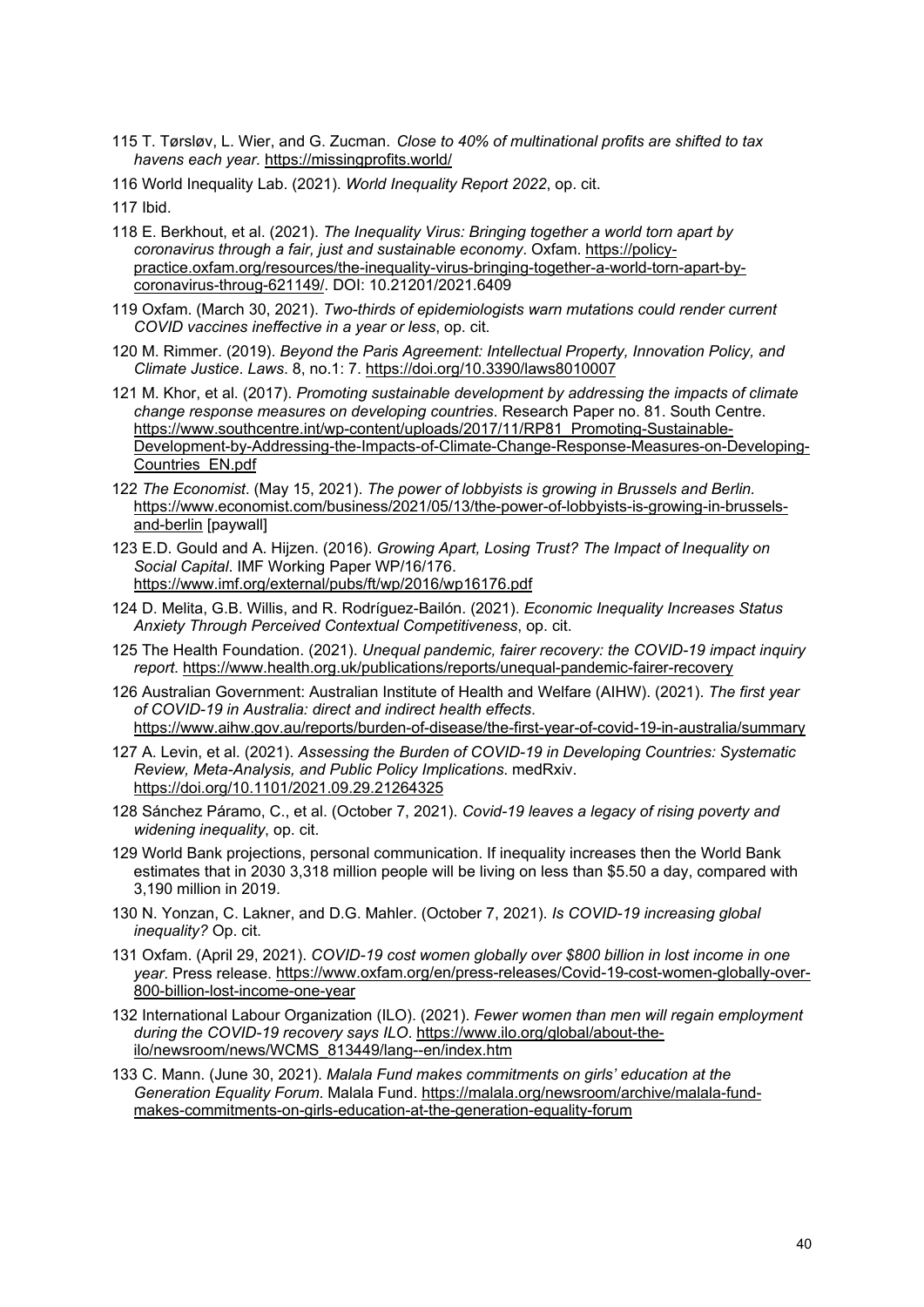- <span id="page-39-0"></span>115 T. Tørsløv, L. Wier, and G. Zucman. *Close to 40% of multinational profits are shifted to tax havens each year.* <https://missingprofits.world/>
- <span id="page-39-1"></span>116 World Inequality Lab. (2021). *World Inequality Report 2022*, op. cit.

- <span id="page-39-3"></span><span id="page-39-2"></span>118 E. Berkhout, et al. (2021). *The Inequality Virus: Bringing together a world torn apart by coronavirus through a fair, just and sustainable economy*. Oxfam. [https://policy](https://policy-practice.oxfam.org/resources/the-inequality-virus-bringing-together-a-world-torn-apart-by-coronavirus-throug-621149/)[practice.oxfam.org/resources/the-inequality-virus-bringing-together-a-world-torn-apart-by](https://policy-practice.oxfam.org/resources/the-inequality-virus-bringing-together-a-world-torn-apart-by-coronavirus-throug-621149/)[coronavirus-throug-621149/.](https://policy-practice.oxfam.org/resources/the-inequality-virus-bringing-together-a-world-torn-apart-by-coronavirus-throug-621149/) DOI: 10.21201/2021.6409
- <span id="page-39-4"></span>119 Oxfam. (March 30, 2021). *Two-thirds of epidemiologists warn mutations could render current COVID vaccines ineffective in a year or less*, op. cit.
- <span id="page-39-5"></span>120 M. Rimmer. (2019). *Beyond the Paris Agreement: Intellectual Property, Innovation Policy, and Climate Justice*. *Laws*. 8, no.1: 7.<https://doi.org/10.3390/laws8010007>
- <span id="page-39-6"></span>121 M. Khor, et al. (2017). *Promoting sustainable development by addressing the impacts of climate change response measures on developing countries*. Research Paper no. 81. South Centre. [https://www.southcentre.int/wp-content/uploads/2017/11/RP81\\_Promoting-Sustainable-](https://www.southcentre.int/wp-content/uploads/2017/11/RP81_Promoting-Sustainable-Development-by-Addressing-the-Impacts-of-Climate-Change-Response-Measures-on-Developing-Countries_EN.pdf)[Development-by-Addressing-the-Impacts-of-Climate-Change-Response-Measures-on-Developing-](https://www.southcentre.int/wp-content/uploads/2017/11/RP81_Promoting-Sustainable-Development-by-Addressing-the-Impacts-of-Climate-Change-Response-Measures-on-Developing-Countries_EN.pdf)[Countries\\_EN.pdf](https://www.southcentre.int/wp-content/uploads/2017/11/RP81_Promoting-Sustainable-Development-by-Addressing-the-Impacts-of-Climate-Change-Response-Measures-on-Developing-Countries_EN.pdf)
- <span id="page-39-7"></span>122 *The Economist*. (May 15, 2021). *The power of lobbyists is growing in Brussels and Berlin.*  [https://www.economist.com/business/2021/05/13/the-power-of-lobbyists-is-growing-in-brussels](https://www.economist.com/business/2021/05/13/the-power-of-lobbyists-is-growing-in-brussels-and-berlin)[and-berlin](https://www.economist.com/business/2021/05/13/the-power-of-lobbyists-is-growing-in-brussels-and-berlin) [paywall]
- <span id="page-39-8"></span>123 E.D. Gould and A. Hijzen. (2016). *Growing Apart, Losing Trust? The Impact of Inequality on Social Capital*. IMF Working Paper WP/16/176. <https://www.imf.org/external/pubs/ft/wp/2016/wp16176.pdf>
- <span id="page-39-9"></span>124 D. Melita, G.B. Willis, and R. Rodríguez-Bailón. (2021). *Economic Inequality Increases Status Anxiety Through Perceived Contextual Competitiveness*, op. cit.
- <span id="page-39-10"></span>125 The Health Foundation. (2021). *Unequal pandemic, fairer recovery: the COVID-19 impact inquiry report*.<https://www.health.org.uk/publications/reports/unequal-pandemic-fairer-recovery>
- <span id="page-39-11"></span>126 Australian Government: Australian Institute of Health and Welfare (AIHW). (2021). *The first year of COVID-19 in Australia: direct and indirect health effects*. <https://www.aihw.gov.au/reports/burden-of-disease/the-first-year-of-covid-19-in-australia/summary>
- <span id="page-39-12"></span>127 A. Levin, et al. (2021). *Assessing the Burden of COVID-19 in Developing Countries: Systematic Review, Meta-Analysis, and Public Policy Implications*. medRxiv. <https://doi.org/10.1101/2021.09.29.21264325>
- <span id="page-39-13"></span>128 Sánchez Páramo, C., et al. (October 7, 2021). *Covid-19 leaves a legacy of rising poverty and widening inequality*, op. cit.
- <span id="page-39-14"></span>129 World Bank projections, personal communication. If inequality increases then the World Bank estimates that in 2030 3,318 million people will be living on less than \$5.50 a day, compared with 3,190 million in 2019.
- <span id="page-39-15"></span>130 N. Yonzan, C. Lakner, and D.G. Mahler. (October 7, 2021). *Is COVID-19 increasing global inequality?* Op. cit.
- <span id="page-39-16"></span>131 Oxfam. (April 29, 2021). *COVID-19 cost women globally over \$800 billion in lost income in one year*. Press release. [https://www.oxfam.org/en/press-releases/Covid-19-cost-women-globally-over-](https://www.oxfam.org/en/press-releases/covid-19-cost-women-globally-over-800-billion-lost-income-one-year)[800-billion-lost-income-one-year](https://www.oxfam.org/en/press-releases/covid-19-cost-women-globally-over-800-billion-lost-income-one-year)
- <span id="page-39-17"></span>132 International Labour Organization (ILO). (2021). *Fewer women than men will regain employment during the COVID-19 recovery says ILO*. [https://www.ilo.org/global/about-the](https://www.ilo.org/global/about-the-ilo/newsroom/news/WCMS_813449/lang--en/index.htm)[ilo/newsroom/news/WCMS\\_813449/lang--en/index.htm](https://www.ilo.org/global/about-the-ilo/newsroom/news/WCMS_813449/lang--en/index.htm)
- <span id="page-39-18"></span>133 C. Mann. (June 30, 2021). *Malala Fund makes commitments on girls' education at the Generation Equality Forum*. Malala Fund. [https://malala.org/newsroom/archive/malala-fund](https://malala.org/newsroom/archive/malala-fund-makes-commitments-on-girls-education-at-the-generation-equality-forum)[makes-commitments-on-girls-education-at-the-generation-equality-forum](https://malala.org/newsroom/archive/malala-fund-makes-commitments-on-girls-education-at-the-generation-equality-forum)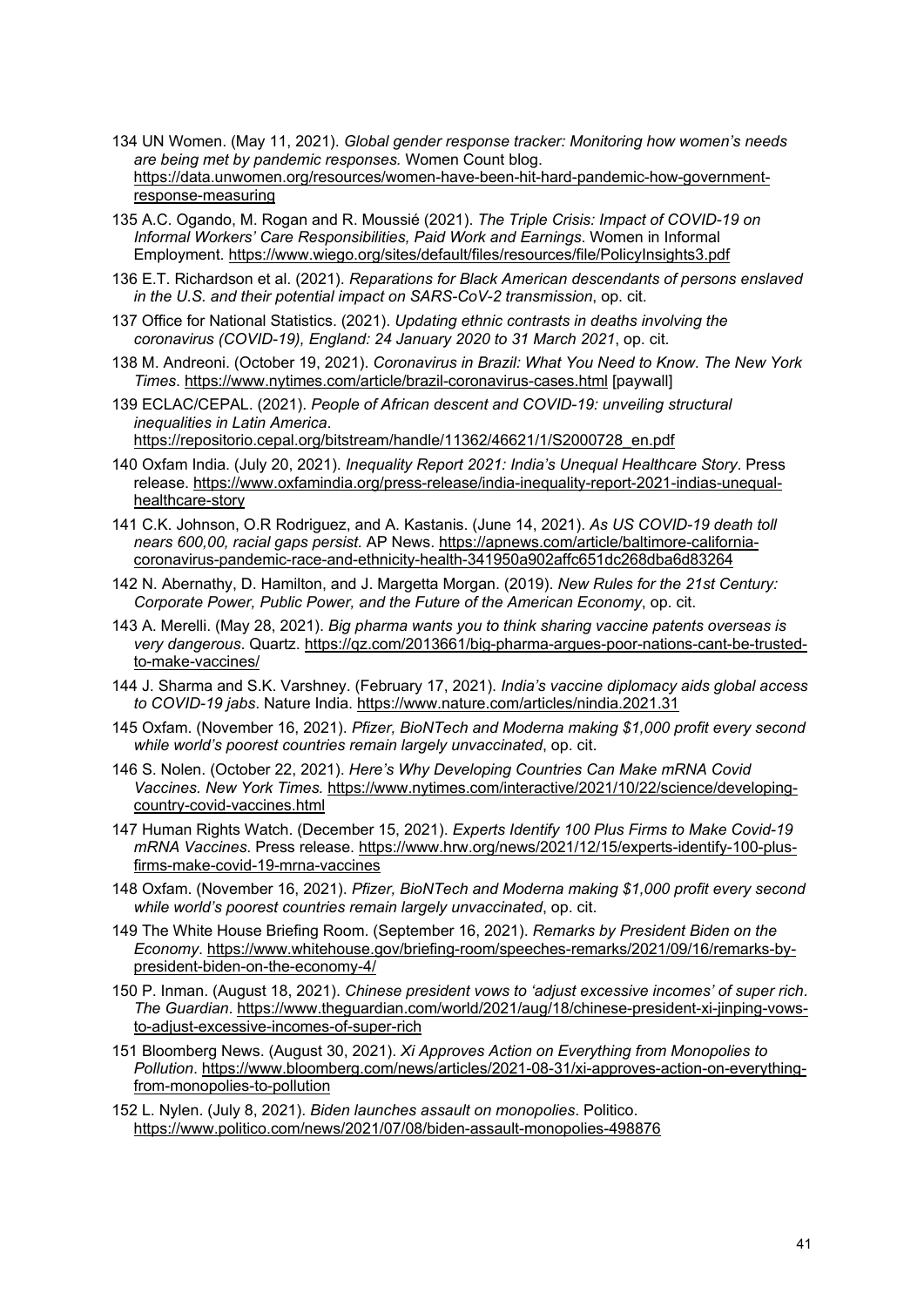- <span id="page-40-0"></span>134 UN Women. (May 11, 2021). *Global gender response tracker: Monitoring how women's needs are being met by pandemic responses.* Women Count blog. [https://data.unwomen.org/resources/women-have-been-hit-hard-pandemic-how-government](https://data.unwomen.org/resources/women-have-been-hit-hard-pandemic-how-government-response-measuring)[response-measuring](https://data.unwomen.org/resources/women-have-been-hit-hard-pandemic-how-government-response-measuring)
- <span id="page-40-1"></span>135 A.C. Ogando, M. Rogan and R. Moussié (2021). *The Triple Crisis: Impact of COVID-19 on Informal Workers' Care Responsibilities, Paid Work and Earnings*. Women in Informal Employment.<https://www.wiego.org/sites/default/files/resources/file/PolicyInsights3.pdf>
- <span id="page-40-2"></span>136 E.T. Richardson et al. (2021). *Reparations for Black American descendants of persons enslaved in the U.S. and their potential impact on SARS-CoV-2 transmission*, op. cit.
- <span id="page-40-3"></span>137 Office for National Statistics. (2021). *Updating ethnic contrasts in deaths involving the coronavirus (COVID-19), England: 24 January 2020 to 31 March 2021*, op. cit.
- <span id="page-40-4"></span>138 M. Andreoni. (October 19, 2021). *Coronavirus in Brazil: What You Need to Know*. *The New York Times*.<https://www.nytimes.com/article/brazil-coronavirus-cases.html> [paywall]
- <span id="page-40-5"></span>139 ECLAC/CEPAL. (2021). *People of African descent and COVID-19: unveiling structural inequalities in Latin America*.

[https://repositorio.cepal.org/bitstream/handle/11362/46621/1/S2000728\\_en.pdf](https://repositorio.cepal.org/bitstream/handle/11362/46621/1/S2000728_en.pdf)

- <span id="page-40-6"></span>140 Oxfam India. (July 20, 2021). *Inequality Report 2021: India's Unequal Healthcare Story*. Press release. [https://www.oxfamindia.org/press-release/india-inequality-report-2021-indias-unequal](https://www.oxfamindia.org/press-release/india-inequality-report-2021-indias-unequal-healthcare-story)[healthcare-story](https://www.oxfamindia.org/press-release/india-inequality-report-2021-indias-unequal-healthcare-story)
- <span id="page-40-7"></span>141 C.K. Johnson, O.R Rodriguez, and A. Kastanis. (June 14, 2021). *As US COVID-19 death toll nears 600,00, racial gaps persist.* AP News. [https://apnews.com/article/baltimore-california](https://apnews.com/article/baltimore-california-coronavirus-pandemic-race-and-ethnicity-health-341950a902affc651dc268dba6d83264)[coronavirus-pandemic-race-and-ethnicity-health-341950a902affc651dc268dba6d83264](https://apnews.com/article/baltimore-california-coronavirus-pandemic-race-and-ethnicity-health-341950a902affc651dc268dba6d83264)
- <span id="page-40-8"></span>142 N. Abernathy, D. Hamilton, and J. Margetta Morgan. (2019). *New Rules for the 21st Century: Corporate Power, Public Power, and the Future of the American Economy*, op. cit.
- <span id="page-40-9"></span>143 A. Merelli. (May 28, 2021). *Big pharma wants you to think sharing vaccine patents overseas is very dangerous*. Quartz. [https://qz.com/2013661/big-pharma-argues-poor-nations-cant-be-trusted](https://qz.com/2013661/big-pharma-argues-poor-nations-cant-be-trusted-to-make-vaccines/)[to-make-vaccines/](https://qz.com/2013661/big-pharma-argues-poor-nations-cant-be-trusted-to-make-vaccines/)
- <span id="page-40-10"></span>144 J. Sharma and S.K. Varshney. (February 17, 2021). *India's vaccine diplomacy aids global access to COVID-19 jabs*. Nature India.<https://www.nature.com/articles/nindia.2021.31>
- <span id="page-40-11"></span>145 Oxfam. (November 16, 2021). *Pfizer, BioNTech and Moderna making \$1,000 profit every second while world's poorest countries remain largely unvaccinated*, op. cit.
- <span id="page-40-12"></span>146 S. Nolen. (October 22, 2021). *Here's Why Developing Countries Can Make mRNA Covid Vaccines. New York Times.* [https://www.nytimes.com/interactive/2021/10/22/science/developing](https://www.nytimes.com/interactive/2021/10/22/science/developing-country-covid-vaccines.html)[country-covid-vaccines.html](https://www.nytimes.com/interactive/2021/10/22/science/developing-country-covid-vaccines.html)
- <span id="page-40-13"></span>147 Human Rights Watch. (December 15, 2021). *Experts Identify 100 Plus Firms to Make Covid-19 mRNA Vaccines*. Press release. [https://www.hrw.org/news/2021/12/15/experts-identify-100-plus](https://www.hrw.org/news/2021/12/15/experts-identify-100-plus-firms-make-covid-19-mrna-vaccines)[firms-make-covid-19-mrna-vaccines](https://www.hrw.org/news/2021/12/15/experts-identify-100-plus-firms-make-covid-19-mrna-vaccines)
- <span id="page-40-14"></span>148 Oxfam. (November 16, 2021). *Pfizer, BioNTech and Moderna making \$1,000 profit every second while world's poorest countries remain largely unvaccinated*, op. cit.
- <span id="page-40-15"></span>149 The White House Briefing Room. (September 16, 2021). *Remarks by President Biden on the Economy*. [https://www.whitehouse.gov/briefing-room/speeches-remarks/2021/09/16/remarks-by](https://www.whitehouse.gov/briefing-room/speeches-remarks/2021/09/16/remarks-by-president-biden-on-the-economy-4/)[president-biden-on-the-economy-4/](https://www.whitehouse.gov/briefing-room/speeches-remarks/2021/09/16/remarks-by-president-biden-on-the-economy-4/)
- <span id="page-40-16"></span>150 P. Inman. (August 18, 2021). *Chinese president vows to 'adjust excessive incomes' of super rich*. *The Guardian*. [https://www.theguardian.com/world/2021/aug/18/chinese-president-xi-jinping-vows](https://www.theguardian.com/world/2021/aug/18/chinese-president-xi-jinping-vows-to-adjust-excessive-incomes-of-super-rich)[to-adjust-excessive-incomes-of-super-rich](https://www.theguardian.com/world/2021/aug/18/chinese-president-xi-jinping-vows-to-adjust-excessive-incomes-of-super-rich)
- <span id="page-40-17"></span>151 Bloomberg News. (August 30, 2021). *Xi Approves Action on Everything from Monopolies to Pollution*. [https://www.bloomberg.com/news/articles/2021-08-31/xi-approves-action-on-everything](https://www.bloomberg.com/news/articles/2021-08-31/xi-approves-action-on-everything-from-monopolies-to-pollution)[from-monopolies-to-pollution](https://www.bloomberg.com/news/articles/2021-08-31/xi-approves-action-on-everything-from-monopolies-to-pollution)
- <span id="page-40-18"></span>152 L. Nylen. (July 8, 2021). *Biden launches assault on monopolies*. Politico. <https://www.politico.com/news/2021/07/08/biden-assault-monopolies-498876>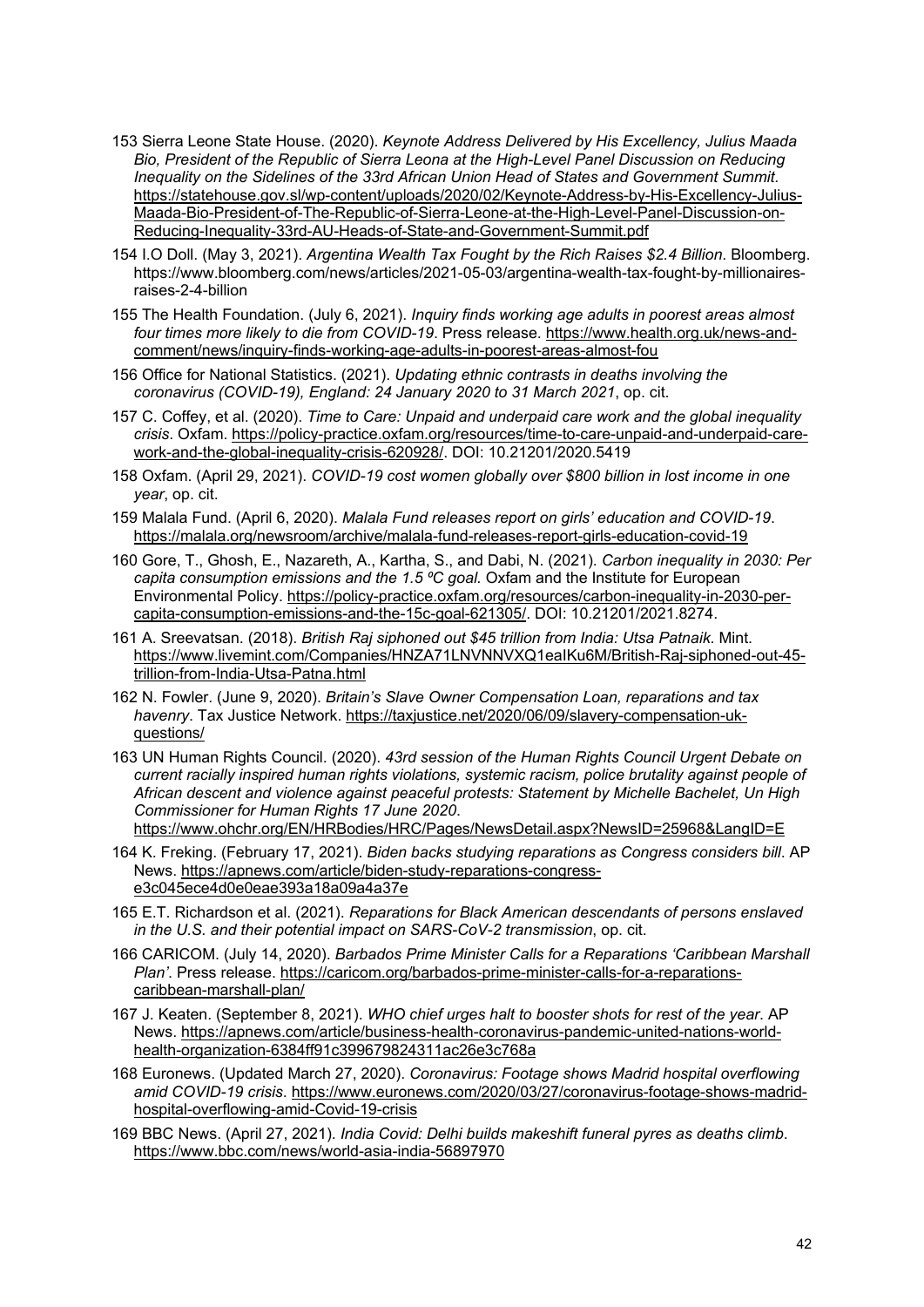- <span id="page-41-0"></span>153 Sierra Leone State House. (2020). *Keynote Address Delivered by His Excellency, Julius Maada Bio, President of the Republic of Sierra Leona at the High-Level Panel Discussion on Reducing Inequality on the Sidelines of the 33rd African Union Head of States and Government Summit*. [https://statehouse.gov.sl/wp-content/uploads/2020/02/Keynote-Address-by-His-Excellency-Julius-](https://statehouse.gov.sl/wp-content/uploads/2020/02/Keynote-Address-by-His-Excellency-Julius-Maada-Bio-President-of-The-Republic-of-Sierra-Leone-at-the-High-Level-Panel-Discussion-on-Reducing-Inequality-33rd-AU-Heads-of-State-and-Government-Summit.pdf)[Maada-Bio-President-of-The-Republic-of-Sierra-Leone-at-the-High-Level-Panel-Discussion-on-](https://statehouse.gov.sl/wp-content/uploads/2020/02/Keynote-Address-by-His-Excellency-Julius-Maada-Bio-President-of-The-Republic-of-Sierra-Leone-at-the-High-Level-Panel-Discussion-on-Reducing-Inequality-33rd-AU-Heads-of-State-and-Government-Summit.pdf)[Reducing-Inequality-33rd-AU-Heads-of-State-and-Government-Summit.pdf](https://statehouse.gov.sl/wp-content/uploads/2020/02/Keynote-Address-by-His-Excellency-Julius-Maada-Bio-President-of-The-Republic-of-Sierra-Leone-at-the-High-Level-Panel-Discussion-on-Reducing-Inequality-33rd-AU-Heads-of-State-and-Government-Summit.pdf)
- <span id="page-41-1"></span>154 I.O Doll. (May 3, 2021). *Argentina Wealth Tax Fought by the Rich Raises \$2.4 Billion*. Bloomberg. https://www.bloomberg.com/news/articles/2021-05-03/argentina-wealth-tax-fought-by-millionairesraises-2-4-billion
- <span id="page-41-2"></span>155 The Health Foundation. (July 6, 2021). *Inquiry finds working age adults in poorest areas almost four times more likely to die from COVID-19*. Press release. [https://www.health.org.uk/news-and](https://www.health.org.uk/news-and-comment/news/inquiry-finds-working-age-adults-in-poorest-areas-almost-fou)[comment/news/inquiry-finds-working-age-adults-in-poorest-areas-almost-fou](https://www.health.org.uk/news-and-comment/news/inquiry-finds-working-age-adults-in-poorest-areas-almost-fou)
- <span id="page-41-3"></span>156 Office for National Statistics. (2021). *Updating ethnic contrasts in deaths involving the coronavirus (COVID-19), England: 24 January 2020 to 31 March 2021*, op. cit.
- <span id="page-41-4"></span>157 C. Coffey, et al. (2020). *Time to Care: Unpaid and underpaid care work and the global inequality crisis*. Oxfam. [https://policy-practice.oxfam.org/resources/time-to-care-unpaid-and-underpaid-care](https://policy-practice.oxfam.org/resources/time-to-care-unpaid-and-underpaid-care-work-and-the-global-inequality-crisis-620928/)[work-and-the-global-inequality-crisis-620928/.](https://policy-practice.oxfam.org/resources/time-to-care-unpaid-and-underpaid-care-work-and-the-global-inequality-crisis-620928/) DOI: 10.21201/2020.5419
- <span id="page-41-5"></span>158 Oxfam. (April 29, 2021). *COVID-19 cost women globally over \$800 billion in lost income in one year*, op. cit.
- <span id="page-41-6"></span>159 Malala Fund. (April 6, 2020). *Malala Fund releases report on girls' education and COVID-19*. <https://malala.org/newsroom/archive/malala-fund-releases-report-girls-education-covid-19>
- <span id="page-41-7"></span>160 Gore, T., Ghosh, E., Nazareth, A., Kartha, S., and Dabi, N. (2021). *Carbon inequality in 2030: Per capita consumption emissions and the 1.5 ⁰C goal.* Oxfam and the Institute for European Environmental Policy. [https://policy-practice.oxfam.org/resources/carbon-inequality-in-2030-per](https://policy-practice.oxfam.org/resources/carbon-inequality-in-2030-per-capita-consumption-emissions-and-the-15c-goal-621305/)[capita-consumption-emissions-and-the-15c-goal-621305/.](https://policy-practice.oxfam.org/resources/carbon-inequality-in-2030-per-capita-consumption-emissions-and-the-15c-goal-621305/) DOI: 10.21201/2021.8274.
- <span id="page-41-8"></span>161 A. Sreevatsan. (2018). *British Raj siphoned out \$45 trillion from India: Utsa Patnaik*. Mint. [https://www.livemint.com/Companies/HNZA71LNVNNVXQ1eaIKu6M/British-Raj-siphoned-out-45](https://www.livemint.com/Companies/HNZA71LNVNNVXQ1eaIKu6M/British-Raj-siphoned-out-45-trillion-from-India-Utsa-Patna.html) [trillion-from-India-Utsa-Patna.html](https://www.livemint.com/Companies/HNZA71LNVNNVXQ1eaIKu6M/British-Raj-siphoned-out-45-trillion-from-India-Utsa-Patna.html)
- <span id="page-41-9"></span>162 N. Fowler. (June 9, 2020). *Britain's Slave Owner Compensation Loan, reparations and tax havenry*. Tax Justice Network. [https://taxjustice.net/2020/06/09/slavery-compensation-uk](https://taxjustice.net/2020/06/09/slavery-compensation-uk-questions/)[questions/](https://taxjustice.net/2020/06/09/slavery-compensation-uk-questions/)
- <span id="page-41-10"></span>163 UN Human Rights Council. (2020). *43rd session of the Human Rights Council Urgent Debate on current racially inspired human rights violations, systemic racism, police brutality against people of African descent and violence against peaceful protests: Statement by Michelle Bachelet, Un High Commissioner for Human Rights 17 June 2020*.

<https://www.ohchr.org/EN/HRBodies/HRC/Pages/NewsDetail.aspx?NewsID=25968&LangID=E>

- <span id="page-41-11"></span>164 K. Freking. (February 17, 2021). *Biden backs studying reparations as Congress considers bill*. AP News. [https://apnews.com/article/biden-study-reparations-congress](https://apnews.com/article/biden-study-reparations-congress-e3c045ece4d0e0eae393a18a09a4a37e)[e3c045ece4d0e0eae393a18a09a4a37e](https://apnews.com/article/biden-study-reparations-congress-e3c045ece4d0e0eae393a18a09a4a37e)
- <span id="page-41-12"></span>165 E.T. Richardson et al. (2021). *Reparations for Black American descendants of persons enslaved in the U.S. and their potential impact on SARS-CoV-2 transmission*, op. cit.
- <span id="page-41-13"></span>166 CARICOM. (July 14, 2020). *Barbados Prime Minister Calls for a Reparations 'Caribbean Marshall Plan'*. Press release. [https://caricom.org/barbados-prime-minister-calls-for-a-reparations](https://caricom.org/barbados-prime-minister-calls-for-a-reparations-caribbean-marshall-plan/)[caribbean-marshall-plan/](https://caricom.org/barbados-prime-minister-calls-for-a-reparations-caribbean-marshall-plan/)
- <span id="page-41-14"></span>167 J. Keaten. (September 8, 2021). *WHO chief urges halt to booster shots for rest of the year*. AP News. [https://apnews.com/article/business-health-coronavirus-pandemic-united-nations-world](https://apnews.com/article/business-health-coronavirus-pandemic-united-nations-world-health-organization-6384ff91c399679824311ac26e3c768a)[health-organization-6384ff91c399679824311ac26e3c768a](https://apnews.com/article/business-health-coronavirus-pandemic-united-nations-world-health-organization-6384ff91c399679824311ac26e3c768a)
- <span id="page-41-15"></span>168 Euronews. (Updated March 27, 2020). *Coronavirus: Footage shows Madrid hospital overflowing amid COVID-19 crisis*. [https://www.euronews.com/2020/03/27/coronavirus-footage-shows-madrid](https://www.euronews.com/2020/03/27/coronavirus-footage-shows-madrid-hospital-overflowing-amid-covid-19-crisis)[hospital-overflowing-amid-Covid-19-crisis](https://www.euronews.com/2020/03/27/coronavirus-footage-shows-madrid-hospital-overflowing-amid-covid-19-crisis)
- <span id="page-41-16"></span>169 BBC News. (April 27, 2021). *India Covid: Delhi builds makeshift funeral pyres as deaths climb*. <https://www.bbc.com/news/world-asia-india-56897970>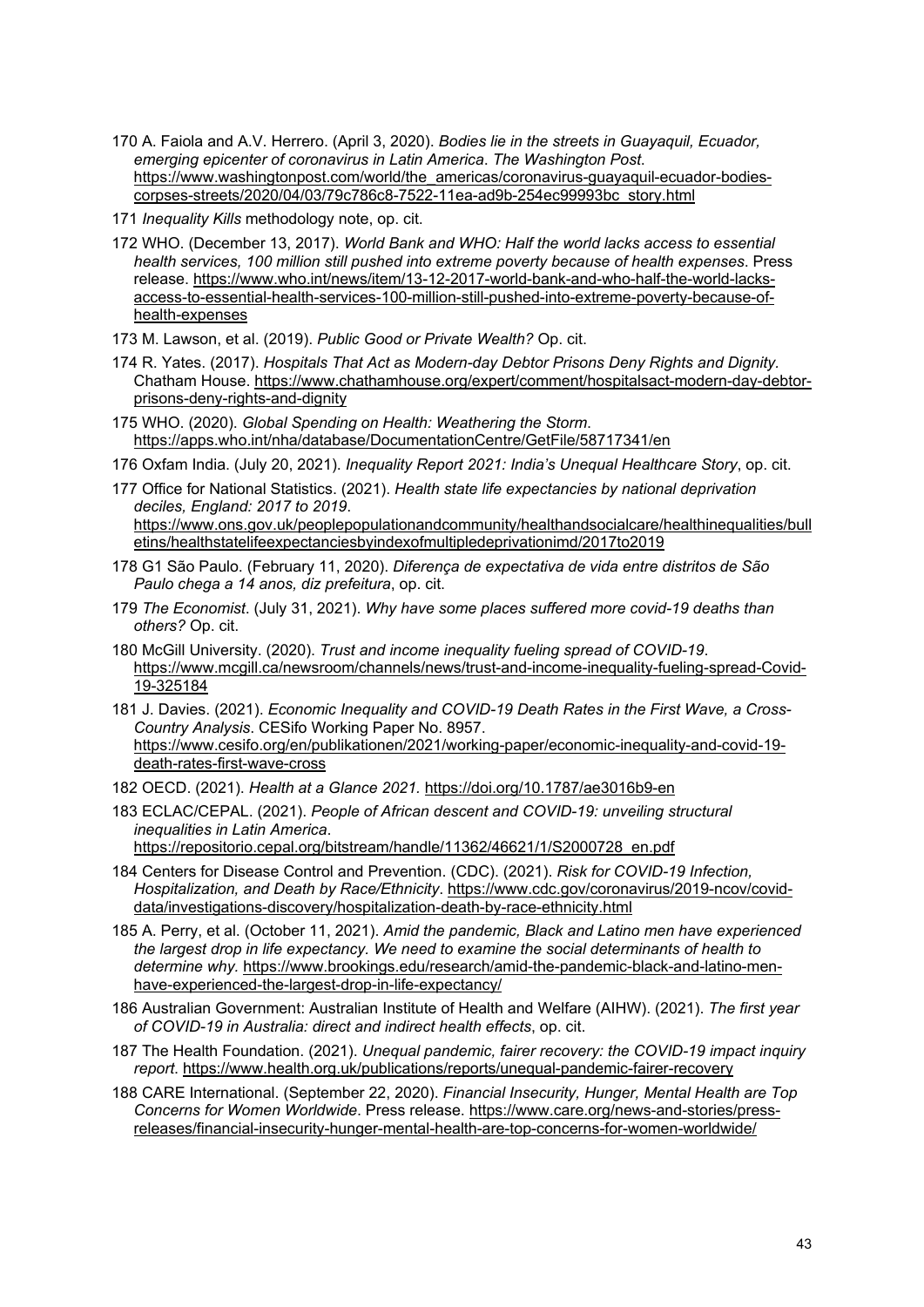- <span id="page-42-0"></span>170 A. Faiola and A.V. Herrero. (April 3, 2020). *Bodies lie in the streets in Guayaquil, Ecuador, emerging epicenter of coronavirus in Latin America*. *The Washington Post*. [https://www.washingtonpost.com/world/the\\_americas/coronavirus-guayaquil-ecuador-bodies](https://www.washingtonpost.com/world/the_americas/coronavirus-guayaquil-ecuador-bodies-corpses-streets/2020/04/03/79c786c8-7522-11ea-ad9b-254ec99993bc_story.html)[corpses-streets/2020/04/03/79c786c8-7522-11ea-ad9b-254ec99993bc\\_story.html](https://www.washingtonpost.com/world/the_americas/coronavirus-guayaquil-ecuador-bodies-corpses-streets/2020/04/03/79c786c8-7522-11ea-ad9b-254ec99993bc_story.html)
- <span id="page-42-1"></span>171 *Inequality Kills* methodology note, op. cit.
- <span id="page-42-2"></span>172 WHO. (December 13, 2017). *World Bank and WHO: Half the world lacks access to essential health services, 100 million still pushed into extreme poverty because of health expenses*. Press release. [https://www.who.int/news/item/13-12-2017-world-bank-and-who-half-the-world-lacks](https://www.who.int/news/item/13-12-2017-world-bank-and-who-half-the-world-lacks-access-to-essential-health-services-100-million-still-pushed-into-extreme-poverty-because-of-health-expenses)[access-to-essential-health-services-100-million-still-pushed-into-extreme-poverty-because-of](https://www.who.int/news/item/13-12-2017-world-bank-and-who-half-the-world-lacks-access-to-essential-health-services-100-million-still-pushed-into-extreme-poverty-because-of-health-expenses)[health-expenses](https://www.who.int/news/item/13-12-2017-world-bank-and-who-half-the-world-lacks-access-to-essential-health-services-100-million-still-pushed-into-extreme-poverty-because-of-health-expenses)
- <span id="page-42-3"></span>173 M. Lawson, et al. (2019). *Public Good or Private Wealth?* Op. cit.
- <span id="page-42-4"></span>174 R. Yates. (2017). *Hospitals That Act as Modern-day Debtor Prisons Deny Rights and Dignity.* Chatham House. [https://www.chathamhouse.org/expert/comment/hospitalsact-modern-day-debtor](https://www.chathamhouse.org/expert/comment/hospitalsact-modern-day-debtor-prisons-deny-rights-and-dignity)[prisons-deny-rights-and-dignity](https://www.chathamhouse.org/expert/comment/hospitalsact-modern-day-debtor-prisons-deny-rights-and-dignity)
- <span id="page-42-5"></span>175 WHO. (2020). *Global Spending on Health: Weathering the Storm*. <https://apps.who.int/nha/database/DocumentationCentre/GetFile/58717341/en>
- <span id="page-42-6"></span>176 Oxfam India. (July 20, 2021). *Inequality Report 2021: India's Unequal Healthcare Story*, op. cit.
- <span id="page-42-7"></span>177 Office for National Statistics. (2021). *Health state life expectancies by national deprivation deciles, England: 2017 to 2019*. [https://www.ons.gov.uk/peoplepopulationandcommunity/healthandsocialcare/healthinequalities/bull](https://www.ons.gov.uk/peoplepopulationandcommunity/healthandsocialcare/healthinequalities/bulletins/healthstatelifeexpectanciesbyindexofmultipledeprivationimd/2017to2019) [etins/healthstatelifeexpectanciesbyindexofmultipledeprivationimd/2017to2019](https://www.ons.gov.uk/peoplepopulationandcommunity/healthandsocialcare/healthinequalities/bulletins/healthstatelifeexpectanciesbyindexofmultipledeprivationimd/2017to2019)
- <span id="page-42-8"></span>178 G1 São Paulo. (February 11, 2020). *Diferença de expectativa de vida entre distritos de São Paulo chega a 14 anos, diz prefeitura*, op. cit.
- <span id="page-42-9"></span>179 *The Economist*. (July 31, 2021). *Why have some places suffered more covid-19 deaths than others?* Op. cit.
- <span id="page-42-10"></span>180 McGill University. (2020). *Trust and income inequality fueling spread of COVID-19*. [https://www.mcgill.ca/newsroom/channels/news/trust-and-income-inequality-fueling-spread-Covid-](https://www.mcgill.ca/newsroom/channels/news/trust-and-income-inequality-fueling-spread-Covid-19-325184)[19-325184](https://www.mcgill.ca/newsroom/channels/news/trust-and-income-inequality-fueling-spread-Covid-19-325184)
- <span id="page-42-11"></span>181 J. Davies. (2021). *Economic Inequality and COVID-19 Death Rates in the First Wave, a Cross-Country Analysis*. CESifo Working Paper No. 8957. [https://www.cesifo.org/en/publikationen/2021/working-paper/economic-inequality-and-covid-19](https://www.cesifo.org/en/publikationen/2021/working-paper/economic-inequality-and-covid-19-death-rates-first-wave-cross) [death-rates-first-wave-cross](https://www.cesifo.org/en/publikationen/2021/working-paper/economic-inequality-and-covid-19-death-rates-first-wave-cross)
- <span id="page-42-12"></span>182 OECD. (2021). *Health at a Glance 2021.* <https://doi.org/10.1787/ae3016b9-en>
- <span id="page-42-13"></span>183 ECLAC/CEPAL. (2021). *People of African descent and COVID-19: unveiling structural inequalities in Latin America*.
	- [https://repositorio.cepal.org/bitstream/handle/11362/46621/1/S2000728\\_en.pdf](https://repositorio.cepal.org/bitstream/handle/11362/46621/1/S2000728_en.pdf)
- <span id="page-42-14"></span>184 Centers for Disease Control and Prevention. (CDC). (2021). *Risk for COVID-19 Infection, Hospitalization, and Death by Race/Ethnicity*. [https://www.cdc.gov/coronavirus/2019-ncov/covid](https://www.cdc.gov/coronavirus/2019-ncov/covid-data/investigations-discovery/hospitalization-death-by-race-ethnicity.html)[data/investigations-discovery/hospitalization-death-by-race-ethnicity.html](https://www.cdc.gov/coronavirus/2019-ncov/covid-data/investigations-discovery/hospitalization-death-by-race-ethnicity.html)
- <span id="page-42-15"></span>185 A. Perry, et al. (October 11, 2021). *Amid the pandemic, Black and Latino men have experienced the largest drop in life expectancy. We need to examine the social determinants of health to determine why.* [https://www.brookings.edu/research/amid-the-pandemic-black-and-latino-men](https://www.brookings.edu/research/amid-the-pandemic-black-and-latino-men-have-experienced-the-largest-drop-in-life-expectancy/)[have-experienced-the-largest-drop-in-life-expectancy/](https://www.brookings.edu/research/amid-the-pandemic-black-and-latino-men-have-experienced-the-largest-drop-in-life-expectancy/)
- <span id="page-42-16"></span>186 Australian Government: Australian Institute of Health and Welfare (AIHW). (2021). *The first year of COVID-19 in Australia: direct and indirect health effects*, op. cit.
- <span id="page-42-17"></span>187 The Health Foundation. (2021). *Unequal pandemic, fairer recovery: the COVID-19 impact inquiry report*.<https://www.health.org.uk/publications/reports/unequal-pandemic-fairer-recovery>
- <span id="page-42-18"></span>188 CARE International. (September 22, 2020). *Financial Insecurity, Hunger, Mental Health are Top Concerns for Women Worldwide*. Press release. [https://www.care.org/news-and-stories/press](https://www.care.org/news-and-stories/press-releases/financial-insecurity-hunger-mental-health-are-top-concerns-for-women-worldwide/)[releases/financial-insecurity-hunger-mental-health-are-top-concerns-for-women-worldwide/](https://www.care.org/news-and-stories/press-releases/financial-insecurity-hunger-mental-health-are-top-concerns-for-women-worldwide/)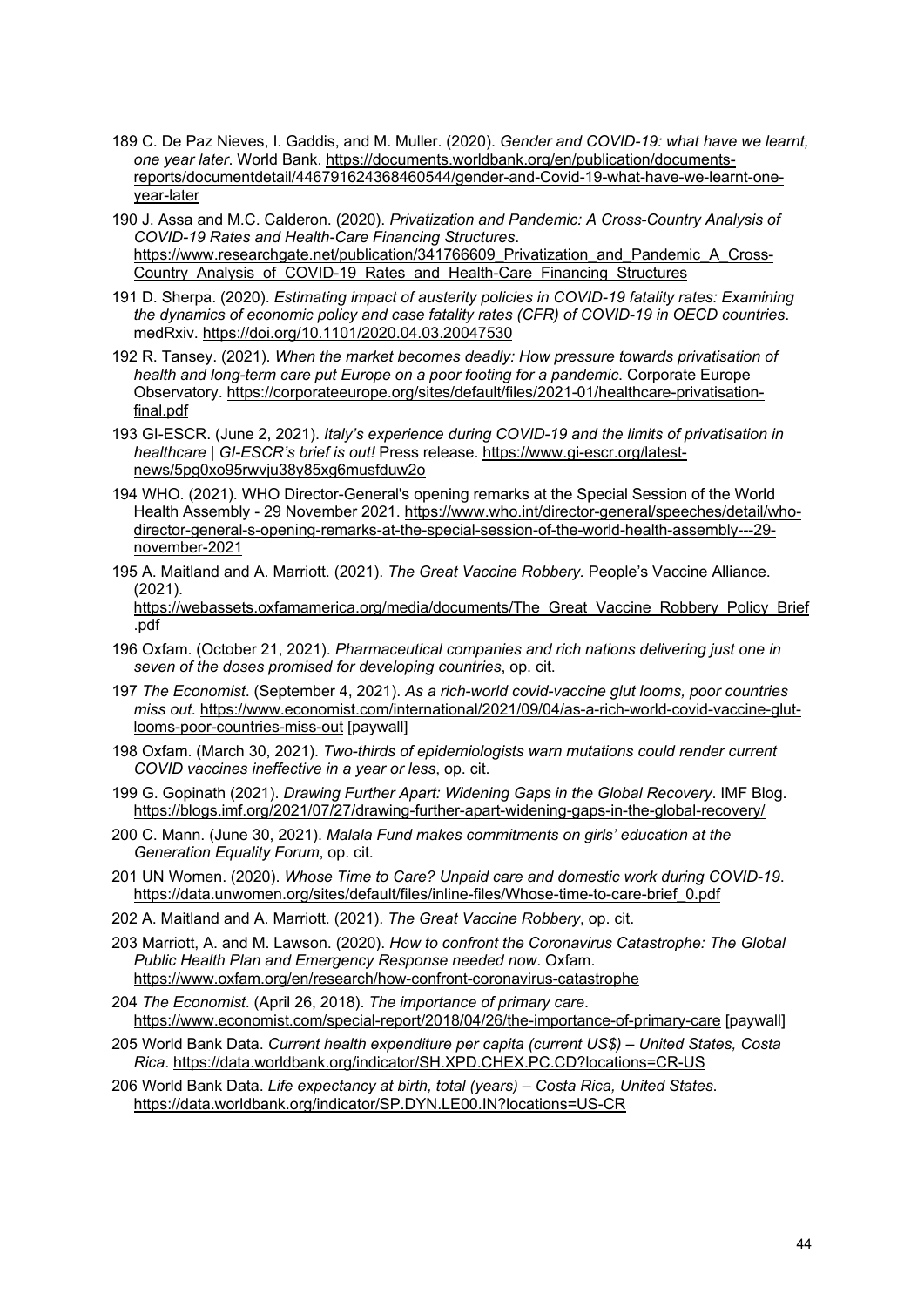- <span id="page-43-0"></span>189 C. De Paz Nieves, I. Gaddis, and M. Muller. (2020). *Gender and COVID-19: what have we learnt, one year later*. World Bank. [https://documents.worldbank.org/en/publication/documents](https://documents.worldbank.org/en/publication/documents-reports/documentdetail/446791624368460544/gender-and-covid-19-what-have-we-learnt-one-year-later)[reports/documentdetail/446791624368460544/gender-and-Covid-19-what-have-we-learnt-one](https://documents.worldbank.org/en/publication/documents-reports/documentdetail/446791624368460544/gender-and-covid-19-what-have-we-learnt-one-year-later)[year-later](https://documents.worldbank.org/en/publication/documents-reports/documentdetail/446791624368460544/gender-and-covid-19-what-have-we-learnt-one-year-later)
- <span id="page-43-1"></span>190 J. Assa and M.C. Calderon. (2020). *Privatization and Pandemic: A Cross-Country Analysis of COVID-19 Rates and Health-Care Financing Structures*. https://www.researchgate.net/publication/341766609 Privatization and Pandemic A Cross-[Country\\_Analysis\\_of\\_COVID-19\\_Rates\\_and\\_Health-Care\\_Financing\\_Structures](https://www.researchgate.net/publication/341766609_Privatization_and_Pandemic_A_Cross-Country_Analysis_of_COVID-19_Rates_and_Health-Care_Financing_Structures)
- <span id="page-43-2"></span>191 D. Sherpa. (2020). *Estimating impact of austerity policies in COVID-19 fatality rates: Examining the dynamics of economic policy and case fatality rates (CFR) of COVID-19 in OECD countries*. medRxiv.<https://doi.org/10.1101/2020.04.03.20047530>
- <span id="page-43-3"></span>192 R. Tansey. (2021). *When the market becomes deadly: How pressure towards privatisation of health and long-term care put Europe on a poor footing for a pandemic*. Corporate Europe Observatory. [https://corporateeurope.org/sites/default/files/2021-01/healthcare-privatisation](https://corporateeurope.org/sites/default/files/2021-01/healthcare-privatisation-final.pdf)[final.pdf](https://corporateeurope.org/sites/default/files/2021-01/healthcare-privatisation-final.pdf)
- <span id="page-43-4"></span>193 GI-ESCR. (June 2, 2021). *Italy's experience during COVID-19 and the limits of privatisation in healthcare | GI-ESCR's brief is out!* Press release. [https://www.gi-escr.org/latest](https://www.gi-escr.org/latest-news/5pg0xo95rwvju38y85xg6musfduw2o)[news/5pg0xo95rwvju38y85xg6musfduw2o](https://www.gi-escr.org/latest-news/5pg0xo95rwvju38y85xg6musfduw2o)
- <span id="page-43-5"></span>194 WHO. (2021). WHO Director-General's opening remarks at the Special Session of the World Health Assembly - 29 November 2021[. https://www.who.int/director-general/speeches/detail/who](https://www.who.int/director-general/speeches/detail/who-director-general-s-opening-remarks-at-the-special-session-of-the-world-health-assembly---29-november-2021)[director-general-s-opening-remarks-at-the-special-session-of-the-world-health-assembly---29](https://www.who.int/director-general/speeches/detail/who-director-general-s-opening-remarks-at-the-special-session-of-the-world-health-assembly---29-november-2021) [november-2021](https://www.who.int/director-general/speeches/detail/who-director-general-s-opening-remarks-at-the-special-session-of-the-world-health-assembly---29-november-2021)
- <span id="page-43-6"></span>195 A. Maitland and A. Marriott. (2021). *The Great Vaccine Robbery.* People's Vaccine Alliance. (2021).

https://webassets.oxfamamerica.org/media/documents/The Great Vaccine Robbery Policy Brief [.pdf](https://webassets.oxfamamerica.org/media/documents/The_Great_Vaccine_Robbery_Policy_Brief.pdf)

- <span id="page-43-7"></span>196 Oxfam. (October 21, 2021). *Pharmaceutical companies and rich nations delivering just one in seven of the doses promised for developing countries*, op. cit.
- <span id="page-43-8"></span>197 *The Economist*. (September 4, 2021). *As a rich-world covid-vaccine glut looms, poor countries miss out*. [https://www.economist.com/international/2021/09/04/as-a-rich-world-covid-vaccine-glut](https://www.economist.com/international/2021/09/04/as-a-rich-world-covid-vaccine-glut-looms-poor-countries-miss-out)[looms-poor-countries-miss-out](https://www.economist.com/international/2021/09/04/as-a-rich-world-covid-vaccine-glut-looms-poor-countries-miss-out) [paywall]
- <span id="page-43-9"></span>198 Oxfam. (March 30, 2021). *Two-thirds of epidemiologists warn mutations could render current COVID vaccines ineffective in a year or less*, op. cit.
- <span id="page-43-10"></span>199 G. Gopinath (2021). *Drawing Further Apart: Widening Gaps in the Global Recovery*. IMF Blog. <https://blogs.imf.org/2021/07/27/drawing-further-apart-widening-gaps-in-the-global-recovery/>
- <span id="page-43-11"></span>200 C. Mann. (June 30, 2021). *Malala Fund makes commitments on girls' education at the Generation Equality Forum*, op. cit.
- <span id="page-43-12"></span>201 UN Women. (2020). *Whose Time to Care? Unpaid care and domestic work during COVID-19*. [https://data.unwomen.org/sites/default/files/inline-files/Whose-time-to-care-brief\\_0.pdf](https://data.unwomen.org/sites/default/files/inline-files/Whose-time-to-care-brief_0.pdf)
- <span id="page-43-13"></span>202 A. Maitland and A. Marriott. (2021). *The Great Vaccine Robbery*, op. cit.
- <span id="page-43-14"></span>203 Marriott, A. and M. Lawson. (2020). *How to confront the Coronavirus Catastrophe: The Global Public Health Plan and Emergency Response needed now*. Oxfam. <https://www.oxfam.org/en/research/how-confront-coronavirus-catastrophe>
- <span id="page-43-15"></span>204 *The Economist*. (April 26, 2018). *The importance of primary care*. <https://www.economist.com/special-report/2018/04/26/the-importance-of-primary-care> [paywall]
- <span id="page-43-16"></span>205 World Bank Data. *Current health expenditure per capita (current US\$) – United States, Costa Rica*.<https://data.worldbank.org/indicator/SH.XPD.CHEX.PC.CD?locations=CR-US>
- <span id="page-43-17"></span>206 World Bank Data. *Life expectancy at birth, total (years) – Costa Rica, United States*. <https://data.worldbank.org/indicator/SP.DYN.LE00.IN?locations=US-CR>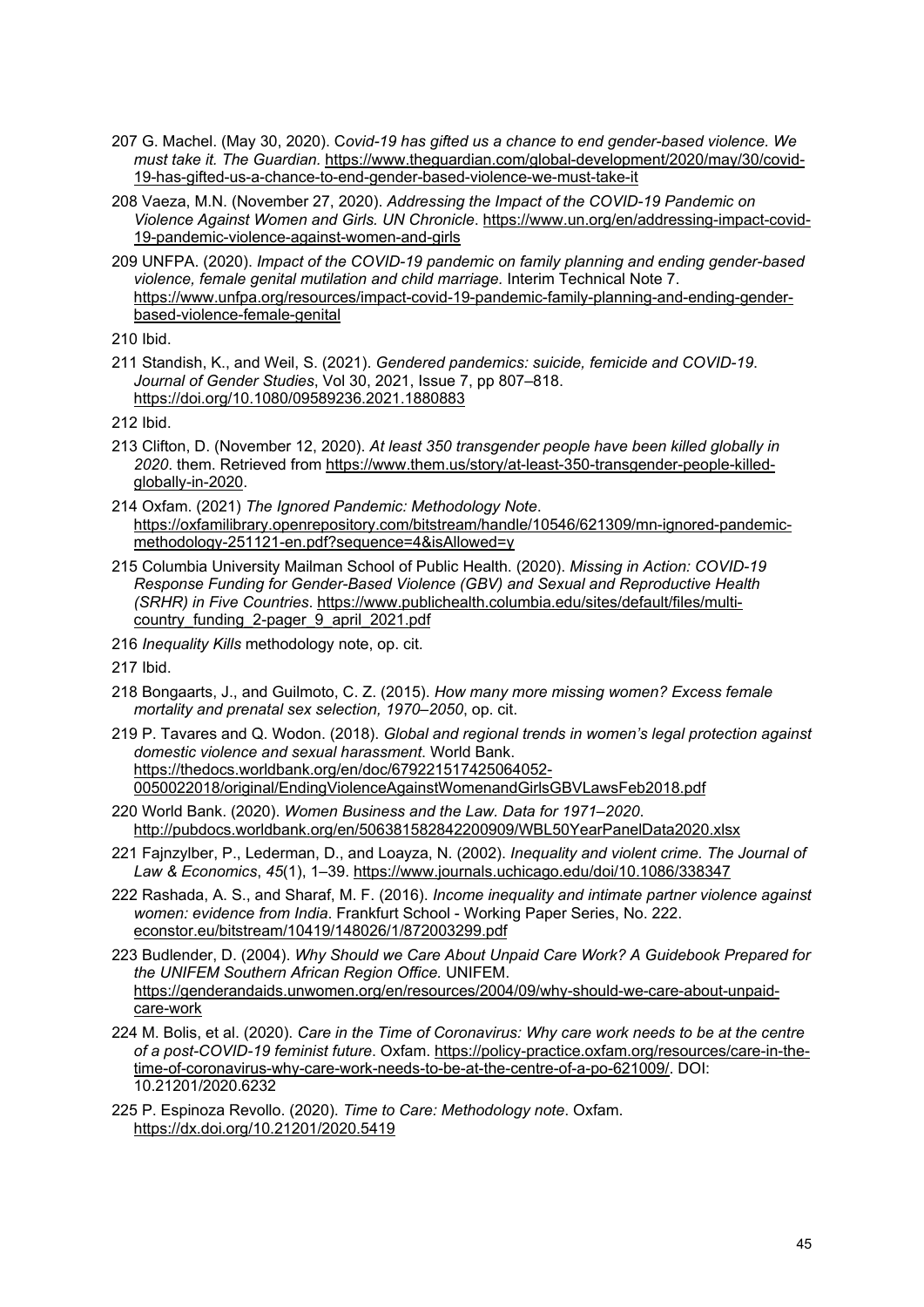- <span id="page-44-0"></span>207 G. Machel. (May 30, 2020). C*ovid-19 has gifted us a chance to end gender-based violence. We must take it. The Guardian.* [https://www.theguardian.com/global-development/2020/may/30/covid-](https://www.theguardian.com/global-development/2020/may/30/covid-19-has-gifted-us-a-chance-to-end-gender-based-violence-we-must-take-it)[19-has-gifted-us-a-chance-to-end-gender-based-violence-we-must-take-it](https://www.theguardian.com/global-development/2020/may/30/covid-19-has-gifted-us-a-chance-to-end-gender-based-violence-we-must-take-it)
- <span id="page-44-1"></span>208 Vaeza, M.N. (November 27, 2020). *Addressing the Impact of the COVID-19 Pandemic on Violence Against Women and Girls. UN Chronicle*. [https://www.un.org/en/addressing-impact-covid-](https://www.un.org/en/addressing-impact-covid-19-pandemic-violence-against-women-and-girls)[19-pandemic-violence-against-women-and-girls](https://www.un.org/en/addressing-impact-covid-19-pandemic-violence-against-women-and-girls)
- <span id="page-44-2"></span>209 UNFPA. (2020). *Impact of the COVID-19 pandemic on family planning and ending gender-based violence, female genital mutilation and child marriage.* Interim Technical Note 7. [https://www.unfpa.org/resources/impact-covid-19-pandemic-family-planning-and-ending-gender](https://www.unfpa.org/resources/impact-covid-19-pandemic-family-planning-and-ending-gender-based-violence-female-genital)[based-violence-female-genital](https://www.unfpa.org/resources/impact-covid-19-pandemic-family-planning-and-ending-gender-based-violence-female-genital)

<span id="page-44-4"></span><span id="page-44-3"></span>211 Standish, K., and Weil, S. (2021). *Gendered pandemics: suicide, femicide and COVID-19*. *Journal of Gender Studies*, Vol 30, 2021, Issue 7, pp 807–818. <https://doi.org/10.1080/09589236.2021.1880883>

<span id="page-44-5"></span>212 Ibid.

- <span id="page-44-6"></span>213 Clifton, D. (November 12, 2020). *At least 350 transgender people have been killed globally in 2020*. them. Retrieved from [https://www.them.us/story/at-least-350-transgender-people-killed](https://www.them.us/story/at-least-350-transgender-people-killed-globally-in-2020)[globally-in-2020.](https://www.them.us/story/at-least-350-transgender-people-killed-globally-in-2020)
- <span id="page-44-7"></span>214 Oxfam. (2021) *The Ignored Pandemic: Methodology Note*. [https://oxfamilibrary.openrepository.com/bitstream/handle/10546/621309/mn-ignored-pandemic](https://oxfamilibrary.openrepository.com/bitstream/handle/10546/621309/mn-ignored-pandemic-methodology-251121-en.pdf?sequence=4&isAllowed=y)[methodology-251121-en.pdf?sequence=4&isAllowed=y](https://oxfamilibrary.openrepository.com/bitstream/handle/10546/621309/mn-ignored-pandemic-methodology-251121-en.pdf?sequence=4&isAllowed=y)
- <span id="page-44-8"></span>215 Columbia University Mailman School of Public Health. (2020). *Missing in Action: COVID-19 Response Funding for Gender-Based Violence (GBV) and Sexual and Reproductive Health (SRHR) in Five Countries*. [https://www.publichealth.columbia.edu/sites/default/files/multi](https://www.publichealth.columbia.edu/sites/default/files/multi-country_funding_2-pager_9_april_2021.pdf)country funding 2-pager 9 april 2021.pdf
- <span id="page-44-9"></span>216 *Inequality Kills* methodology note, op. cit.

- <span id="page-44-11"></span><span id="page-44-10"></span>218 Bongaarts, J., and Guilmoto, C. Z. (2015). *How many more missing women? Excess female mortality and prenatal sex selection, 1970–2050*, op. cit.
- <span id="page-44-12"></span>219 P. Tavares and Q. Wodon. (2018). *Global and regional trends in women's legal protection against domestic violence and sexual harassment*. World Bank. [https://thedocs.worldbank.org/en/doc/679221517425064052-](https://thedocs.worldbank.org/en/doc/679221517425064052-0050022018/original/EndingViolenceAgainstWomenandGirlsGBVLawsFeb2018.pdf) [0050022018/original/EndingViolenceAgainstWomenandGirlsGBVLawsFeb2018.pdf](https://thedocs.worldbank.org/en/doc/679221517425064052-0050022018/original/EndingViolenceAgainstWomenandGirlsGBVLawsFeb2018.pdf)
- <span id="page-44-13"></span>220 World Bank. (2020). *Women Business and the Law. Data for 1971–2020*. <http://pubdocs.worldbank.org/en/506381582842200909/WBL50YearPanelData2020.xlsx>
- <span id="page-44-14"></span>221 Fajnzylber, P., Lederman, D., and Loayza, N. (2002). *Inequality and violent crime. The Journal of Law & Economics*, *45*(1), 1–39.<https://www.journals.uchicago.edu/doi/10.1086/338347>
- <span id="page-44-15"></span>222 Rashada, A. S., and Sharaf, M. F. (2016). *Income inequality and intimate partner violence against women: evidence from India*. Frankfurt School - Working Paper Series, No. 222. econstor.eu/bitstream/10419/148026/1/872003299.pdf
- <span id="page-44-16"></span>223 Budlender, D. (2004). *Why Should we Care About Unpaid Care Work? A Guidebook Prepared for the UNIFEM Southern African Region Office.* UNIFEM. [https://genderandaids.unwomen.org/en/resources/2004/09/why-should-we-care-about-unpaid](https://genderandaids.unwomen.org/en/resources/2004/09/why-should-we-care-about-unpaid-care-work)[care-work](https://genderandaids.unwomen.org/en/resources/2004/09/why-should-we-care-about-unpaid-care-work)
- <span id="page-44-17"></span>224 M. Bolis, et al. (2020). *Care in the Time of Coronavirus: Why care work needs to be at the centre of a post-COVID-19 feminist future*. Oxfam. [https://policy-practice.oxfam.org/resources/care-in-the](https://policy-practice.oxfam.org/resources/care-in-the-time-of-coronavirus-why-care-work-needs-to-be-at-the-centre-of-a-po-621009/)[time-of-coronavirus-why-care-work-needs-to-be-at-the-centre-of-a-po-621009/.](https://policy-practice.oxfam.org/resources/care-in-the-time-of-coronavirus-why-care-work-needs-to-be-at-the-centre-of-a-po-621009/) DOI: 10.21201/2020.6232
- <span id="page-44-18"></span>225 P. Espinoza Revollo. (2020). *Time to Care: Methodology note*. Oxfam. <https://dx.doi.org/10.21201/2020.5419>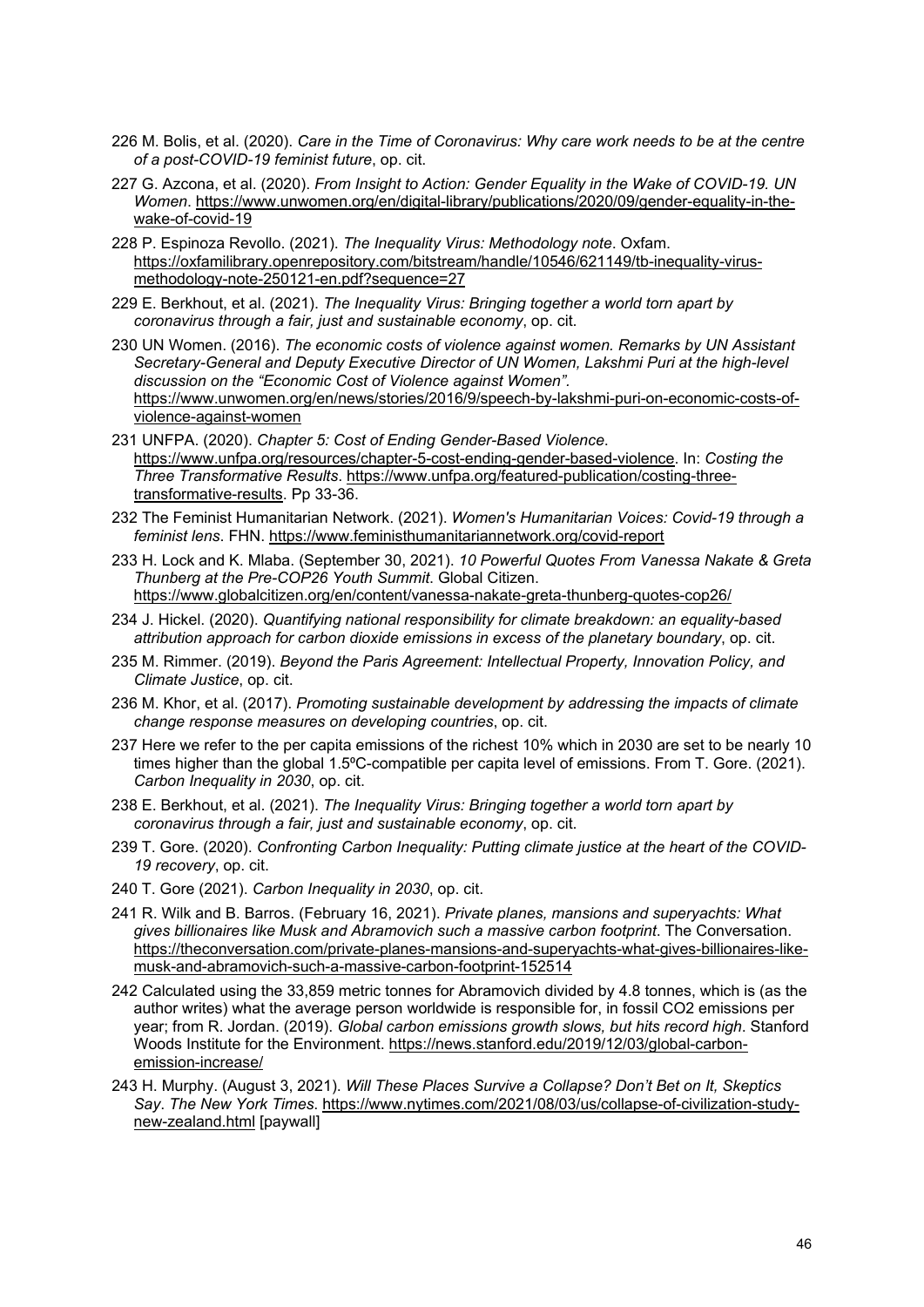- <span id="page-45-0"></span>226 M. Bolis, et al. (2020). *Care in the Time of Coronavirus: Why care work needs to be at the centre of a post-COVID-19 feminist future*, op. cit.
- <span id="page-45-1"></span>227 G. Azcona, et al. (2020). *From Insight to Action: Gender Equality in the Wake of COVID-19. UN Women*. [https://www.unwomen.org/en/digital-library/publications/2020/09/gender-equality-in-the](https://www.unwomen.org/en/digital-library/publications/2020/09/gender-equality-in-the-wake-of-covid-19)[wake-of-covid-19](https://www.unwomen.org/en/digital-library/publications/2020/09/gender-equality-in-the-wake-of-covid-19)
- <span id="page-45-2"></span>228 P. Espinoza Revollo. (2021). *The Inequality Virus: Methodology note*. Oxfam. [https://oxfamilibrary.openrepository.com/bitstream/handle/10546/621149/tb-inequality-virus](https://oxfamilibrary.openrepository.com/bitstream/handle/10546/621149/tb-inequality-virus-methodology-note-250121-en.pdf?sequence=27)[methodology-note-250121-en.pdf?sequence=27](https://oxfamilibrary.openrepository.com/bitstream/handle/10546/621149/tb-inequality-virus-methodology-note-250121-en.pdf?sequence=27)
- <span id="page-45-3"></span>229 E. Berkhout, et al. (2021). *The Inequality Virus: Bringing together a world torn apart by coronavirus through a fair, just and sustainable economy*, op. cit.
- <span id="page-45-4"></span>230 UN Women. (2016). *The economic costs of violence against women. Remarks by UN Assistant Secretary-General and Deputy Executive Director of UN Women, Lakshmi Puri at the high-level discussion on the "Economic Cost of Violence against Women".* [https://www.unwomen.org/en/news/stories/2016/9/speech-by-lakshmi-puri-on-economic-costs-of](https://www.unwomen.org/en/news/stories/2016/9/speech-by-lakshmi-puri-on-economic-costs-of-violence-against-women)[violence-against-women](https://www.unwomen.org/en/news/stories/2016/9/speech-by-lakshmi-puri-on-economic-costs-of-violence-against-women)
- <span id="page-45-5"></span>231 UNFPA. (2020). *Chapter 5: Cost of Ending Gender-Based Violence*. [https://www.unfpa.org/resources/chapter-5-cost-ending-gender-based-violence.](https://www.unfpa.org/resources/chapter-5-cost-ending-gender-based-violence) In: *Costing the Three Transformative Results*. [https://www.unfpa.org/featured-publication/costing-three](https://www.unfpa.org/featured-publication/costing-three-transformative-results)[transformative-results.](https://www.unfpa.org/featured-publication/costing-three-transformative-results) Pp 33-36.
- <span id="page-45-6"></span>232 The Feminist Humanitarian Network. (2021). *Women's Humanitarian Voices: Covid-19 through a feminist lens*. FHN.<https://www.feministhumanitariannetwork.org/covid-report>
- <span id="page-45-7"></span>233 H. Lock and K. Mlaba. (September 30, 2021). *10 Powerful Quotes From Vanessa Nakate & Greta Thunberg at the Pre-COP26 Youth Summit*. Global Citizen. <https://www.globalcitizen.org/en/content/vanessa-nakate-greta-thunberg-quotes-cop26/>
- 234 J. Hickel. (2020). *Quantifying national responsibility for climate breakdown: an equality-based*
- <span id="page-45-8"></span>*attribution approach for carbon dioxide emissions in excess of the planetary boundary*, op. cit.
- <span id="page-45-9"></span>235 M. Rimmer. (2019). *Beyond the Paris Agreement: Intellectual Property, Innovation Policy, and Climate Justice*, op. cit.
- <span id="page-45-10"></span>236 M. Khor, et al. (2017). *Promoting sustainable development by addressing the impacts of climate change response measures on developing countries*, op. cit.
- <span id="page-45-11"></span>237 Here we refer to the per capita emissions of the richest 10% which in 2030 are set to be nearly 10 times higher than the global 1.5<sup>o</sup>C-compatible per capita level of emissions. From T. Gore. (2021). *Carbon Inequality in 2030*, op. cit.
- <span id="page-45-12"></span>238 E. Berkhout, et al. (2021). *The Inequality Virus: Bringing together a world torn apart by coronavirus through a fair, just and sustainable economy*, op. cit.
- <span id="page-45-13"></span>239 T. Gore. (2020). *Confronting Carbon Inequality: Putting climate justice at the heart of the COVID-19 recovery*, op. cit.
- <span id="page-45-14"></span>240 T. Gore (2021). *Carbon Inequality in 2030*, op. cit.
- <span id="page-45-15"></span>241 R. Wilk and B. Barros. (February 16, 2021). *Private planes, mansions and superyachts: What gives billionaires like Musk and Abramovich such a massive carbon footprint*. The Conversation. [https://theconversation.com/private-planes-mansions-and-superyachts-what-gives-billionaires-like](https://theconversation.com/private-planes-mansions-and-superyachts-what-gives-billionaires-like-musk-and-abramovich-such-a-massive-carbon-footprint-152514)[musk-and-abramovich-such-a-massive-carbon-footprint-152514](https://theconversation.com/private-planes-mansions-and-superyachts-what-gives-billionaires-like-musk-and-abramovich-such-a-massive-carbon-footprint-152514)
- <span id="page-45-16"></span>242 Calculated using the 33,859 metric tonnes for Abramovich divided by 4.8 tonnes, which is (as the author writes) what the average person worldwide is responsible for, in fossil CO2 emissions per year; from R. Jordan. (2019). *Global carbon emissions growth slows, but hits record high*. Stanford Woods Institute for the Environment[. https://news.stanford.edu/2019/12/03/global-carbon](https://news.stanford.edu/2019/12/03/global-carbon-emission-increase/)[emission-increase/](https://news.stanford.edu/2019/12/03/global-carbon-emission-increase/)
- <span id="page-45-17"></span>243 H. Murphy. (August 3, 2021). *Will These Places Survive a Collapse? Don't Bet on It, Skeptics Say*. *The New York Times*. [https://www.nytimes.com/2021/08/03/us/collapse-of-civilization-study](https://www.nytimes.com/2021/08/03/us/collapse-of-civilization-study-new-zealand.html)[new-zealand.html](https://www.nytimes.com/2021/08/03/us/collapse-of-civilization-study-new-zealand.html) [paywall]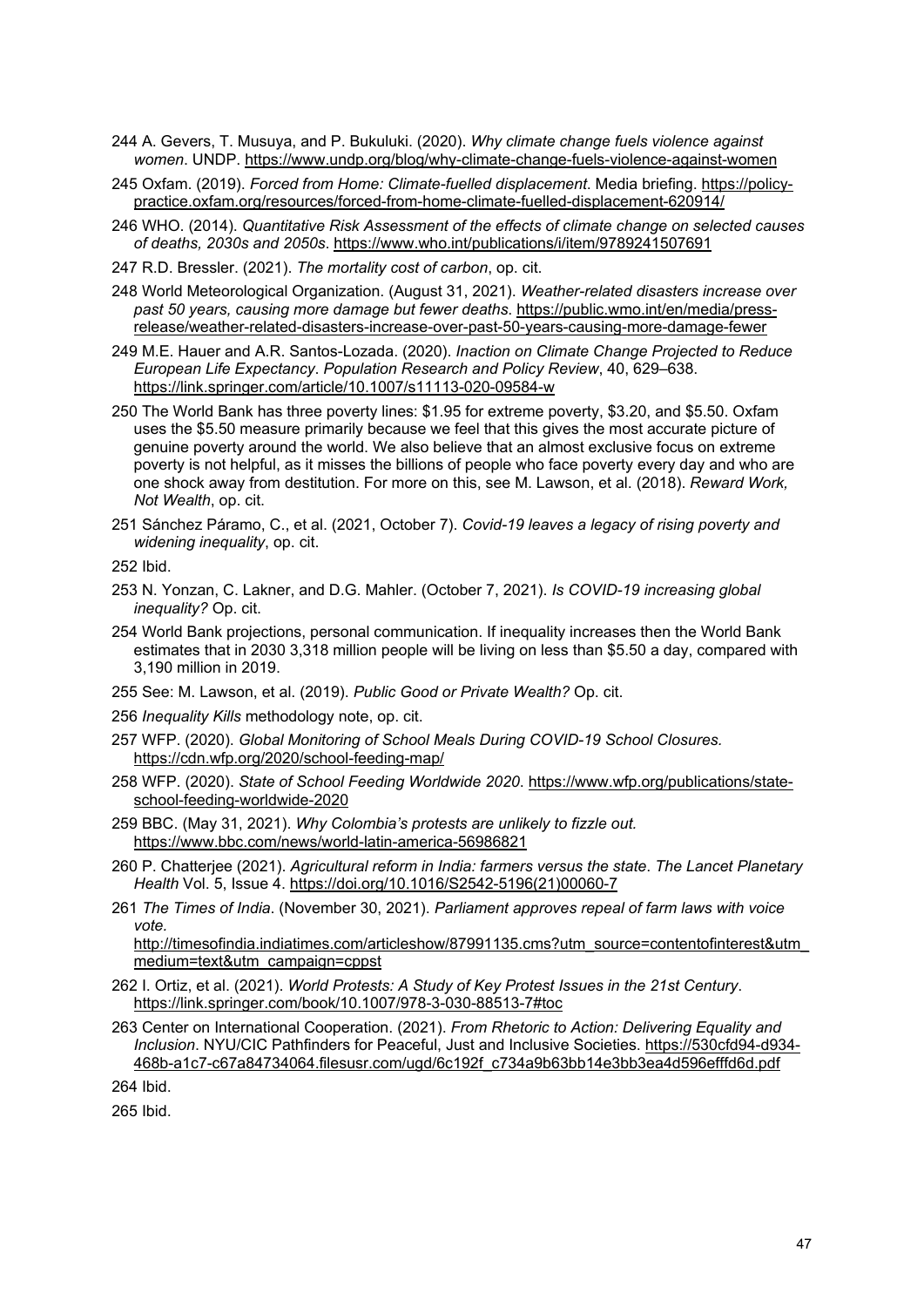- <span id="page-46-0"></span>244 A. Gevers, T. Musuya, and P. Bukuluki. (2020). *Why climate change fuels violence against women*. UNDP.<https://www.undp.org/blog/why-climate-change-fuels-violence-against-women>
- <span id="page-46-1"></span>245 Oxfam. (2019). *Forced from Home: Climate-fuelled displacement*. Media briefing. [https://policy](https://policy-practice.oxfam.org/resources/forced-from-home-climate-fuelled-displacement-620914/)[practice.oxfam.org/resources/forced-from-home-climate-fuelled-displacement-620914/](https://policy-practice.oxfam.org/resources/forced-from-home-climate-fuelled-displacement-620914/)
- <span id="page-46-2"></span>246 WHO. (2014). *Quantitative Risk Assessment of the effects of climate change on selected causes of deaths, 2030s and 2050s*.<https://www.who.int/publications/i/item/9789241507691>
- <span id="page-46-3"></span>247 R.D. Bressler. (2021). *The mortality cost of carbon*, op. cit.
- <span id="page-46-4"></span>248 World Meteorological Organization. (August 31, 2021). *Weather-related disasters increase over past 50 years, causing more damage but fewer deaths*. [https://public.wmo.int/en/media/press](https://public.wmo.int/en/media/press-release/weather-related-disasters-increase-over-past-50-years-causing-more-damage-fewer)[release/weather-related-disasters-increase-over-past-50-years-causing-more-damage-fewer](https://public.wmo.int/en/media/press-release/weather-related-disasters-increase-over-past-50-years-causing-more-damage-fewer)
- <span id="page-46-5"></span>249 M.E. Hauer and A.R. Santos-Lozada. (2020). *Inaction on Climate Change Projected to Reduce European Life Expectancy*. *Population Research and Policy Review*, 40, 629–638. <https://link.springer.com/article/10.1007/s11113-020-09584-w>
- <span id="page-46-6"></span>250 The World Bank has three poverty lines: \$1.95 for extreme poverty, \$3.20, and \$5.50. Oxfam uses the \$5.50 measure primarily because we feel that this gives the most accurate picture of genuine poverty around the world. We also believe that an almost exclusive focus on extreme poverty is not helpful, as it misses the billions of people who face poverty every day and who are one shock away from destitution. For more on this, see M. Lawson, et al. (2018). *Reward Work, Not Wealth*, op. cit.
- <span id="page-46-7"></span>251 Sánchez Páramo, C., et al. (2021, October 7). *Covid-19 leaves a legacy of rising poverty and widening inequality*, op. cit.

- <span id="page-46-9"></span><span id="page-46-8"></span>253 N. Yonzan, C. Lakner, and D.G. Mahler. (October 7, 2021). *Is COVID-19 increasing global inequality?* Op. cit.
- <span id="page-46-10"></span>254 World Bank projections, personal communication. If inequality increases then the World Bank estimates that in 2030 3,318 million people will be living on less than \$5.50 a day, compared with 3,190 million in 2019.
- <span id="page-46-11"></span>255 See: M. Lawson, et al. (2019). *Public Good or Private Wealth?* Op. cit.
- <span id="page-46-12"></span>256 *Inequality Kills* methodology note, op. cit.
- <span id="page-46-13"></span>257 WFP. (2020). *Global Monitoring of School Meals During COVID-19 School Closures.*  <https://cdn.wfp.org/2020/school-feeding-map/>
- <span id="page-46-14"></span>258 WFP. (2020). *State of School Feeding Worldwide 2020*. [https://www.wfp.org/publications/state](https://www.wfp.org/publications/state-school-feeding-worldwide-2020)[school-feeding-worldwide-2020](https://www.wfp.org/publications/state-school-feeding-worldwide-2020)
- <span id="page-46-15"></span>259 BBC. (May 31, 2021). *Why Colombia's protests are unlikely to fizzle out.* <https://www.bbc.com/news/world-latin-america-56986821>
- <span id="page-46-16"></span>260 P. Chatterjee (2021). *Agricultural reform in India: farmers versus the state*. *The Lancet Planetary Health* Vol. 5, Issue 4. [https://doi.org/10.1016/S2542-5196\(21\)00060-7](https://doi.org/10.1016/S2542-5196(21)00060-7)
- <span id="page-46-17"></span>261 *The Times of India*. (November 30, 2021). *Parliament approves repeal of farm laws with voice vote.*

[http://timesofindia.indiatimes.com/articleshow/87991135.cms?utm\\_source=contentofinterest&utm\\_](http://timesofindia.indiatimes.com/articleshow/87991135.cms?utm_source=contentofinterest&utm_medium=text&utm_campaign=cppst) [medium=text&utm\\_campaign=cppst](http://timesofindia.indiatimes.com/articleshow/87991135.cms?utm_source=contentofinterest&utm_medium=text&utm_campaign=cppst)

- <span id="page-46-18"></span>262 I. Ortiz, et al. (2021). *World Protests: A Study of Key Protest Issues in the 21st Century*. <https://link.springer.com/book/10.1007/978-3-030-88513-7#toc>
- <span id="page-46-19"></span>263 Center on International Cooperation. (2021). *From Rhetoric to Action: Delivering Equality and Inclusion*. NYU/CIC Pathfinders for Peaceful, Just and Inclusive Societies. [https://530cfd94-d934-](https://530cfd94-d934-468b-a1c7-c67a84734064.filesusr.com/ugd/6c192f_c734a9b63bb14e3bb3ea4d596efffd6d.pdf) [468b-a1c7-c67a84734064.filesusr.com/ugd/6c192f\\_c734a9b63bb14e3bb3ea4d596efffd6d.pdf](https://530cfd94-d934-468b-a1c7-c67a84734064.filesusr.com/ugd/6c192f_c734a9b63bb14e3bb3ea4d596efffd6d.pdf)

<span id="page-46-21"></span><span id="page-46-20"></span>264 Ibid.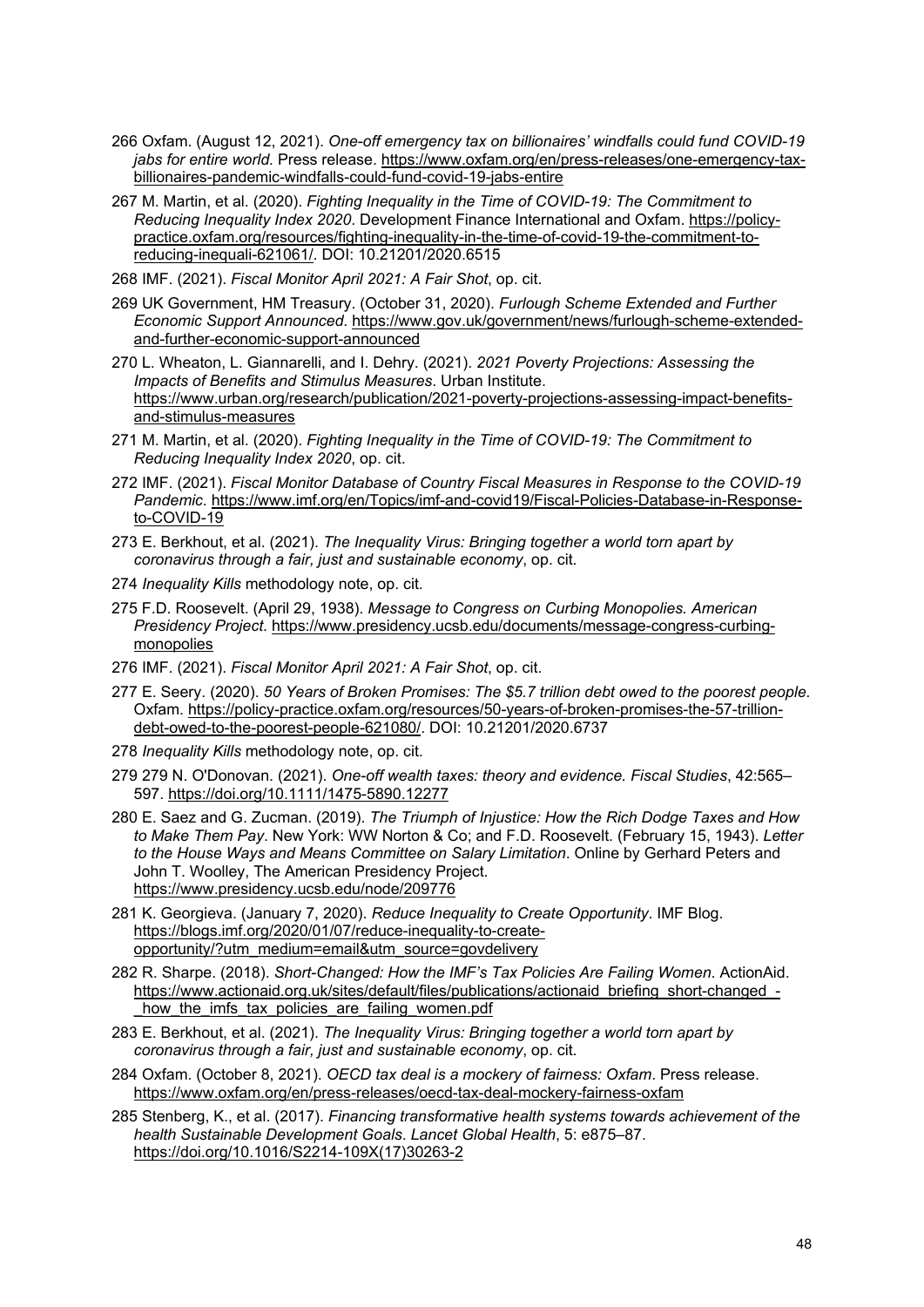- <span id="page-47-0"></span>266 Oxfam. (August 12, 2021). *One-off emergency tax on billionaires' windfalls could fund COVID-19 jabs for entire world.* Press release[. https://www.oxfam.org/en/press-releases/one-emergency-tax](https://www.oxfam.org/en/press-releases/one-emergency-tax-billionaires-pandemic-windfalls-could-fund-covid-19-jabs-entire)[billionaires-pandemic-windfalls-could-fund-covid-19-jabs-entire](https://www.oxfam.org/en/press-releases/one-emergency-tax-billionaires-pandemic-windfalls-could-fund-covid-19-jabs-entire)
- <span id="page-47-1"></span>267 M. Martin, et al. (2020). *Fighting Inequality in the Time of COVID-19: The Commitment to Reducing Inequality Index 2020*. Development Finance International and Oxfam. [https://policy](https://policy-practice.oxfam.org/resources/fighting-inequality-in-the-time-of-covid-19-the-commitment-to-reducing-inequali-621061/)[practice.oxfam.org/resources/fighting-inequality-in-the-time-of-covid-19-the-commitment-to](https://policy-practice.oxfam.org/resources/fighting-inequality-in-the-time-of-covid-19-the-commitment-to-reducing-inequali-621061/)[reducing-inequali-621061/.](https://policy-practice.oxfam.org/resources/fighting-inequality-in-the-time-of-covid-19-the-commitment-to-reducing-inequali-621061/) DOI: 10.21201/2020.6515

<span id="page-47-2"></span>268 IMF. (2021). *Fiscal Monitor April 2021: A Fair Shot*, op. cit.

- <span id="page-47-3"></span>269 UK Government, HM Treasury. (October 31, 2020). *Furlough Scheme Extended and Further Economic Support Announced*. [https://www.gov.uk/government/news/furlough-scheme-extended](https://www.gov.uk/government/news/furlough-scheme-extended-and-further-economic-support-announced)[and-further-economic-support-announced](https://www.gov.uk/government/news/furlough-scheme-extended-and-further-economic-support-announced)
- <span id="page-47-4"></span>270 L. Wheaton, L. Giannarelli, and I. Dehry. (2021). *2021 Poverty Projections: Assessing the Impacts of Benefits and Stimulus Measures*. Urban Institute. [https://www.urban.org/research/publication/2021-poverty-projections-assessing-impact-benefits](https://www.urban.org/research/publication/2021-poverty-projections-assessing-impact-benefits-and-stimulus-measures)[and-stimulus-measures](https://www.urban.org/research/publication/2021-poverty-projections-assessing-impact-benefits-and-stimulus-measures)
- <span id="page-47-5"></span>271 M. Martin, et al. (2020). *Fighting Inequality in the Time of COVID-19: The Commitment to Reducing Inequality Index 2020*, op. cit.
- <span id="page-47-6"></span>272 IMF. (2021). *Fiscal Monitor Database of Country Fiscal Measures in Response to the COVID-19 Pandemic*. [https://www.imf.org/en/Topics/imf-and-covid19/Fiscal-Policies-Database-in-Response](https://www.imf.org/en/Topics/imf-and-covid19/Fiscal-Policies-Database-in-Response-to-COVID-19)[to-COVID-19](https://www.imf.org/en/Topics/imf-and-covid19/Fiscal-Policies-Database-in-Response-to-COVID-19)
- <span id="page-47-7"></span>273 E. Berkhout, et al. (2021). *The Inequality Virus: Bringing together a world torn apart by coronavirus through a fair, just and sustainable economy*, op. cit.
- <span id="page-47-8"></span>274 *Inequality Kills* methodology note, op. cit.
- <span id="page-47-9"></span>275 F.D. Roosevelt. (April 29, 1938). *Message to Congress on Curbing Monopolies. American Presidency Project*. [https://www.presidency.ucsb.edu/documents/message-congress-curbing](https://www.presidency.ucsb.edu/documents/message-congress-curbing-monopolies)[monopolies](https://www.presidency.ucsb.edu/documents/message-congress-curbing-monopolies)
- <span id="page-47-10"></span>276 IMF. (2021). *Fiscal Monitor April 2021: A Fair Shot*, op. cit.
- <span id="page-47-11"></span>277 E. Seery. (2020). *50 Years of Broken Promises: The \$5.7 trillion debt owed to the poorest people.* Oxfam. [https://policy-practice.oxfam.org/resources/50-years-of-broken-promises-the-57-trillion](https://policy-practice.oxfam.org/resources/50-years-of-broken-promises-the-57-trillion-debt-owed-to-the-poorest-people-621080/)[debt-owed-to-the-poorest-people-621080/.](https://policy-practice.oxfam.org/resources/50-years-of-broken-promises-the-57-trillion-debt-owed-to-the-poorest-people-621080/) DOI: 10.21201/2020.6737
- <span id="page-47-12"></span>278 *Inequality Kills* methodology note, op. cit.
- <span id="page-47-13"></span>279 279 N. O'Donovan. (2021). *One-off wealth taxes: theory and evidence. Fiscal Studies*, 42:565– 597.<https://doi.org/10.1111/1475-5890.12277>
- <span id="page-47-14"></span>280 E. Saez and G. Zucman. (2019). *The Triumph of Injustice: How the Rich Dodge Taxes and How to Make Them Pay*. New York: WW Norton & Co; and F.D. Roosevelt. (February 15, 1943). *Letter to the House Ways and Means Committee on Salary Limitation*. Online by Gerhard Peters and John T. Woolley, The American Presidency Project. <https://www.presidency.ucsb.edu/node/209776>
- <span id="page-47-15"></span>281 K. Georgieva. (January 7, 2020). *Reduce Inequality to Create Opportunity*. IMF Blog. [https://blogs.imf.org/2020/01/07/reduce-inequality-to-create](https://blogs.imf.org/2020/01/07/reduce-inequality-to-create-opportunity/?utm_medium=email&utm_source=govdelivery)[opportunity/?utm\\_medium=email&utm\\_source=govdelivery](https://blogs.imf.org/2020/01/07/reduce-inequality-to-create-opportunity/?utm_medium=email&utm_source=govdelivery)
- <span id="page-47-16"></span>282 R. Sharpe. (2018). *Short-Changed: How the IMF's Tax Policies Are Failing Women*. ActionAid. [https://www.actionaid.org.uk/sites/default/files/publications/actionaid\\_briefing\\_short-changed\\_](https://www.actionaid.org.uk/sites/default/files/publications/actionaid_briefing_short-changed_-_how_the_imfs_tax_policies_are_failing_women.pdf) how the imfs tax policies are failing women.pdf
- <span id="page-47-17"></span>283 E. Berkhout, et al. (2021). *The Inequality Virus: Bringing together a world torn apart by coronavirus through a fair, just and sustainable economy*, op. cit.
- <span id="page-47-18"></span>284 Oxfam. (October 8, 2021). *OECD tax deal is a mockery of fairness: Oxfam*. Press release. <https://www.oxfam.org/en/press-releases/oecd-tax-deal-mockery-fairness-oxfam>
- <span id="page-47-19"></span>285 Stenberg, K., et al. (2017). *Financing transformative health systems towards achievement of the health Sustainable Development Goals*. *Lancet Global Health*, 5: e875–87. [https://doi.org/10.1016/S2214-109X\(17\)30263-2](https://doi.org/10.1016/S2214-109X(17)30263-2)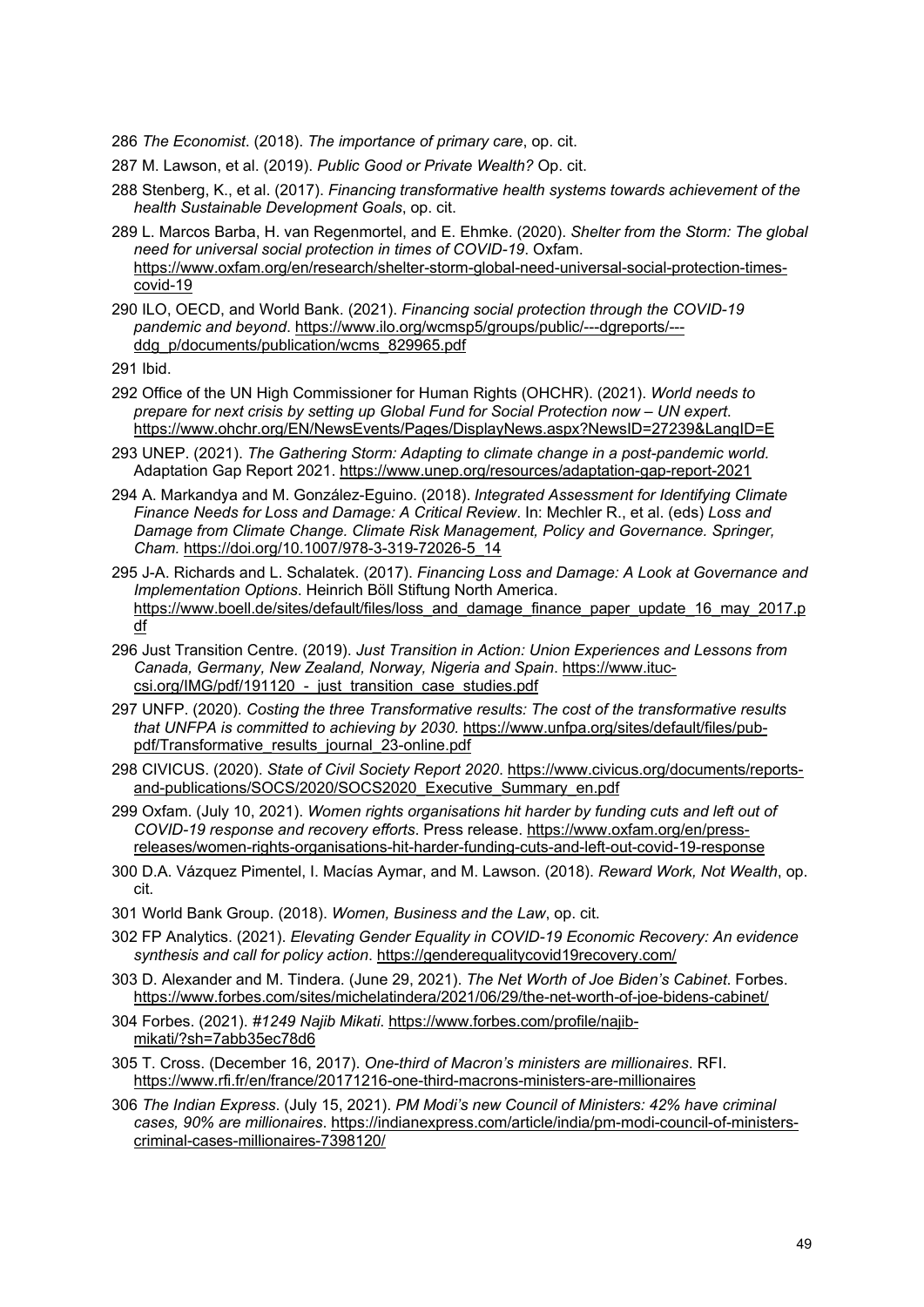<span id="page-48-0"></span>286 *The Economist*. (2018). *The importance of primary care*, op. cit.

<span id="page-48-1"></span>287 M. Lawson, et al. (2019). *Public Good or Private Wealth?* Op. cit.

- <span id="page-48-2"></span>288 Stenberg, K., et al. (2017). *Financing transformative health systems towards achievement of the health Sustainable Development Goals*, op. cit.
- <span id="page-48-3"></span>289 L. Marcos Barba, H. van Regenmortel, and E. Ehmke. (2020). *Shelter from the Storm: The global need for universal social protection in times of COVID-19*. Oxfam. [https://www.oxfam.org/en/research/shelter-storm-global-need-universal-social-protection-times](https://www.oxfam.org/en/research/shelter-storm-global-need-universal-social-protection-times-covid-19)[covid-19](https://www.oxfam.org/en/research/shelter-storm-global-need-universal-social-protection-times-covid-19)
- <span id="page-48-4"></span>290 ILO, OECD, and World Bank. (2021). *Financing social protection through the COVID-19 pandemic and beyond*. [https://www.ilo.org/wcmsp5/groups/public/---dgreports/--](https://www.ilo.org/wcmsp5/groups/public/---dgreports/---ddg_p/documents/publication/wcms_829965.pdf) [ddg\\_p/documents/publication/wcms\\_829965.pdf](https://www.ilo.org/wcmsp5/groups/public/---dgreports/---ddg_p/documents/publication/wcms_829965.pdf)

- <span id="page-48-6"></span><span id="page-48-5"></span>292 Office of the UN High Commissioner for Human Rights (OHCHR). (2021). *World needs to prepare for next crisis by setting up Global Fund for Social Protection now – UN expert*. <https://www.ohchr.org/EN/NewsEvents/Pages/DisplayNews.aspx?NewsID=27239&LangID=E>
- <span id="page-48-7"></span>293 UNEP. (2021). *The Gathering Storm: Adapting to climate change in a post-pandemic world.*  Adaptation Gap Report 2021.<https://www.unep.org/resources/adaptation-gap-report-2021>
- <span id="page-48-8"></span>294 A. Markandya and M. González-Eguino. (2018). *Integrated Assessment for Identifying Climate Finance Needs for Loss and Damage: A Critical Review*. In: Mechler R., et al. (eds) *Loss and Damage from Climate Change. Climate Risk Management, Policy and Governance. Springer, Cham.* [https://doi.org/10.1007/978-3-319-72026-5\\_14](https://doi.org/10.1007/978-3-319-72026-5_14)
- <span id="page-48-9"></span>295 J-A. Richards and L. Schalatek. (2017). *Financing Loss and Damage: A Look at Governance and Implementation Options*. Heinrich Böll Stiftung North America. [https://www.boell.de/sites/default/files/loss\\_and\\_damage\\_finance\\_paper\\_update\\_16\\_may\\_2017.p](https://www.boell.de/sites/default/files/loss_and_damage_finance_paper_update_16_may_2017.pdf) [df](https://www.boell.de/sites/default/files/loss_and_damage_finance_paper_update_16_may_2017.pdf)
- <span id="page-48-10"></span>296 Just Transition Centre. (2019). *Just Transition in Action: Union Experiences and Lessons from Canada, Germany, New Zealand, Norway, Nigeria and Spain*. [https://www.ituc](https://www.ituc-csi.org/IMG/pdf/191120_-_just_transition_case_studies.pdf)csi.org/IMG/pdf/191120 - just transition case studies.pdf
- <span id="page-48-11"></span>297 UNFP. (2020). *Costing the three Transformative results: The cost of the transformative results that UNFPA is committed to achieving by 2030.* [https://www.unfpa.org/sites/default/files/pub](https://www.unfpa.org/sites/default/files/pub-pdf/Transformative_results_journal_23-online.pdf)[pdf/Transformative\\_results\\_journal\\_23-online.pdf](https://www.unfpa.org/sites/default/files/pub-pdf/Transformative_results_journal_23-online.pdf)
- <span id="page-48-12"></span>298 CIVICUS. (2020). *State of Civil Society Report 2020*. [https://www.civicus.org/documents/reports](https://www.civicus.org/documents/reports-and-publications/SOCS/2020/SOCS2020_Executive_Summary_en.pdf)[and-publications/SOCS/2020/SOCS2020\\_Executive\\_Summary\\_en.pdf](https://www.civicus.org/documents/reports-and-publications/SOCS/2020/SOCS2020_Executive_Summary_en.pdf)
- <span id="page-48-13"></span>299 Oxfam. (July 10, 2021). *Women rights organisations hit harder by funding cuts and left out of COVID-19 response and recovery efforts*. Press release. [https://www.oxfam.org/en/press](https://www.oxfam.org/en/press-releases/women-rights-organisations-hit-harder-funding-cuts-and-left-out-covid-19-response)[releases/women-rights-organisations-hit-harder-funding-cuts-and-left-out-covid-19-response](https://www.oxfam.org/en/press-releases/women-rights-organisations-hit-harder-funding-cuts-and-left-out-covid-19-response)
- <span id="page-48-14"></span>300 D.A. Vázquez Pimentel, I. Macías Aymar, and M. Lawson. (2018). *Reward Work, Not Wealth*, op. cit.
- <span id="page-48-15"></span>301 World Bank Group. (2018). *Women, Business and the Law*, op. cit.
- <span id="page-48-16"></span>302 FP Analytics. (2021). *Elevating Gender Equality in COVID-19 Economic Recovery: An evidence synthesis and call for policy action*.<https://genderequalitycovid19recovery.com/>
- <span id="page-48-17"></span>303 D. Alexander and M. Tindera. (June 29, 2021). *The Net Worth of Joe Biden's Cabinet*. Forbes. <https://www.forbes.com/sites/michelatindera/2021/06/29/the-net-worth-of-joe-bidens-cabinet/>
- <span id="page-48-18"></span>304 Forbes. (2021). *#1249 Najib Mikati*. [https://www.forbes.com/profile/najib](https://www.forbes.com/profile/najib-mikati/?sh=7abb35ec78d6)[mikati/?sh=7abb35ec78d6](https://www.forbes.com/profile/najib-mikati/?sh=7abb35ec78d6)
- <span id="page-48-19"></span>305 T. Cross. (December 16, 2017). *One-third of Macron's ministers are millionaires*. RFI. <https://www.rfi.fr/en/france/20171216-one-third-macrons-ministers-are-millionaires>
- <span id="page-48-20"></span>306 *The Indian Express*. (July 15, 2021). *PM Modi's new Council of Ministers: 42% have criminal cases, 90% are millionaires*. [https://indianexpress.com/article/india/pm-modi-council-of-ministers](https://indianexpress.com/article/india/pm-modi-council-of-ministers-criminal-cases-millionaires-7398120/)[criminal-cases-millionaires-7398120/](https://indianexpress.com/article/india/pm-modi-council-of-ministers-criminal-cases-millionaires-7398120/)